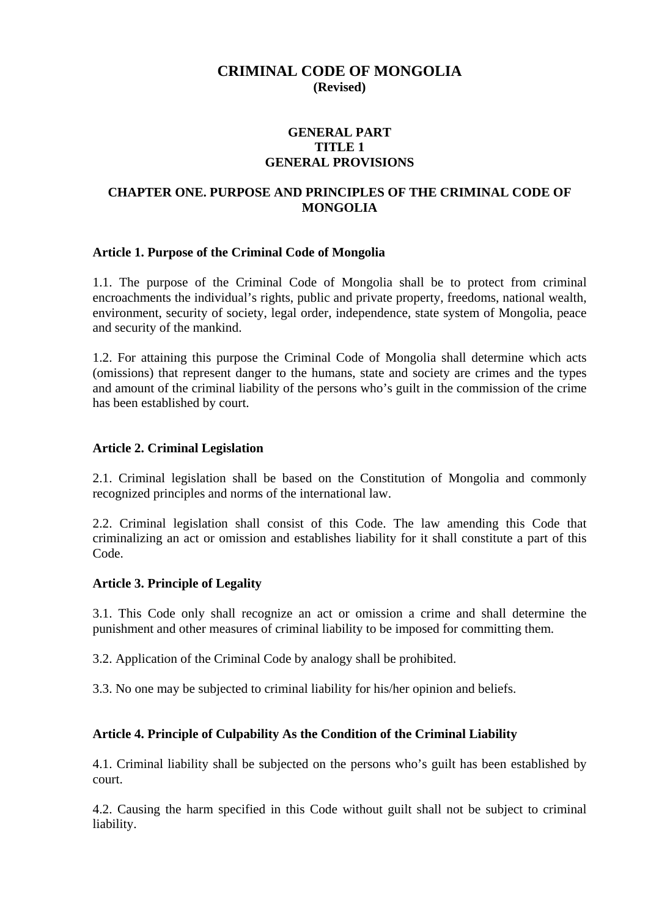# **CRIMINAL CODE OF MONGOLIA (Revised)**

### **GENERAL PART TITLE 1 GENERAL PROVISIONS**

### **CHAPTER ONE. PURPOSE AND PRINCIPLES OF THE CRIMINAL CODE OF MONGOLIA**

#### **Article 1. Purpose of the Criminal Code of Mongolia**

1.1. The purpose of the Criminal Code of Mongolia shall be to protect from criminal encroachments the individual's rights, public and private property, freedoms, national wealth, environment, security of society, legal order, independence, state system of Mongolia, peace and security of the mankind.

1.2. For attaining this purpose the Criminal Code of Mongolia shall determine which acts (omissions) that represent danger to the humans, state and society are crimes and the types and amount of the criminal liability of the persons who's guilt in the commission of the crime has been established by court.

#### **Article 2. Criminal Legislation**

2.1. Criminal legislation shall be based on the Constitution of Mongolia and commonly recognized principles and norms of the international law.

2.2. Criminal legislation shall consist of this Code. The law amending this Code that criminalizing an act or omission and establishes liability for it shall constitute a part of this Code.

#### **Article 3. Principle of Legality**

3.1. This Code only shall recognize an act or omission a crime and shall determine the punishment and other measures of criminal liability to be imposed for committing them.

3.2. Application of the Criminal Code by analogy shall be prohibited.

3.3. No one may be subjected to criminal liability for his/her opinion and beliefs.

#### **Article 4. Principle of Culpability As the Condition of the Criminal Liability**

4.1. Criminal liability shall be subjected on the persons who's guilt has been established by court.

4.2. Causing the harm specified in this Code without guilt shall not be subject to criminal liability.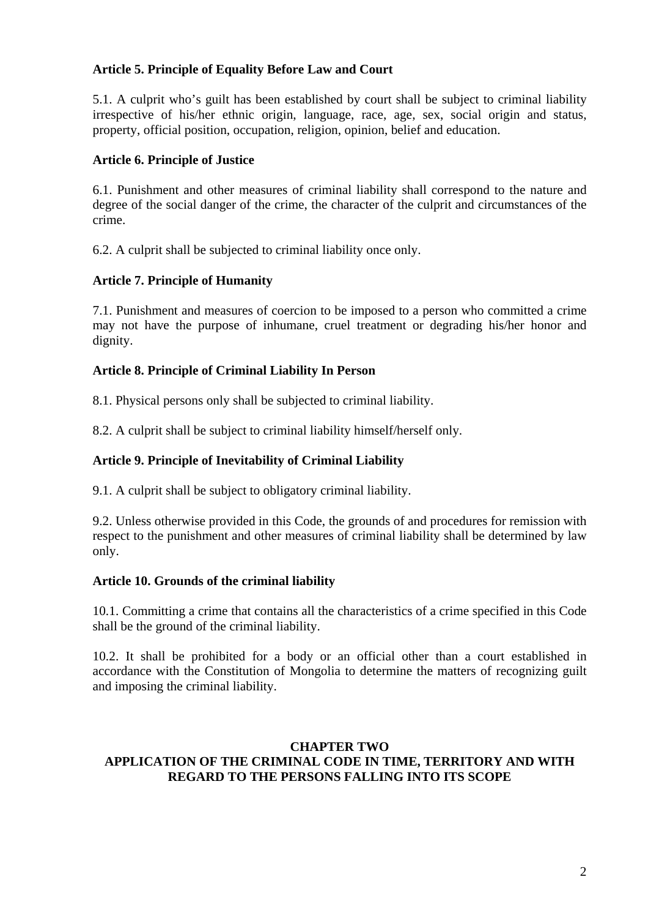# **Article 5. Principle of Equality Before Law and Court**

5.1. A culprit who's guilt has been established by court shall be subject to criminal liability irrespective of his/her ethnic origin, language, race, age, sex, social origin and status, property, official position, occupation, religion, opinion, belief and education.

#### **Article 6. Principle of Justice**

6.1. Punishment and other measures of criminal liability shall correspond to the nature and degree of the social danger of the crime, the character of the culprit and circumstances of the crime.

6.2. A culprit shall be subjected to criminal liability once only.

#### **Article 7. Principle of Humanity**

7.1. Punishment and measures of coercion to be imposed to a person who committed a crime may not have the purpose of inhumane, cruel treatment or degrading his/her honor and dignity.

#### **Article 8. Principle of Criminal Liability In Person**

8.1. Physical persons only shall be subjected to criminal liability.

8.2. A culprit shall be subject to criminal liability himself/herself only.

#### **Article 9. Principle of Inevitability of Criminal Liability**

9.1. A culprit shall be subject to obligatory criminal liability.

9.2. Unless otherwise provided in this Code, the grounds of and procedures for remission with respect to the punishment and other measures of criminal liability shall be determined by law only.

#### **Article 10. Grounds of the criminal liability**

10.1. Committing a crime that contains all the characteristics of a crime specified in this Code shall be the ground of the criminal liability.

10.2. It shall be prohibited for a body or an official other than a court established in accordance with the Constitution of Mongolia to determine the matters of recognizing guilt and imposing the criminal liability.

#### **CHAPTER TWO APPLICATION OF THE CRIMINAL CODE IN TIME, TERRITORY AND WITH REGARD TO THE PERSONS FALLING INTO ITS SCOPE**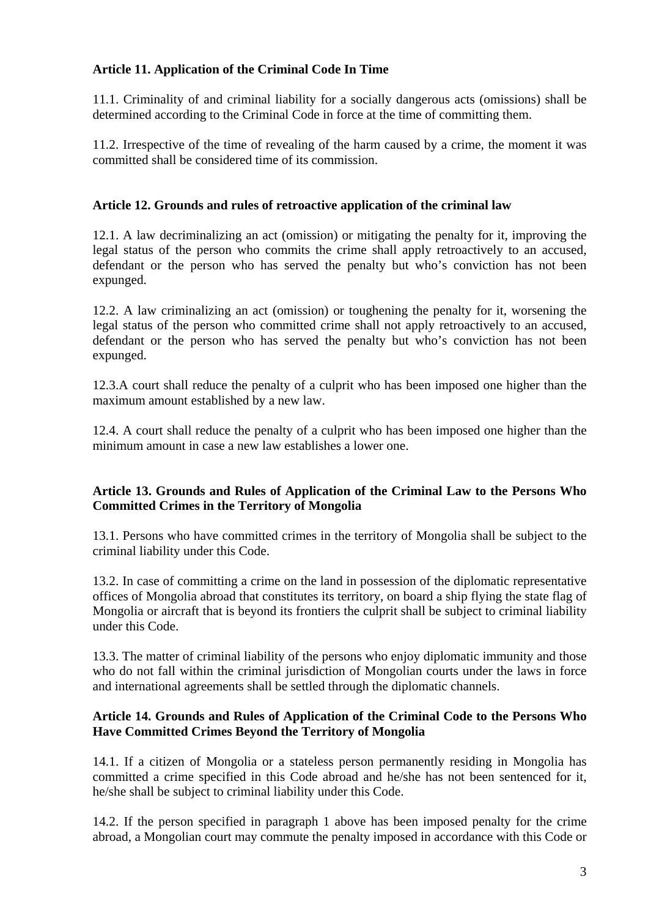# **Article 11. Application of the Criminal Code In Time**

11.1. Criminality of and criminal liability for a socially dangerous acts (omissions) shall be determined according to the Criminal Code in force at the time of committing them.

11.2. Irrespective of the time of revealing of the harm caused by a crime, the moment it was committed shall be considered time of its commission.

# **Article 12. Grounds and rules of retroactive application of the criminal law**

12.1. A law decriminalizing an act (omission) or mitigating the penalty for it, improving the legal status of the person who commits the crime shall apply retroactively to an accused, defendant or the person who has served the penalty but who's conviction has not been expunged.

12.2. A law criminalizing an act (omission) or toughening the penalty for it, worsening the legal status of the person who committed crime shall not apply retroactively to an accused, defendant or the person who has served the penalty but who's conviction has not been expunged.

12.3.A court shall reduce the penalty of a culprit who has been imposed one higher than the maximum amount established by a new law.

12.4. A court shall reduce the penalty of a culprit who has been imposed one higher than the minimum amount in case a new law establishes a lower one.

# **Article 13. Grounds and Rules of Application of the Criminal Law to the Persons Who Committed Crimes in the Territory of Mongolia**

13.1. Persons who have committed crimes in the territory of Mongolia shall be subject to the criminal liability under this Code.

13.2. In case of committing a crime on the land in possession of the diplomatic representative offices of Mongolia abroad that constitutes its territory, on board a ship flying the state flag of Mongolia or aircraft that is beyond its frontiers the culprit shall be subject to criminal liability under this Code.

13.3. The matter of criminal liability of the persons who enjoy diplomatic immunity and those who do not fall within the criminal jurisdiction of Mongolian courts under the laws in force and international agreements shall be settled through the diplomatic channels.

# **Article 14. Grounds and Rules of Application of the Criminal Code to the Persons Who Have Committed Crimes Beyond the Territory of Mongolia**

14.1. If a citizen of Mongolia or a stateless person permanently residing in Mongolia has committed a crime specified in this Code abroad and he/she has not been sentenced for it, he/she shall be subject to criminal liability under this Code.

14.2. If the person specified in paragraph 1 above has been imposed penalty for the crime abroad, a Mongolian court may commute the penalty imposed in accordance with this Code or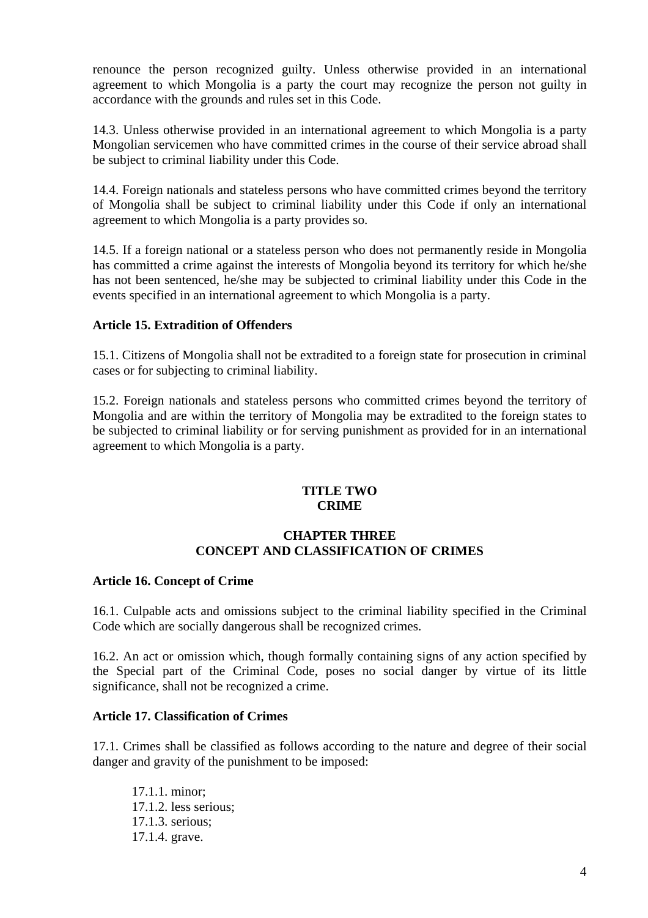renounce the person recognized guilty. Unless otherwise provided in an international agreement to which Mongolia is a party the court may recognize the person not guilty in accordance with the grounds and rules set in this Code.

14.3. Unless otherwise provided in an international agreement to which Mongolia is a party Mongolian servicemen who have committed crimes in the course of their service abroad shall be subject to criminal liability under this Code.

14.4. Foreign nationals and stateless persons who have committed crimes beyond the territory of Mongolia shall be subject to criminal liability under this Code if only an international agreement to which Mongolia is a party provides so.

14.5. If a foreign national or a stateless person who does not permanently reside in Mongolia has committed a crime against the interests of Mongolia beyond its territory for which he/she has not been sentenced, he/she may be subjected to criminal liability under this Code in the events specified in an international agreement to which Mongolia is a party.

#### **Article 15. Extradition of Offenders**

15.1. Citizens of Mongolia shall not be extradited to a foreign state for prosecution in criminal cases or for subjecting to criminal liability.

15.2. Foreign nationals and stateless persons who committed crimes beyond the territory of Mongolia and are within the territory of Mongolia may be extradited to the foreign states to be subjected to criminal liability or for serving punishment as provided for in an international agreement to which Mongolia is a party.

#### **TITLE TWO CRIME**

#### **CHAPTER THREE CONCEPT AND CLASSIFICATION OF CRIMES**

#### **Article 16. Concept of Crime**

16.1. Culpable acts and omissions subject to the criminal liability specified in the Criminal Code which are socially dangerous shall be recognized crimes.

16.2. An act or omission which, though formally containing signs of any action specified by the Special part of the Criminal Code, poses no social danger by virtue of its little significance, shall not be recognized a crime.

#### **Article 17. Classification of Crimes**

17.1. Crimes shall be classified as follows according to the nature and degree of their social danger and gravity of the punishment to be imposed:

 17.1.1. minor; 17.1.2. less serious; 17.1.3. serious; 17.1.4. grave.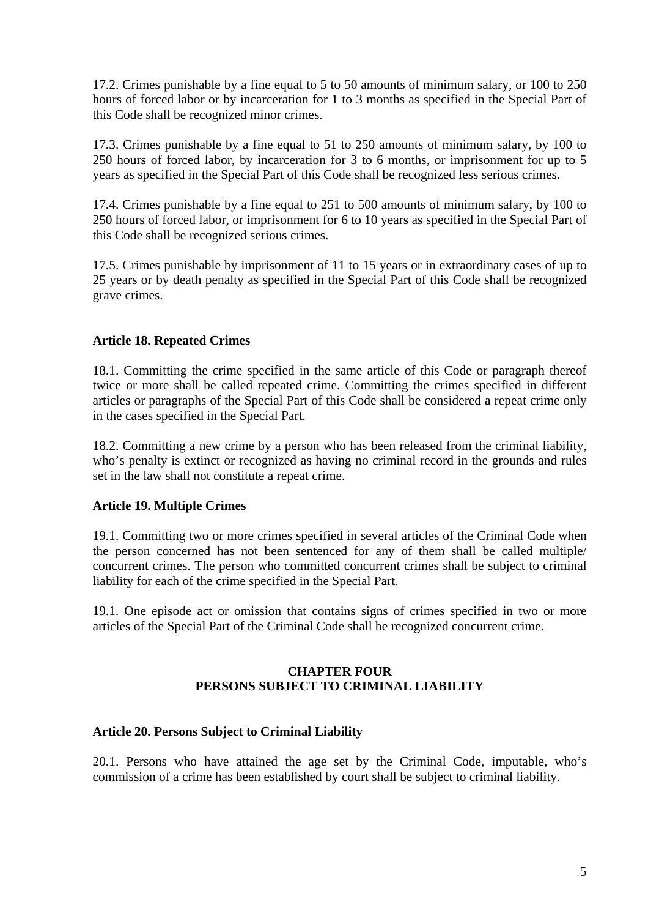17.2. Crimes punishable by a fine equal to 5 to 50 amounts of minimum salary, or 100 to 250 hours of forced labor or by incarceration for 1 to 3 months as specified in the Special Part of this Code shall be recognized minor crimes.

17.3. Crimes punishable by a fine equal to 51 to 250 amounts of minimum salary, by 100 to 250 hours of forced labor, by incarceration for 3 to 6 months, or imprisonment for up to 5 years as specified in the Special Part of this Code shall be recognized less serious crimes.

17.4. Crimes punishable by a fine equal to 251 to 500 amounts of minimum salary, by 100 to 250 hours of forced labor, or imprisonment for 6 to 10 years as specified in the Special Part of this Code shall be recognized serious crimes.

17.5. Crimes punishable by imprisonment of 11 to 15 years or in extraordinary cases of up to 25 years or by death penalty as specified in the Special Part of this Code shall be recognized grave crimes.

# **Article 18. Repeated Crimes**

18.1. Committing the crime specified in the same article of this Code or paragraph thereof twice or more shall be called repeated crime. Committing the crimes specified in different articles or paragraphs of the Special Part of this Code shall be considered a repeat crime only in the cases specified in the Special Part.

18.2. Committing a new crime by a person who has been released from the criminal liability, who's penalty is extinct or recognized as having no criminal record in the grounds and rules set in the law shall not constitute a repeat crime.

# **Article 19. Multiple Crimes**

19.1. Committing two or more crimes specified in several articles of the Criminal Code when the person concerned has not been sentenced for any of them shall be called multiple/ concurrent crimes. The person who committed concurrent crimes shall be subject to criminal liability for each of the crime specified in the Special Part.

19.1. One episode act or omission that contains signs of crimes specified in two or more articles of the Special Part of the Criminal Code shall be recognized concurrent crime.

#### **CHAPTER FOUR PERSONS SUBJECT TO CRIMINAL LIABILITY**

# **Article 20. Persons Subject to Criminal Liability**

20.1. Persons who have attained the age set by the Criminal Code, imputable, who's commission of a crime has been established by court shall be subject to criminal liability.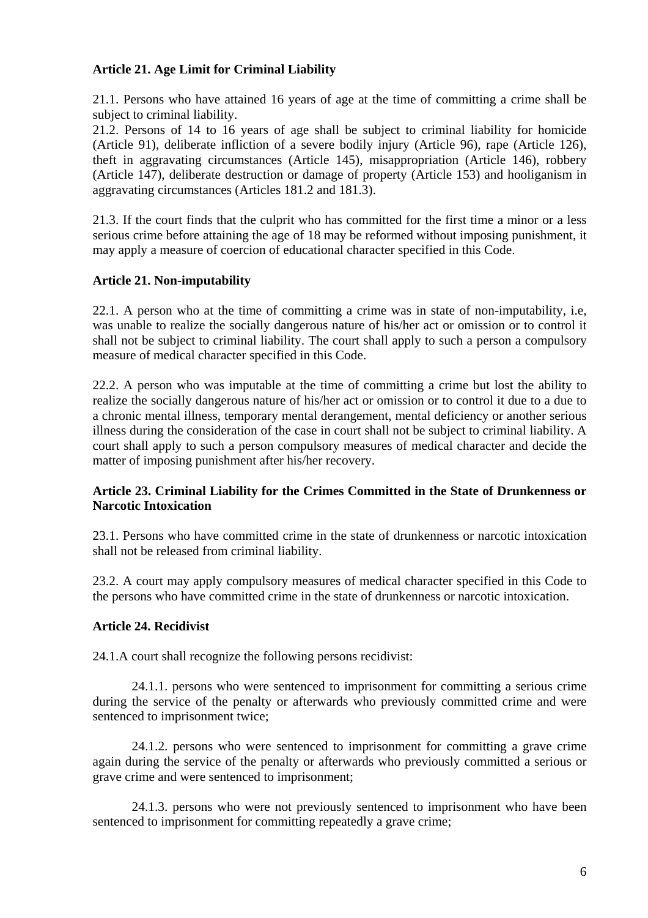### **Article 21. Age Limit for Criminal Liability**

21.1. Persons who have attained 16 years of age at the time of committing a crime shall be subject to criminal liability.

21.2. Persons of 14 to 16 years of age shall be subject to criminal liability for homicide (Article 91), deliberate infliction of a severe bodily injury (Article 96), rape (Article 126), theft in aggravating circumstances (Article 145), misappropriation (Article 146), robbery (Article 147), deliberate destruction or damage of property (Article 153) and hooliganism in aggravating circumstances (Articles 181.2 and 181.3).

21.3. If the court finds that the culprit who has committed for the first time a minor or a less serious crime before attaining the age of 18 may be reformed without imposing punishment, it may apply a measure of coercion of educational character specified in this Code.

# **Article 21. Non-imputability**

22.1. A person who at the time of committing a crime was in state of non-imputability, i.e, was unable to realize the socially dangerous nature of his/her act or omission or to control it shall not be subject to criminal liability. The court shall apply to such a person a compulsory measure of medical character specified in this Code.

22.2. A person who was imputable at the time of committing a crime but lost the ability to realize the socially dangerous nature of his/her act or omission or to control it due to a due to a chronic mental illness, temporary mental derangement, mental deficiency or another serious illness during the consideration of the case in court shall not be subject to criminal liability. A court shall apply to such a person compulsory measures of medical character and decide the matter of imposing punishment after his/her recovery.

# **Article 23. Criminal Liability for the Crimes Committed in the State of Drunkenness or Narcotic Intoxication**

23.1. Persons who have committed crime in the state of drunkenness or narcotic intoxication shall not be released from criminal liability.

23.2. A court may apply compulsory measures of medical character specified in this Code to the persons who have committed crime in the state of drunkenness or narcotic intoxication.

# **Article 24. Recidivist**

24.1.A court shall recognize the following persons recidivist:

24.1.1. persons who were sentenced to imprisonment for committing a serious crime during the service of the penalty or afterwards who previously committed crime and were sentenced to imprisonment twice;

24.1.2. persons who were sentenced to imprisonment for committing a grave crime again during the service of the penalty or afterwards who previously committed a serious or grave crime and were sentenced to imprisonment;

24.1.3. persons who were not previously sentenced to imprisonment who have been sentenced to imprisonment for committing repeatedly a grave crime;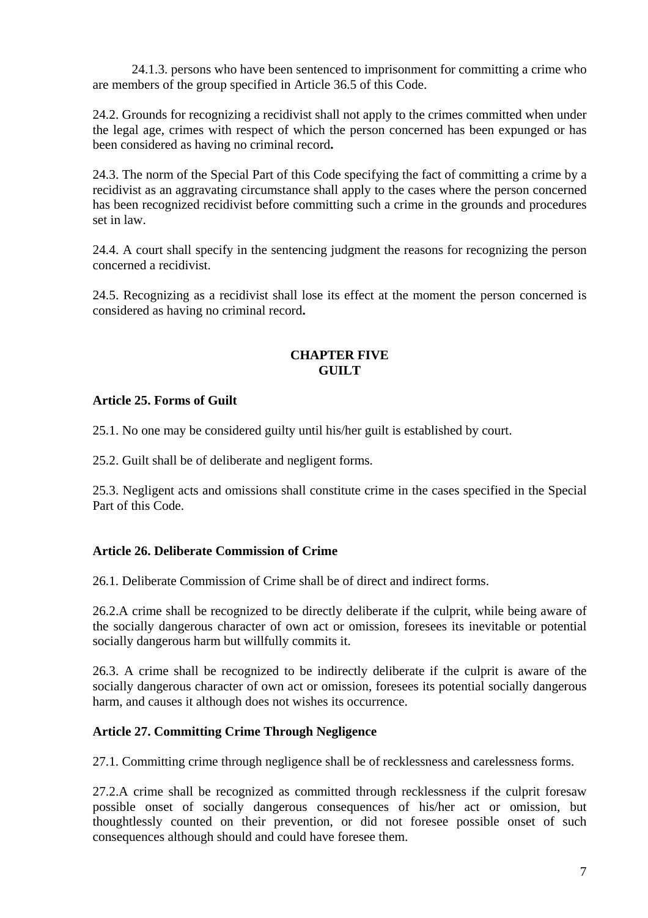24.1.3. persons who have been sentenced to imprisonment for committing a crime who are members of the group specified in Article 36.5 of this Code.

24.2. Grounds for recognizing a recidivist shall not apply to the crimes committed when under the legal age, crimes with respect of which the person concerned has been expunged or has been considered as having no criminal record**.** 

24.3. The norm of the Special Part of this Code specifying the fact of committing a crime by a recidivist as an aggravating circumstance shall apply to the cases where the person concerned has been recognized recidivist before committing such a crime in the grounds and procedures set in law.

24.4. A court shall specify in the sentencing judgment the reasons for recognizing the person concerned a recidivist.

24.5. Recognizing as a recidivist shall lose its effect at the moment the person concerned is considered as having no criminal record**.** 

# **CHAPTER FIVE GUILT**

# **Article 25. Forms of Guilt**

25.1. No one may be considered guilty until his/her guilt is established by court.

25.2. Guilt shall be of deliberate and negligent forms.

25.3. Negligent acts and omissions shall constitute crime in the cases specified in the Special Part of this Code.

# **Article 26. Deliberate Commission of Crime**

26.1. Deliberate Commission of Crime shall be of direct and indirect forms.

26.2.A crime shall be recognized to be directly deliberate if the culprit, while being aware of the socially dangerous character of own act or omission, foresees its inevitable or potential socially dangerous harm but willfully commits it.

26.3. A crime shall be recognized to be indirectly deliberate if the culprit is aware of the socially dangerous character of own act or omission, foresees its potential socially dangerous harm, and causes it although does not wishes its occurrence.

# **Article 27. Committing Crime Through Negligence**

27.1. Committing crime through negligence shall be of recklessness and carelessness forms.

27.2.A crime shall be recognized as committed through recklessness if the culprit foresaw possible onset of socially dangerous consequences of his/her act or omission, but thoughtlessly counted on their prevention, or did not foresee possible onset of such consequences although should and could have foresee them.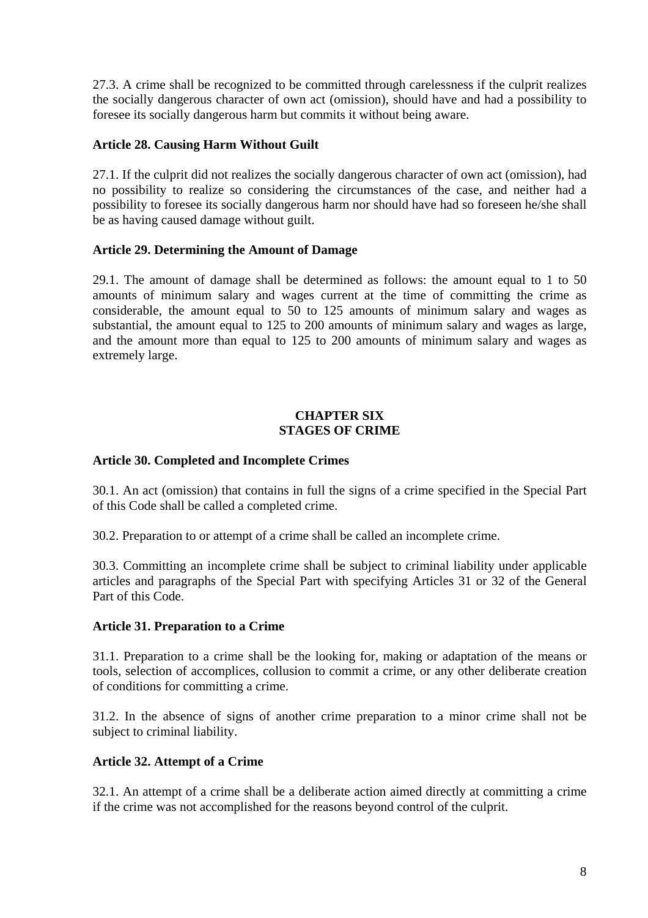27.3. A crime shall be recognized to be committed through carelessness if the culprit realizes the socially dangerous character of own act (omission), should have and had a possibility to foresee its socially dangerous harm but commits it without being aware.

# **Article 28. Causing Harm Without Guilt**

27.1. If the culprit did not realizes the socially dangerous character of own act (omission), had no possibility to realize so considering the circumstances of the case, and neither had a possibility to foresee its socially dangerous harm nor should have had so foreseen he/she shall be as having caused damage without guilt.

# **Article 29. Determining the Amount of Damage**

29.1. The amount of damage shall be determined as follows: the amount equal to 1 to 50 amounts of minimum salary and wages current at the time of committing the crime as considerable, the amount equal to 50 to 125 amounts of minimum salary and wages as substantial, the amount equal to 125 to 200 amounts of minimum salary and wages as large, and the amount more than equal to 125 to 200 amounts of minimum salary and wages as extremely large.

#### **CHAPTER SIX STAGES OF CRIME**

# **Article 30. Completed and Incomplete Crimes**

30.1. An act (omission) that contains in full the signs of a crime specified in the Special Part of this Code shall be called a completed crime.

30.2. Preparation to or attempt of a crime shall be called an incomplete crime.

30.3. Committing an incomplete crime shall be subject to criminal liability under applicable articles and paragraphs of the Special Part with specifying Articles 31 or 32 of the General Part of this Code.

# **Article 31. Preparation to a Crime**

31.1. Preparation to a crime shall be the looking for, making or adaptation of the means or tools, selection of accomplices, collusion to commit a crime, or any other deliberate creation of conditions for committing a crime.

31.2. In the absence of signs of another crime preparation to a minor crime shall not be subject to criminal liability.

# **Article 32. Attempt of a Crime**

32.1. An attempt of a crime shall be a deliberate action aimed directly at committing a crime if the crime was not accomplished for the reasons beyond control of the culprit.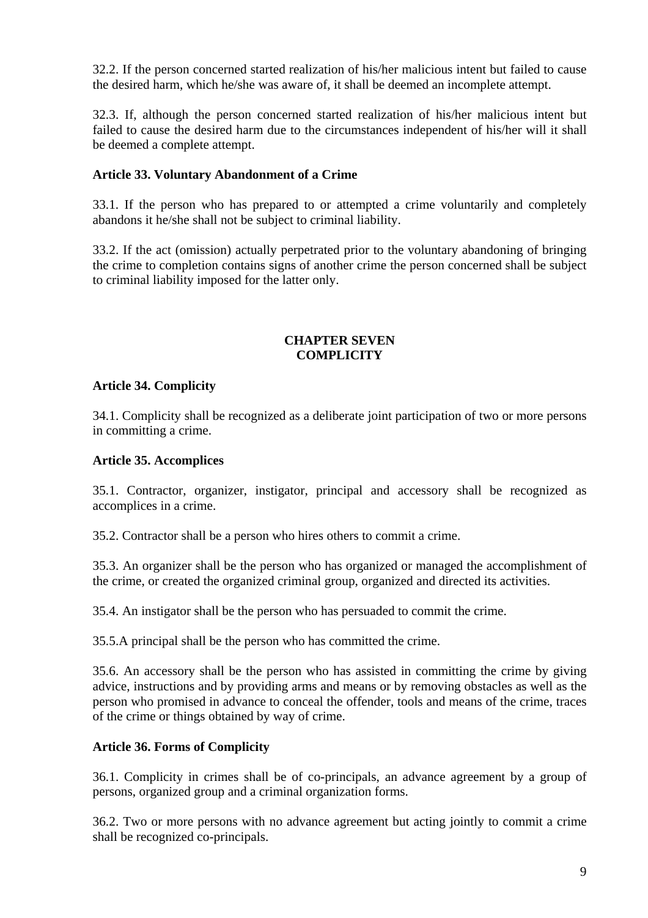32.2. If the person concerned started realization of his/her malicious intent but failed to cause the desired harm, which he/she was aware of, it shall be deemed an incomplete attempt.

32.3. If, although the person concerned started realization of his/her malicious intent but failed to cause the desired harm due to the circumstances independent of his/her will it shall be deemed a complete attempt.

# **Article 33. Voluntary Abandonment of a Crime**

33.1. If the person who has prepared to or attempted a crime voluntarily and completely abandons it he/she shall not be subject to criminal liability.

33.2. If the act (omission) actually perpetrated prior to the voluntary abandoning of bringing the crime to completion contains signs of another crime the person concerned shall be subject to criminal liability imposed for the latter only.

### **CHAPTER SEVEN COMPLICITY**

# **Article 34. Complicity**

34.1. Complicity shall be recognized as a deliberate joint participation of two or more persons in committing a crime.

#### **Article 35. Accomplices**

35.1. Contractor, organizer, instigator, principal and accessory shall be recognized as accomplices in a crime.

35.2. Contractor shall be a person who hires others to commit a crime.

35.3. An organizer shall be the person who has organized or managed the accomplishment of the crime, or created the organized criminal group, organized and directed its activities.

35.4. An instigator shall be the person who has persuaded to commit the crime.

35.5.A principal shall be the person who has committed the crime.

35.6. An accessory shall be the person who has assisted in committing the crime by giving advice, instructions and by providing arms and means or by removing obstacles as well as the person who promised in advance to conceal the offender, tools and means of the crime, traces of the crime or things obtained by way of crime.

# **Article 36. Forms of Complicity**

36.1. Complicity in crimes shall be of co-principals, an advance agreement by a group of persons, organized group and a criminal organization forms.

36.2. Two or more persons with no advance agreement but acting jointly to commit a crime shall be recognized co-principals.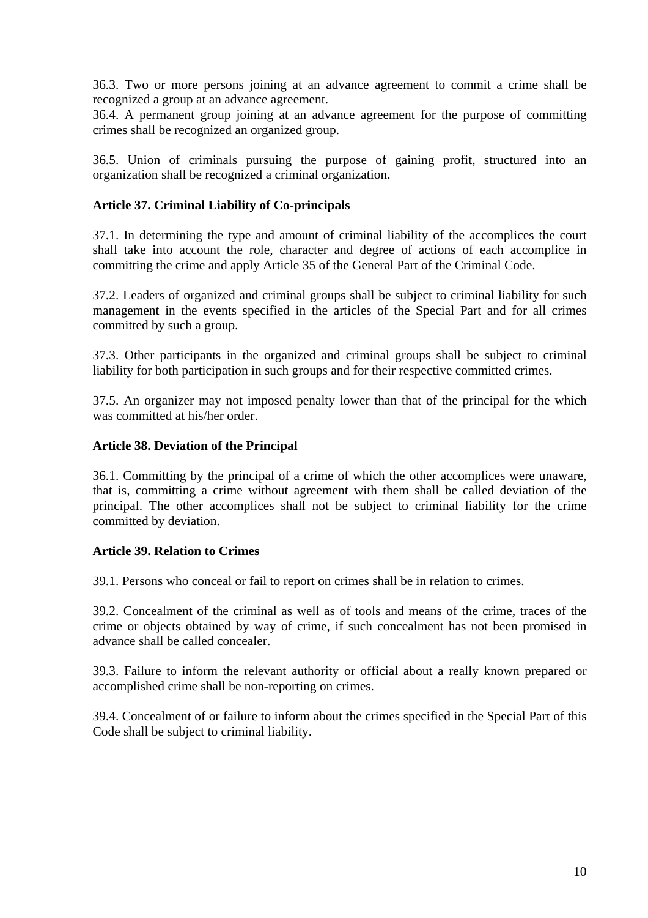36.3. Two or more persons joining at an advance agreement to commit a crime shall be recognized a group at an advance agreement.

36.4. A permanent group joining at an advance agreement for the purpose of committing crimes shall be recognized an organized group.

36.5. Union of criminals pursuing the purpose of gaining profit, structured into an organization shall be recognized a criminal organization.

### **Article 37. Criminal Liability of Co-principals**

37.1. In determining the type and amount of criminal liability of the accomplices the court shall take into account the role, character and degree of actions of each accomplice in committing the crime and apply Article 35 of the General Part of the Criminal Code.

37.2. Leaders of organized and criminal groups shall be subject to criminal liability for such management in the events specified in the articles of the Special Part and for all crimes committed by such a group.

37.3. Other participants in the organized and criminal groups shall be subject to criminal liability for both participation in such groups and for their respective committed crimes.

37.5. An organizer may not imposed penalty lower than that of the principal for the which was committed at his/her order.

#### **Article 38. Deviation of the Principal**

36.1. Committing by the principal of a crime of which the other accomplices were unaware, that is, committing a crime without agreement with them shall be called deviation of the principal. The other accomplices shall not be subject to criminal liability for the crime committed by deviation.

#### **Article 39. Relation to Crimes**

39.1. Persons who conceal or fail to report on crimes shall be in relation to crimes.

39.2. Concealment of the criminal as well as of tools and means of the crime, traces of the crime or objects obtained by way of crime, if such concealment has not been promised in advance shall be called concealer.

39.3. Failure to inform the relevant authority or official about a really known prepared or accomplished crime shall be non-reporting on crimes.

39.4. Concealment of or failure to inform about the crimes specified in the Special Part of this Code shall be subject to criminal liability.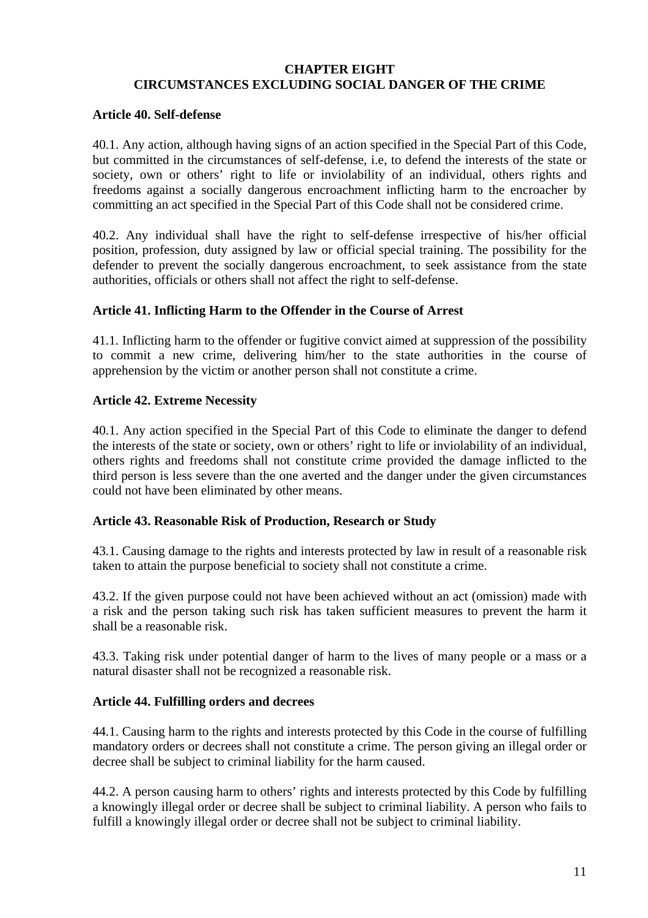# **CHAPTER EIGHT CIRCUMSTANCES EXCLUDING SOCIAL DANGER OF THE CRIME**

### **Article 40. Self-defense**

40.1. Any action, although having signs of an action specified in the Special Part of this Code, but committed in the circumstances of self-defense, i.e, to defend the interests of the state or society, own or others' right to life or inviolability of an individual, others rights and freedoms against a socially dangerous encroachment inflicting harm to the encroacher by committing an act specified in the Special Part of this Code shall not be considered crime.

40.2. Any individual shall have the right to self-defense irrespective of his/her official position, profession, duty assigned by law or official special training. The possibility for the defender to prevent the socially dangerous encroachment, to seek assistance from the state authorities, officials or others shall not affect the right to self-defense.

#### **Article 41. Inflicting Harm to the Offender in the Course of Arrest**

41.1. Inflicting harm to the offender or fugitive convict aimed at suppression of the possibility to commit a new crime, delivering him/her to the state authorities in the course of apprehension by the victim or another person shall not constitute a crime.

#### **Article 42. Extreme Necessity**

40.1. Any action specified in the Special Part of this Code to eliminate the danger to defend the interests of the state or society, own or others' right to life or inviolability of an individual, others rights and freedoms shall not constitute crime provided the damage inflicted to the third person is less severe than the one averted and the danger under the given circumstances could not have been eliminated by other means.

# **Article 43. Reasonable Risk of Production, Research or Study**

43.1. Causing damage to the rights and interests protected by law in result of a reasonable risk taken to attain the purpose beneficial to society shall not constitute a crime.

43.2. If the given purpose could not have been achieved without an act (omission) made with a risk and the person taking such risk has taken sufficient measures to prevent the harm it shall be a reasonable risk.

43.3. Taking risk under potential danger of harm to the lives of many people or a mass or a natural disaster shall not be recognized a reasonable risk.

#### **Article 44. Fulfilling orders and decrees**

44.1. Causing harm to the rights and interests protected by this Code in the course of fulfilling mandatory orders or decrees shall not constitute a crime. The person giving an illegal order or decree shall be subject to criminal liability for the harm caused.

44.2. A person causing harm to others' rights and interests protected by this Code by fulfilling a knowingly illegal order or decree shall be subject to criminal liability. A person who fails to fulfill a knowingly illegal order or decree shall not be subject to criminal liability.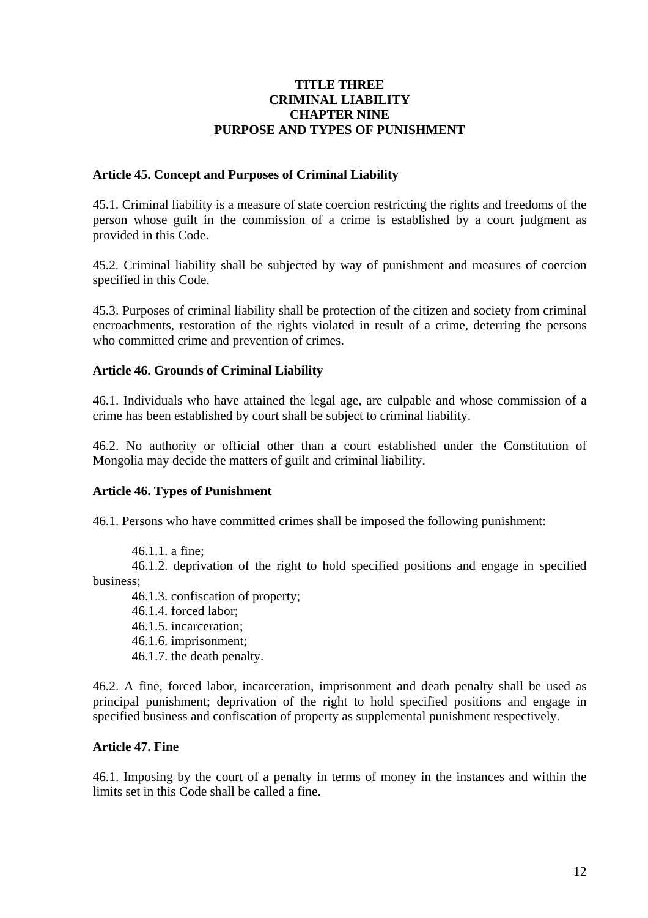#### **TITLE THREE CRIMINAL LIABILITY CHAPTER NINE PURPOSE AND TYPES OF PUNISHMENT**

### **Article 45. Concept and Purposes of Criminal Liability**

45.1. Criminal liability is a measure of state coercion restricting the rights and freedoms of the person whose guilt in the commission of a crime is established by a court judgment as provided in this Code.

45.2. Criminal liability shall be subjected by way of punishment and measures of coercion specified in this Code.

45.3. Purposes of criminal liability shall be protection of the citizen and society from criminal encroachments, restoration of the rights violated in result of a crime, deterring the persons who committed crime and prevention of crimes.

# **Article 46. Grounds of Criminal Liability**

46.1. Individuals who have attained the legal age, are culpable and whose commission of a crime has been established by court shall be subject to criminal liability.

46.2. No authority or official other than a court established under the Constitution of Mongolia may decide the matters of guilt and criminal liability.

#### **Article 46. Types of Punishment**

46.1. Persons who have committed crimes shall be imposed the following punishment:

46.1.1. a fine;

46.1.2. deprivation of the right to hold specified positions and engage in specified business;

46.1.3. confiscation of property;

46.1.4. forced labor;

46.1.5. incarceration;

46.1.6. imprisonment;

46.1.7. the death penalty.

46.2. A fine, forced labor, incarceration, imprisonment and death penalty shall be used as principal punishment; deprivation of the right to hold specified positions and engage in specified business and confiscation of property as supplemental punishment respectively.

#### **Article 47. Fine**

46.1. Imposing by the court of a penalty in terms of money in the instances and within the limits set in this Code shall be called a fine.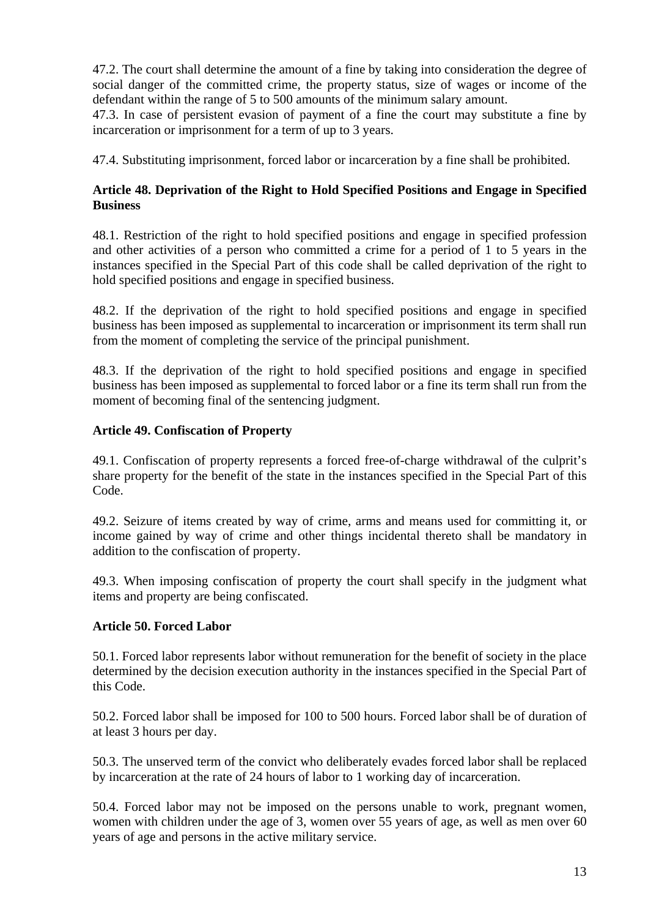47.2. The court shall determine the amount of a fine by taking into consideration the degree of social danger of the committed crime, the property status, size of wages or income of the defendant within the range of 5 to 500 amounts of the minimum salary amount.

47.3. In case of persistent evasion of payment of a fine the court may substitute a fine by incarceration or imprisonment for a term of up to 3 years.

47.4. Substituting imprisonment, forced labor or incarceration by a fine shall be prohibited.

# **Article 48. Deprivation of the Right to Hold Specified Positions and Engage in Specified Business**

48.1. Restriction of the right to hold specified positions and engage in specified profession and other activities of a person who committed a crime for a period of 1 to 5 years in the instances specified in the Special Part of this code shall be called deprivation of the right to hold specified positions and engage in specified business.

48.2. If the deprivation of the right to hold specified positions and engage in specified business has been imposed as supplemental to incarceration or imprisonment its term shall run from the moment of completing the service of the principal punishment.

48.3. If the deprivation of the right to hold specified positions and engage in specified business has been imposed as supplemental to forced labor or a fine its term shall run from the moment of becoming final of the sentencing judgment.

# **Article 49. Confiscation of Property**

49.1. Confiscation of property represents a forced free-of-charge withdrawal of the culprit's share property for the benefit of the state in the instances specified in the Special Part of this Code.

49.2. Seizure of items created by way of crime, arms and means used for committing it, or income gained by way of crime and other things incidental thereto shall be mandatory in addition to the confiscation of property.

49.3. When imposing confiscation of property the court shall specify in the judgment what items and property are being confiscated.

# **Article 50. Forced Labor**

50.1. Forced labor represents labor without remuneration for the benefit of society in the place determined by the decision execution authority in the instances specified in the Special Part of this Code.

50.2. Forced labor shall be imposed for 100 to 500 hours. Forced labor shall be of duration of at least 3 hours per day.

50.3. The unserved term of the convict who deliberately evades forced labor shall be replaced by incarceration at the rate of 24 hours of labor to 1 working day of incarceration.

50.4. Forced labor may not be imposed on the persons unable to work, pregnant women, women with children under the age of 3, women over 55 years of age, as well as men over 60 years of age and persons in the active military service.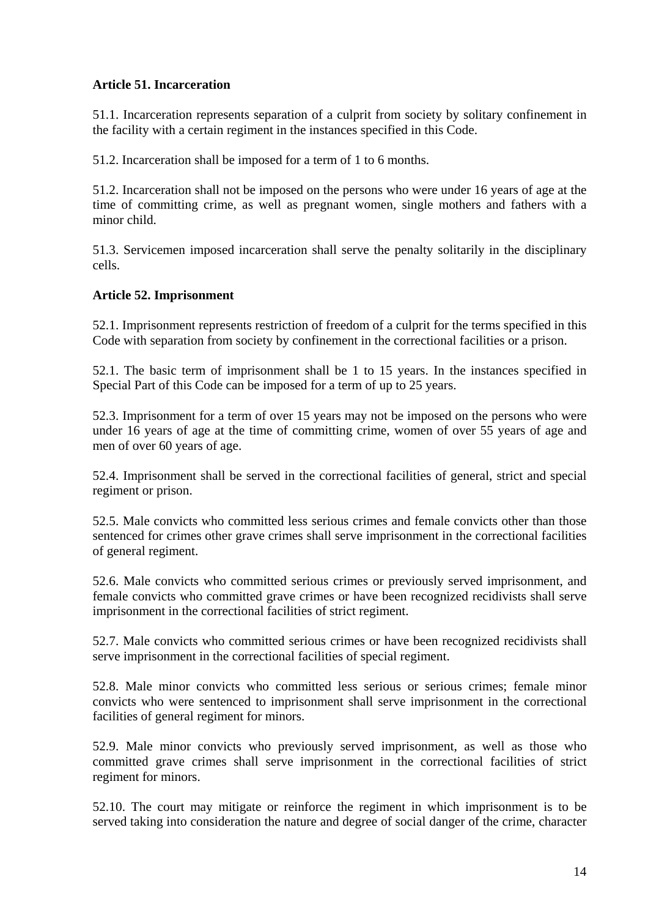# **Article 51. Incarceration**

51.1. Incarceration represents separation of a culprit from society by solitary confinement in the facility with a certain regiment in the instances specified in this Code.

51.2. Incarceration shall be imposed for a term of 1 to 6 months.

51.2. Incarceration shall not be imposed on the persons who were under 16 years of age at the time of committing crime, as well as pregnant women, single mothers and fathers with a minor child.

51.3. Servicemen imposed incarceration shall serve the penalty solitarily in the disciplinary cells.

# **Article 52. Imprisonment**

52.1. Imprisonment represents restriction of freedom of a culprit for the terms specified in this Code with separation from society by confinement in the correctional facilities or a prison.

52.1. The basic term of imprisonment shall be 1 to 15 years. In the instances specified in Special Part of this Code can be imposed for a term of up to 25 years.

52.3. Imprisonment for a term of over 15 years may not be imposed on the persons who were under 16 years of age at the time of committing crime, women of over 55 years of age and men of over 60 years of age.

52.4. Imprisonment shall be served in the correctional facilities of general, strict and special regiment or prison.

52.5. Male convicts who committed less serious crimes and female convicts other than those sentenced for crimes other grave crimes shall serve imprisonment in the correctional facilities of general regiment.

52.6. Male convicts who committed serious crimes or previously served imprisonment, and female convicts who committed grave crimes or have been recognized recidivists shall serve imprisonment in the correctional facilities of strict regiment.

52.7. Male convicts who committed serious crimes or have been recognized recidivists shall serve imprisonment in the correctional facilities of special regiment.

52.8. Male minor convicts who committed less serious or serious crimes; female minor convicts who were sentenced to imprisonment shall serve imprisonment in the correctional facilities of general regiment for minors.

52.9. Male minor convicts who previously served imprisonment, as well as those who committed grave crimes shall serve imprisonment in the correctional facilities of strict regiment for minors.

52.10. The court may mitigate or reinforce the regiment in which imprisonment is to be served taking into consideration the nature and degree of social danger of the crime, character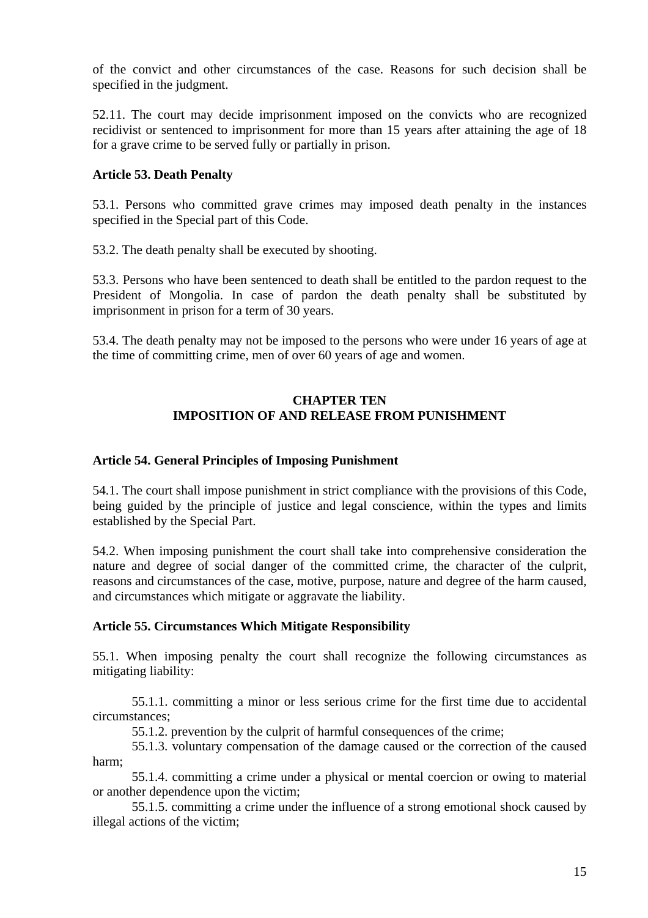of the convict and other circumstances of the case. Reasons for such decision shall be specified in the judgment.

52.11. The court may decide imprisonment imposed on the convicts who are recognized recidivist or sentenced to imprisonment for more than 15 years after attaining the age of 18 for a grave crime to be served fully or partially in prison.

# **Article 53. Death Penalty**

53.1. Persons who committed grave crimes may imposed death penalty in the instances specified in the Special part of this Code.

53.2. The death penalty shall be executed by shooting.

53.3. Persons who have been sentenced to death shall be entitled to the pardon request to the President of Mongolia. In case of pardon the death penalty shall be substituted by imprisonment in prison for a term of 30 years.

53.4. The death penalty may not be imposed to the persons who were under 16 years of age at the time of committing crime, men of over 60 years of age and women.

# **CHAPTER TEN IMPOSITION OF AND RELEASE FROM PUNISHMENT**

#### **Article 54. General Principles of Imposing Punishment**

54.1. The court shall impose punishment in strict compliance with the provisions of this Code, being guided by the principle of justice and legal conscience, within the types and limits established by the Special Part.

54.2. When imposing punishment the court shall take into comprehensive consideration the nature and degree of social danger of the committed crime, the character of the culprit, reasons and circumstances of the case, motive, purpose, nature and degree of the harm caused, and circumstances which mitigate or aggravate the liability.

# **Article 55. Circumstances Which Mitigate Responsibility**

55.1. When imposing penalty the court shall recognize the following circumstances as mitigating liability:

55.1.1. committing a minor or less serious crime for the first time due to accidental circumstances;

55.1.2. prevention by the culprit of harmful consequences of the crime;

55.1.3. voluntary compensation of the damage caused or the correction of the caused harm;

55.1.4. committing a crime under a physical or mental coercion or owing to material or another dependence upon the victim;

55.1.5. committing a crime under the influence of a strong emotional shock caused by illegal actions of the victim;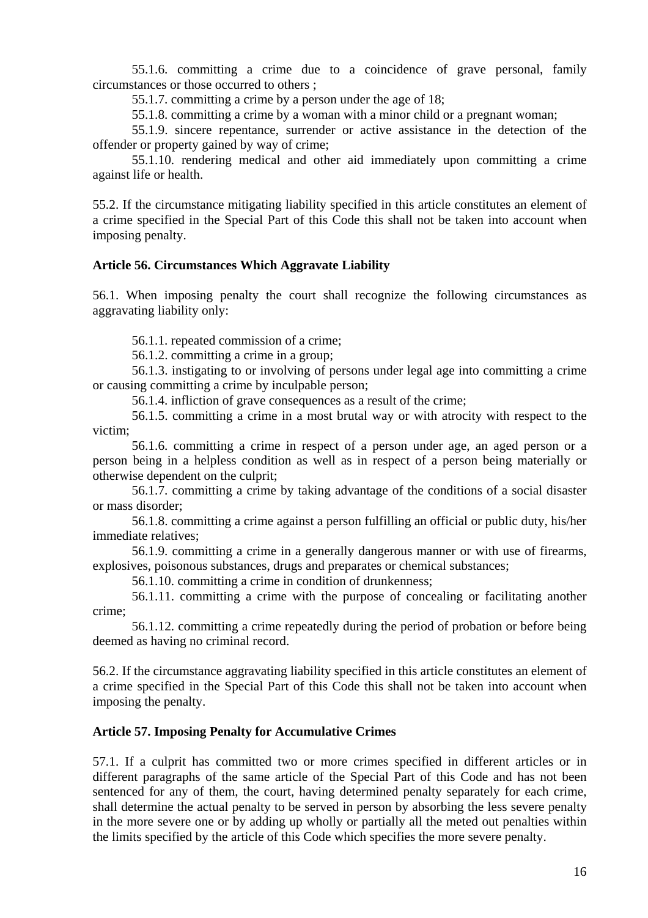55.1.6. committing a crime due to a coincidence of grave personal, family circumstances or those occurred to others ;

55.1.7. committing a crime by a person under the age of 18;

55.1.8. committing a crime by a woman with a minor child or a pregnant woman;

55.1.9. sincere repentance, surrender or active assistance in the detection of the offender or property gained by way of crime;

55.1.10. rendering medical and other aid immediately upon committing a crime against life or health.

55.2. If the circumstance mitigating liability specified in this article constitutes an element of a crime specified in the Special Part of this Code this shall not be taken into account when imposing penalty.

#### **Article 56. Circumstances Which Aggravate Liability**

56.1. When imposing penalty the court shall recognize the following circumstances as aggravating liability only:

56.1.1. repeated commission of a crime;

56.1.2. committing a crime in a group;

56.1.3. instigating to or involving of persons under legal age into committing a crime or causing committing a crime by inculpable person;

56.1.4. infliction of grave consequences as a result of the crime;

56.1.5. committing a crime in a most brutal way or with atrocity with respect to the victim;

56.1.6. committing a crime in respect of a person under age, an aged person or a person being in a helpless condition as well as in respect of a person being materially or otherwise dependent on the culprit;

56.1.7. committing a crime by taking advantage of the conditions of a social disaster or mass disorder;

56.1.8. committing a crime against a person fulfilling an official or public duty, his/her immediate relatives;

56.1.9. committing a crime in a generally dangerous manner or with use of firearms, explosives, poisonous substances, drugs and preparates or chemical substances;

56.1.10. committing a crime in condition of drunkenness;

56.1.11. committing a crime with the purpose of concealing or facilitating another crime;

56.1.12. committing a crime repeatedly during the period of probation or before being deemed as having no criminal record.

56.2. If the circumstance aggravating liability specified in this article constitutes an element of a crime specified in the Special Part of this Code this shall not be taken into account when imposing the penalty.

# **Article 57. Imposing Penalty for Accumulative Crimes**

57.1. If a culprit has committed two or more crimes specified in different articles or in different paragraphs of the same article of the Special Part of this Code and has not been sentenced for any of them, the court, having determined penalty separately for each crime, shall determine the actual penalty to be served in person by absorbing the less severe penalty in the more severe one or by adding up wholly or partially all the meted out penalties within the limits specified by the article of this Code which specifies the more severe penalty.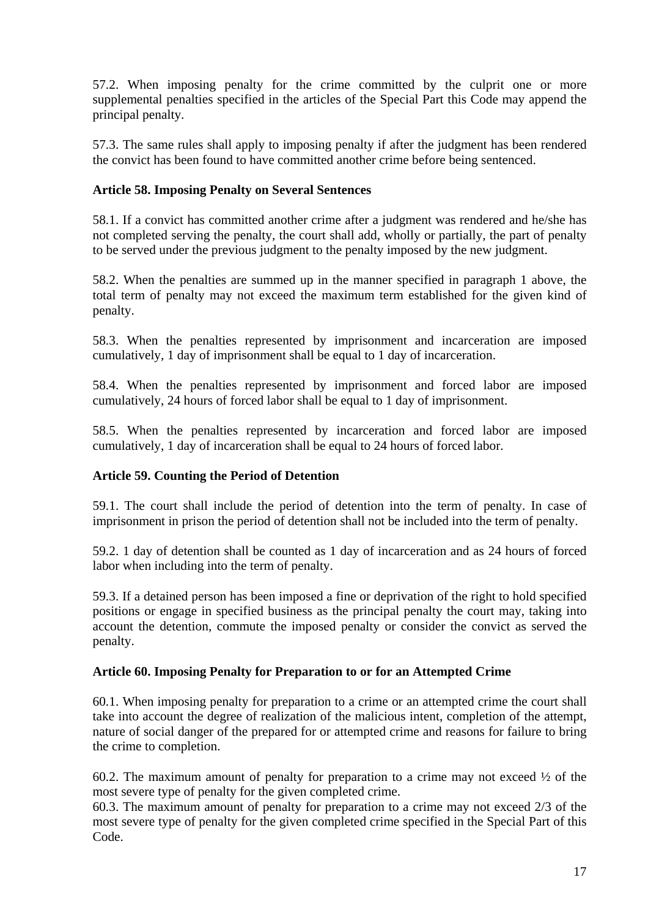57.2. When imposing penalty for the crime committed by the culprit one or more supplemental penalties specified in the articles of the Special Part this Code may append the principal penalty.

57.3. The same rules shall apply to imposing penalty if after the judgment has been rendered the convict has been found to have committed another crime before being sentenced.

# **Article 58. Imposing Penalty on Several Sentences**

58.1. If a convict has committed another crime after a judgment was rendered and he/she has not completed serving the penalty, the court shall add, wholly or partially, the part of penalty to be served under the previous judgment to the penalty imposed by the new judgment.

58.2. When the penalties are summed up in the manner specified in paragraph 1 above, the total term of penalty may not exceed the maximum term established for the given kind of penalty.

58.3. When the penalties represented by imprisonment and incarceration are imposed cumulatively, 1 day of imprisonment shall be equal to 1 day of incarceration.

58.4. When the penalties represented by imprisonment and forced labor are imposed cumulatively, 24 hours of forced labor shall be equal to 1 day of imprisonment.

58.5. When the penalties represented by incarceration and forced labor are imposed cumulatively, 1 day of incarceration shall be equal to 24 hours of forced labor.

# **Article 59. Counting the Period of Detention**

59.1. The court shall include the period of detention into the term of penalty. In case of imprisonment in prison the period of detention shall not be included into the term of penalty.

59.2. 1 day of detention shall be counted as 1 day of incarceration and as 24 hours of forced labor when including into the term of penalty.

59.3. If a detained person has been imposed a fine or deprivation of the right to hold specified positions or engage in specified business as the principal penalty the court may, taking into account the detention, commute the imposed penalty or consider the convict as served the penalty.

# **Article 60. Imposing Penalty for Preparation to or for an Attempted Crime**

60.1. When imposing penalty for preparation to a crime or an attempted crime the court shall take into account the degree of realization of the malicious intent, completion of the attempt, nature of social danger of the prepared for or attempted crime and reasons for failure to bring the crime to completion.

60.2. The maximum amount of penalty for preparation to a crime may not exceed ½ of the most severe type of penalty for the given completed crime.

60.3. The maximum amount of penalty for preparation to a crime may not exceed 2/3 of the most severe type of penalty for the given completed crime specified in the Special Part of this Code.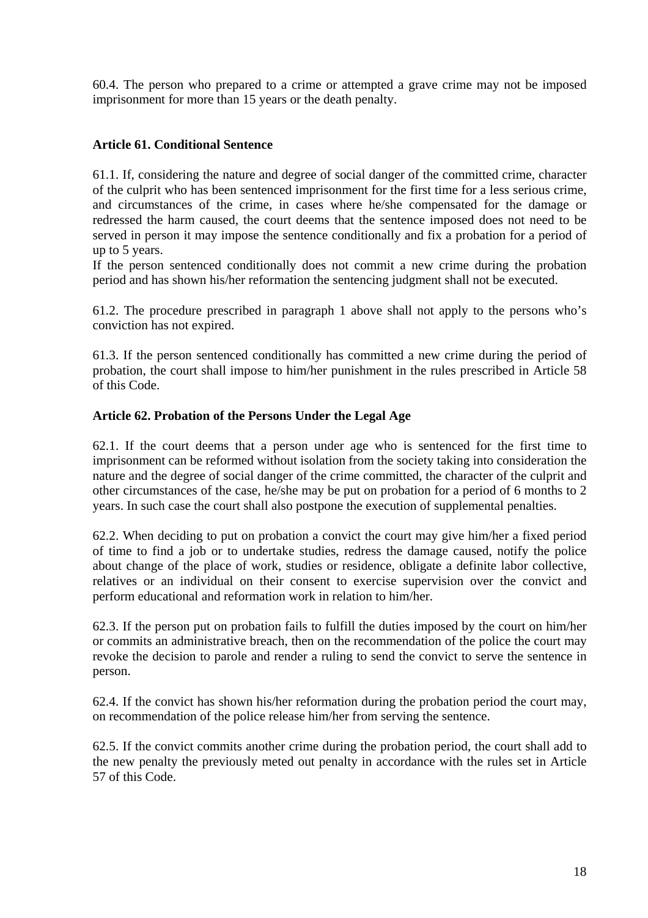60.4. The person who prepared to a crime or attempted a grave crime may not be imposed imprisonment for more than 15 years or the death penalty.

### **Article 61. Conditional Sentence**

61.1. If, considering the nature and degree of social danger of the committed crime, character of the culprit who has been sentenced imprisonment for the first time for a less serious crime, and circumstances of the crime, in cases where he/she compensated for the damage or redressed the harm caused, the court deems that the sentence imposed does not need to be served in person it may impose the sentence conditionally and fix a probation for a period of up to 5 years.

If the person sentenced conditionally does not commit a new crime during the probation period and has shown his/her reformation the sentencing judgment shall not be executed.

61.2. The procedure prescribed in paragraph 1 above shall not apply to the persons who's conviction has not expired.

61.3. If the person sentenced conditionally has committed a new crime during the period of probation, the court shall impose to him/her punishment in the rules prescribed in Article 58 of this Code.

#### **Article 62. Probation of the Persons Under the Legal Age**

62.1. If the court deems that a person under age who is sentenced for the first time to imprisonment can be reformed without isolation from the society taking into consideration the nature and the degree of social danger of the crime committed, the character of the culprit and other circumstances of the case, he/she may be put on probation for a period of 6 months to 2 years. In such case the court shall also postpone the execution of supplemental penalties.

62.2. When deciding to put on probation a convict the court may give him/her a fixed period of time to find a job or to undertake studies, redress the damage caused, notify the police about change of the place of work, studies or residence, obligate a definite labor collective, relatives or an individual on their consent to exercise supervision over the convict and perform educational and reformation work in relation to him/her.

62.3. If the person put on probation fails to fulfill the duties imposed by the court on him/her or commits an administrative breach, then on the recommendation of the police the court may revoke the decision to parole and render a ruling to send the convict to serve the sentence in person.

62.4. If the convict has shown his/her reformation during the probation period the court may, on recommendation of the police release him/her from serving the sentence.

62.5. If the convict commits another crime during the probation period, the court shall add to the new penalty the previously meted out penalty in accordance with the rules set in Article 57 of this Code.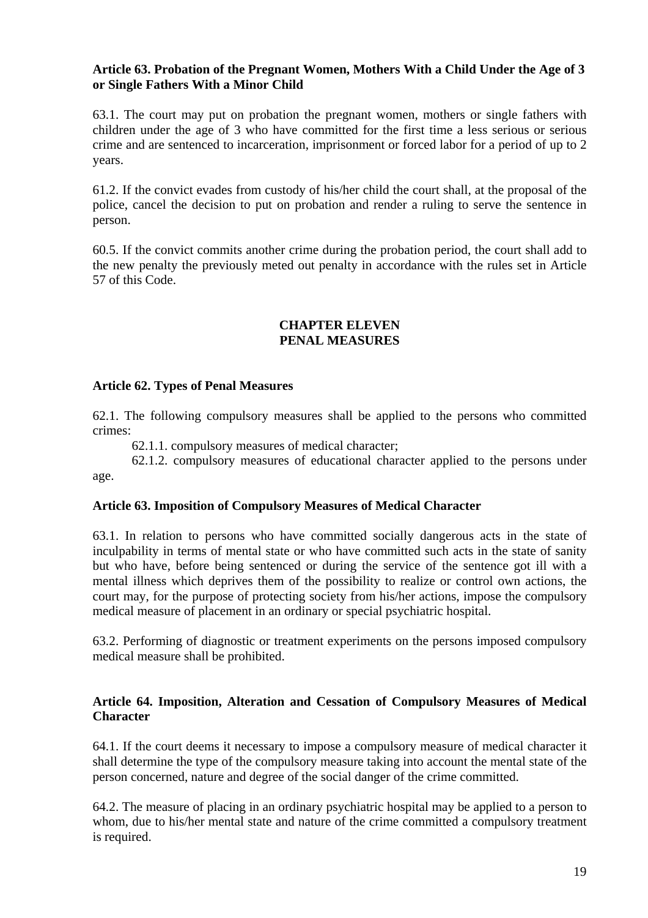#### **Article 63. Probation of the Pregnant Women, Mothers With a Child Under the Age of 3 or Single Fathers With a Minor Child**

63.1. The court may put on probation the pregnant women, mothers or single fathers with children under the age of 3 who have committed for the first time a less serious or serious crime and are sentenced to incarceration, imprisonment or forced labor for a period of up to 2 years.

61.2. If the convict evades from custody of his/her child the court shall, at the proposal of the police, cancel the decision to put on probation and render a ruling to serve the sentence in person.

60.5. If the convict commits another crime during the probation period, the court shall add to the new penalty the previously meted out penalty in accordance with the rules set in Article 57 of this Code.

#### **CHAPTER ELEVEN PENAL MEASURES**

#### **Article 62. Types of Penal Measures**

62.1. The following compulsory measures shall be applied to the persons who committed crimes:

62.1.1. compulsory measures of medical character;

62.1.2. compulsory measures of educational character applied to the persons under age.

# **Article 63. Imposition of Compulsory Measures of Medical Character**

63.1. In relation to persons who have committed socially dangerous acts in the state of inculpability in terms of mental state or who have committed such acts in the state of sanity but who have, before being sentenced or during the service of the sentence got ill with a mental illness which deprives them of the possibility to realize or control own actions, the court may, for the purpose of protecting society from his/her actions, impose the compulsory medical measure of placement in an ordinary or special psychiatric hospital.

63.2. Performing of diagnostic or treatment experiments on the persons imposed compulsory medical measure shall be prohibited.

#### **Article 64. Imposition, Alteration and Cessation of Compulsory Measures of Medical Character**

64.1. If the court deems it necessary to impose a compulsory measure of medical character it shall determine the type of the compulsory measure taking into account the mental state of the person concerned, nature and degree of the social danger of the crime committed.

64.2. The measure of placing in an ordinary psychiatric hospital may be applied to a person to whom, due to his/her mental state and nature of the crime committed a compulsory treatment is required.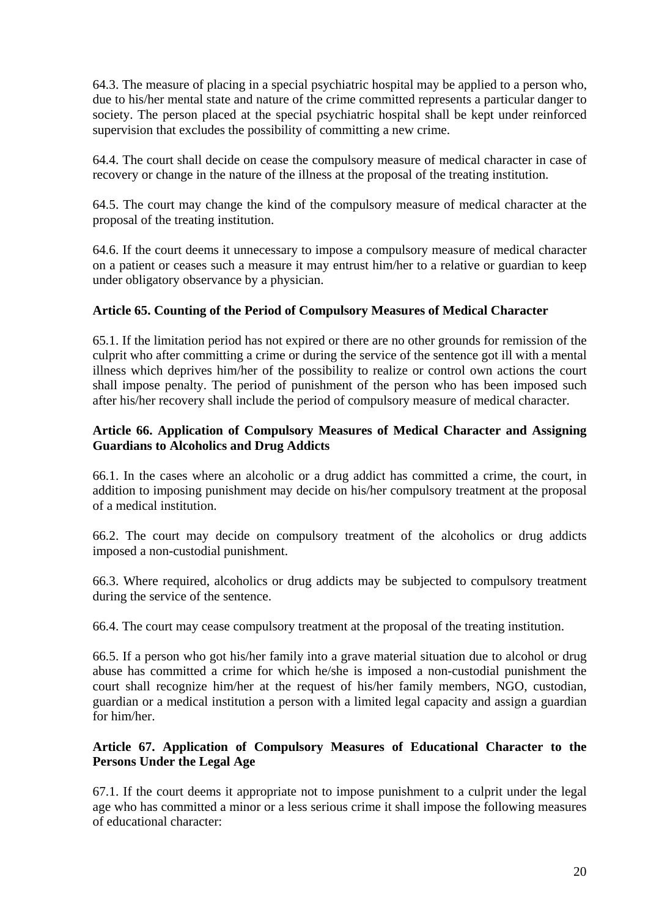64.3. The measure of placing in a special psychiatric hospital may be applied to a person who, due to his/her mental state and nature of the crime committed represents a particular danger to society. The person placed at the special psychiatric hospital shall be kept under reinforced supervision that excludes the possibility of committing a new crime.

64.4. The court shall decide on cease the compulsory measure of medical character in case of recovery or change in the nature of the illness at the proposal of the treating institution.

64.5. The court may change the kind of the compulsory measure of medical character at the proposal of the treating institution.

64.6. If the court deems it unnecessary to impose a compulsory measure of medical character on a patient or ceases such a measure it may entrust him/her to a relative or guardian to keep under obligatory observance by a physician.

# **Article 65. Counting of the Period of Compulsory Measures of Medical Character**

65.1. If the limitation period has not expired or there are no other grounds for remission of the culprit who after committing a crime or during the service of the sentence got ill with a mental illness which deprives him/her of the possibility to realize or control own actions the court shall impose penalty. The period of punishment of the person who has been imposed such after his/her recovery shall include the period of compulsory measure of medical character.

# **Article 66. Application of Compulsory Measures of Medical Character and Assigning Guardians to Alcoholics and Drug Addicts**

66.1. In the cases where an alcoholic or a drug addict has committed a crime, the court, in addition to imposing punishment may decide on his/her compulsory treatment at the proposal of a medical institution.

66.2. The court may decide on compulsory treatment of the alcoholics or drug addicts imposed a non-custodial punishment.

66.3. Where required, alcoholics or drug addicts may be subjected to compulsory treatment during the service of the sentence.

66.4. The court may cease compulsory treatment at the proposal of the treating institution.

66.5. If a person who got his/her family into a grave material situation due to alcohol or drug abuse has committed a crime for which he/she is imposed a non-custodial punishment the court shall recognize him/her at the request of his/her family members, NGO, custodian, guardian or a medical institution a person with a limited legal capacity and assign a guardian for him/her.

# **Article 67. Application of Compulsory Measures of Educational Character to the Persons Under the Legal Age**

67.1. If the court deems it appropriate not to impose punishment to a culprit under the legal age who has committed a minor or a less serious crime it shall impose the following measures of educational character: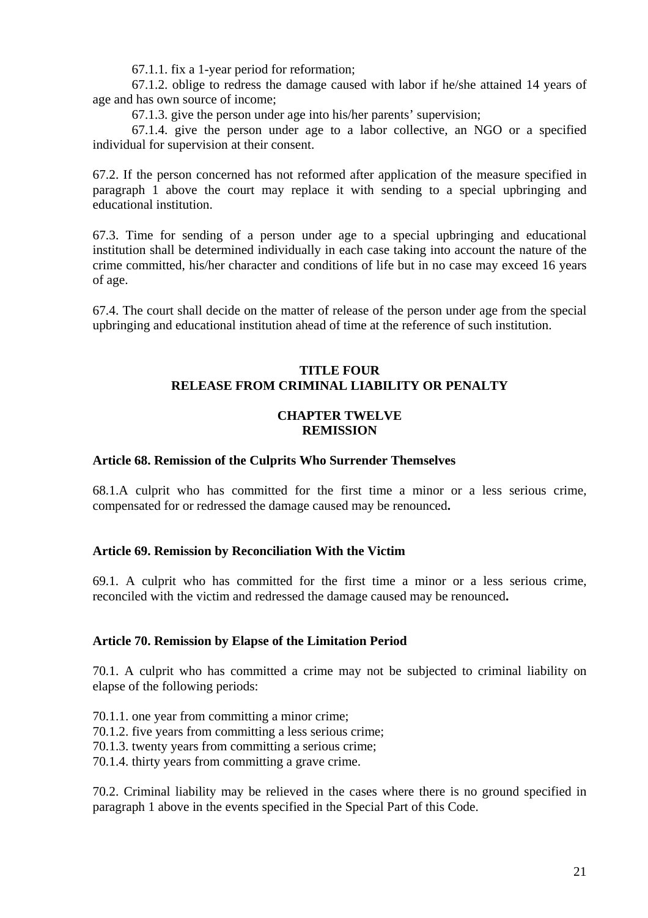67.1.1. fix a 1-year period for reformation;

67.1.2. oblige to redress the damage caused with labor if he/she attained 14 years of age and has own source of income;

67.1.3. give the person under age into his/her parents' supervision;

67.1.4. give the person under age to a labor collective, an NGO or a specified individual for supervision at their consent.

67.2. If the person concerned has not reformed after application of the measure specified in paragraph 1 above the court may replace it with sending to a special upbringing and educational institution.

67.3. Time for sending of a person under age to a special upbringing and educational institution shall be determined individually in each case taking into account the nature of the crime committed, his/her character and conditions of life but in no case may exceed 16 years of age.

67.4. The court shall decide on the matter of release of the person under age from the special upbringing and educational institution ahead of time at the reference of such institution.

# **TITLE FOUR RELEASE FROM CRIMINAL LIABILITY OR PENALTY**

#### **CHAPTER TWELVE REMISSION**

#### **Article 68. Remission of the Culprits Who Surrender Themselves**

68.1.A culprit who has committed for the first time a minor or a less serious crime, compensated for or redressed the damage caused may be renounced**.** 

# **Article 69. Remission by Reconciliation With the Victim**

69.1. A culprit who has committed for the first time a minor or a less serious crime, reconciled with the victim and redressed the damage caused may be renounced**.** 

#### **Article 70. Remission by Elapse of the Limitation Period**

70.1. A culprit who has committed a crime may not be subjected to criminal liability on elapse of the following periods:

70.1.1. one year from committing a minor crime;

70.1.2. five years from committing a less serious crime;

- 70.1.3. twenty years from committing a serious crime;
- 70.1.4. thirty years from committing a grave crime.

70.2. Criminal liability may be relieved in the cases where there is no ground specified in paragraph 1 above in the events specified in the Special Part of this Code.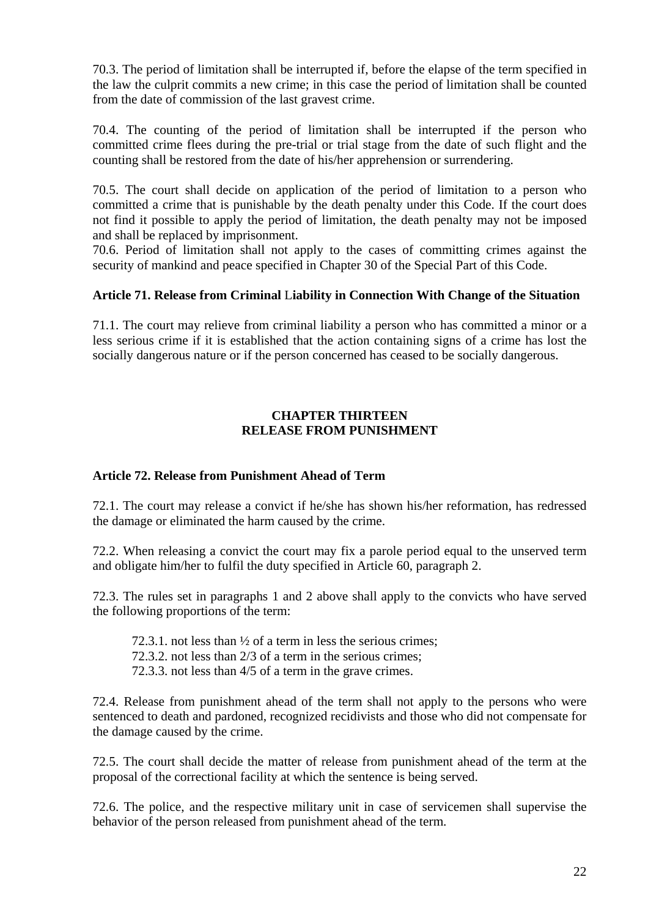70.3. The period of limitation shall be interrupted if, before the elapse of the term specified in the law the culprit commits a new crime; in this case the period of limitation shall be counted from the date of commission of the last gravest crime.

70.4. The counting of the period of limitation shall be interrupted if the person who committed crime flees during the pre-trial or trial stage from the date of such flight and the counting shall be restored from the date of his/her apprehension or surrendering.

70.5. The court shall decide on application of the period of limitation to a person who committed a crime that is punishable by the death penalty under this Code. If the court does not find it possible to apply the period of limitation, the death penalty may not be imposed and shall be replaced by imprisonment.

70.6. Period of limitation shall not apply to the cases of committing crimes against the security of mankind and peace specified in Chapter 30 of the Special Part of this Code.

#### **Article 71. Release from Criminal** L**iability in Connection With Change of the Situation**

71.1. The court may relieve from criminal liability a person who has committed a minor or a less serious crime if it is established that the action containing signs of a crime has lost the socially dangerous nature or if the person concerned has ceased to be socially dangerous.

#### **CHAPTER THIRTEEN RELEASE FROM PUNISHMENT**

#### **Article 72. Release from Punishment Ahead of Term**

72.1. The court may release a convict if he/she has shown his/her reformation, has redressed the damage or eliminated the harm caused by the crime.

72.2. When releasing a convict the court may fix a parole period equal to the unserved term and obligate him/her to fulfil the duty specified in Article 60, paragraph 2.

72.3. The rules set in paragraphs 1 and 2 above shall apply to the convicts who have served the following proportions of the term:

- 72.3.1. not less than  $\frac{1}{2}$  of a term in less the serious crimes;
- 72.3.2. not less than 2/3 of a term in the serious crimes;
- 72.3.3. not less than 4/5 of a term in the grave crimes.

72.4. Release from punishment ahead of the term shall not apply to the persons who were sentenced to death and pardoned, recognized recidivists and those who did not compensate for the damage caused by the crime.

72.5. The court shall decide the matter of release from punishment ahead of the term at the proposal of the correctional facility at which the sentence is being served.

72.6. The police, and the respective military unit in case of servicemen shall supervise the behavior of the person released from punishment ahead of the term.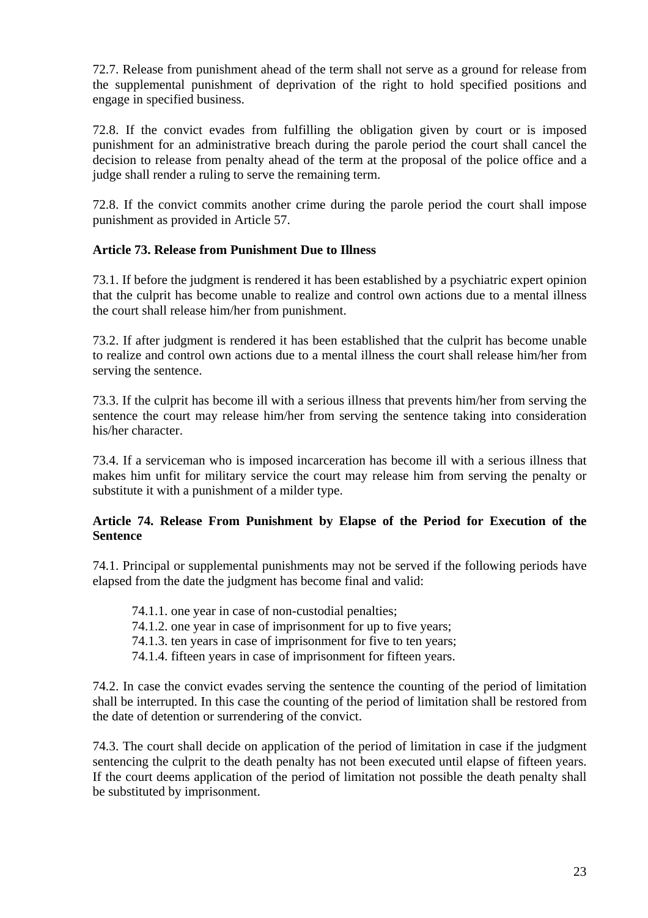72.7. Release from punishment ahead of the term shall not serve as a ground for release from the supplemental punishment of deprivation of the right to hold specified positions and engage in specified business.

72.8. If the convict evades from fulfilling the obligation given by court or is imposed punishment for an administrative breach during the parole period the court shall cancel the decision to release from penalty ahead of the term at the proposal of the police office and a judge shall render a ruling to serve the remaining term.

72.8. If the convict commits another crime during the parole period the court shall impose punishment as provided in Article 57.

# **Article 73. Release from Punishment Due to Illness**

73.1. If before the judgment is rendered it has been established by a psychiatric expert opinion that the culprit has become unable to realize and control own actions due to a mental illness the court shall release him/her from punishment.

73.2. If after judgment is rendered it has been established that the culprit has become unable to realize and control own actions due to a mental illness the court shall release him/her from serving the sentence.

73.3. If the culprit has become ill with a serious illness that prevents him/her from serving the sentence the court may release him/her from serving the sentence taking into consideration his/her character.

73.4. If a serviceman who is imposed incarceration has become ill with a serious illness that makes him unfit for military service the court may release him from serving the penalty or substitute it with a punishment of a milder type.

# **Article 74. Release From Punishment by Elapse of the Period for Execution of the Sentence**

74.1. Principal or supplemental punishments may not be served if the following periods have elapsed from the date the judgment has become final and valid:

- 74.1.1. one year in case of non-custodial penalties;
- 74.1.2. one year in case of imprisonment for up to five years;
- 74.1.3. ten years in case of imprisonment for five to ten years;
- 74.1.4. fifteen years in case of imprisonment for fifteen years.

74.2. In case the convict evades serving the sentence the counting of the period of limitation shall be interrupted. In this case the counting of the period of limitation shall be restored from the date of detention or surrendering of the convict.

74.3. The court shall decide on application of the period of limitation in case if the judgment sentencing the culprit to the death penalty has not been executed until elapse of fifteen years. If the court deems application of the period of limitation not possible the death penalty shall be substituted by imprisonment.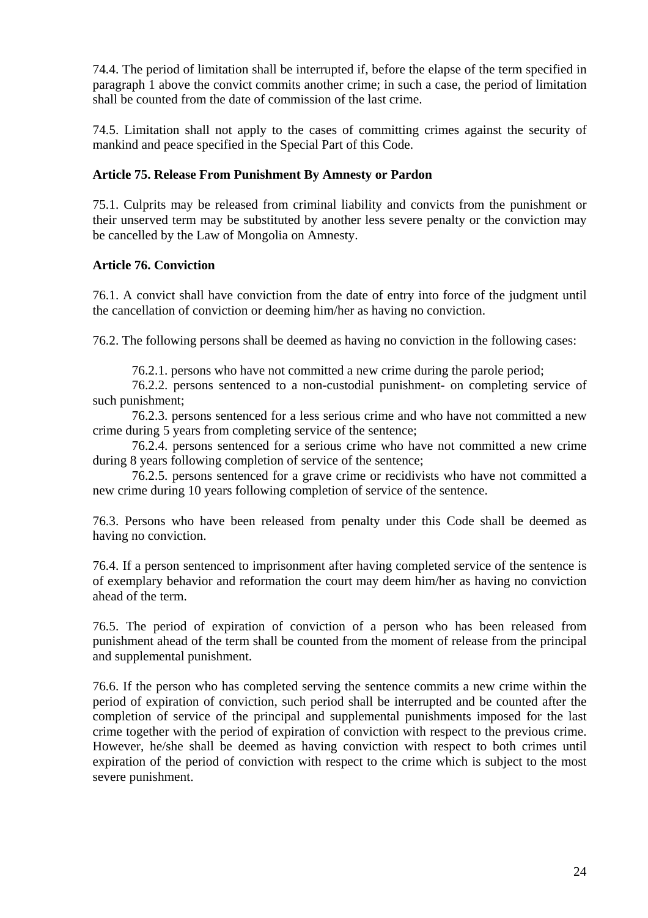74.4. The period of limitation shall be interrupted if, before the elapse of the term specified in paragraph 1 above the convict commits another crime; in such a case, the period of limitation shall be counted from the date of commission of the last crime.

74.5. Limitation shall not apply to the cases of committing crimes against the security of mankind and peace specified in the Special Part of this Code.

# **Article 75. Release From Punishment By Amnesty or Pardon**

75.1. Culprits may be released from criminal liability and convicts from the punishment or their unserved term may be substituted by another less severe penalty or the conviction may be cancelled by the Law of Mongolia on Amnesty.

# **Article 76. Conviction**

76.1. A convict shall have conviction from the date of entry into force of the judgment until the cancellation of conviction or deeming him/her as having no conviction.

76.2. The following persons shall be deemed as having no conviction in the following cases:

76.2.1. persons who have not committed a new crime during the parole period;

76.2.2. persons sentenced to a non-custodial punishment- on completing service of such punishment;

76.2.3. persons sentenced for a less serious crime and who have not committed a new crime during 5 years from completing service of the sentence;

76.2.4. persons sentenced for a serious crime who have not committed a new crime during 8 years following completion of service of the sentence;

76.2.5. persons sentenced for a grave crime or recidivists who have not committed a new crime during 10 years following completion of service of the sentence.

76.3. Persons who have been released from penalty under this Code shall be deemed as having no conviction.

76.4. If a person sentenced to imprisonment after having completed service of the sentence is of exemplary behavior and reformation the court may deem him/her as having no conviction ahead of the term.

76.5. The period of expiration of conviction of a person who has been released from punishment ahead of the term shall be counted from the moment of release from the principal and supplemental punishment.

76.6. If the person who has completed serving the sentence commits a new crime within the period of expiration of conviction, such period shall be interrupted and be counted after the completion of service of the principal and supplemental punishments imposed for the last crime together with the period of expiration of conviction with respect to the previous crime. However, he/she shall be deemed as having conviction with respect to both crimes until expiration of the period of conviction with respect to the crime which is subject to the most severe punishment.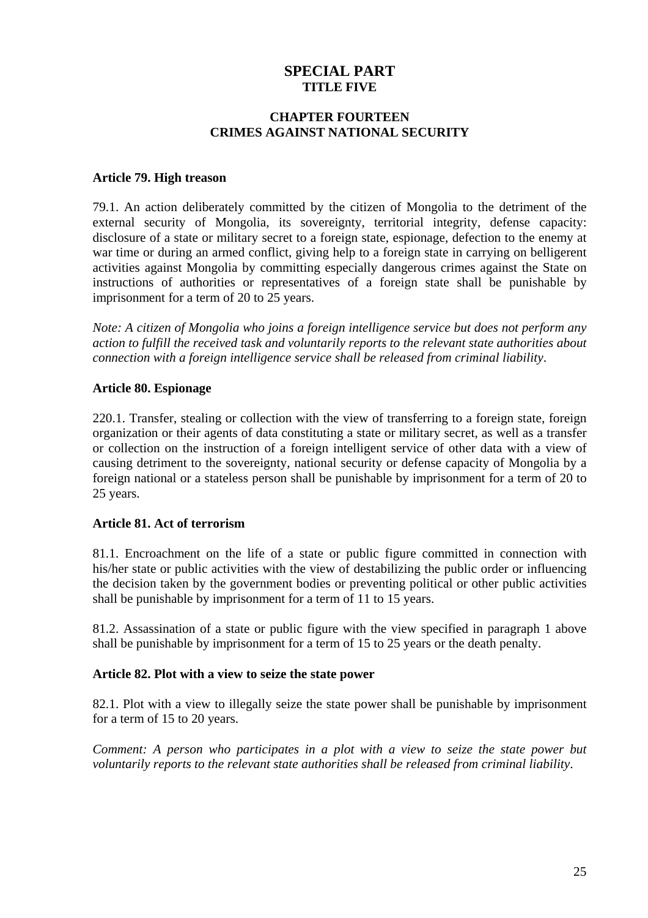# **SPECIAL PART TITLE FIVE**

#### **CHAPTER FOURTEEN CRIMES AGAINST NATIONAL SECURITY**

#### **Article 79. High treason**

79.1. An action deliberately committed by the citizen of Mongolia to the detriment of the external security of Mongolia, its sovereignty, territorial integrity, defense capacity: disclosure of a state or military secret to a foreign state, espionage, defection to the enemy at war time or during an armed conflict, giving help to a foreign state in carrying on belligerent activities against Mongolia by committing especially dangerous crimes against the State on instructions of authorities or representatives of a foreign state shall be punishable by imprisonment for a term of 20 to 25 years.

*Note: A citizen of Mongolia who joins a foreign intelligence service but does not perform any action to fulfill the received task and voluntarily reports to the relevant state authorities about connection with a foreign intelligence service shall be released from criminal liability*.

#### **Article 80. Espionage**

220.1. Transfer, stealing or collection with the view of transferring to a foreign state, foreign organization or their agents of data constituting a state or military secret, as well as a transfer or collection on the instruction of a foreign intelligent service of other data with a view of causing detriment to the sovereignty, national security or defense capacity of Mongolia by a foreign national or a stateless person shall be punishable by imprisonment for a term of 20 to 25 years.

# **Article 81. Act of terrorism**

81.1. Encroachment on the life of a state or public figure committed in connection with his/her state or public activities with the view of destabilizing the public order or influencing the decision taken by the government bodies or preventing political or other public activities shall be punishable by imprisonment for a term of 11 to 15 years.

81.2. Assassination of a state or public figure with the view specified in paragraph 1 above shall be punishable by imprisonment for a term of 15 to 25 years or the death penalty.

# **Article 82. Plot with a view to seize the state power**

82.1. Plot with a view to illegally seize the state power shall be punishable by imprisonment for a term of 15 to 20 years.

*Comment: A person who participates in a plot with a view to seize the state power but voluntarily reports to the relevant state authorities shall be released from criminal liability*.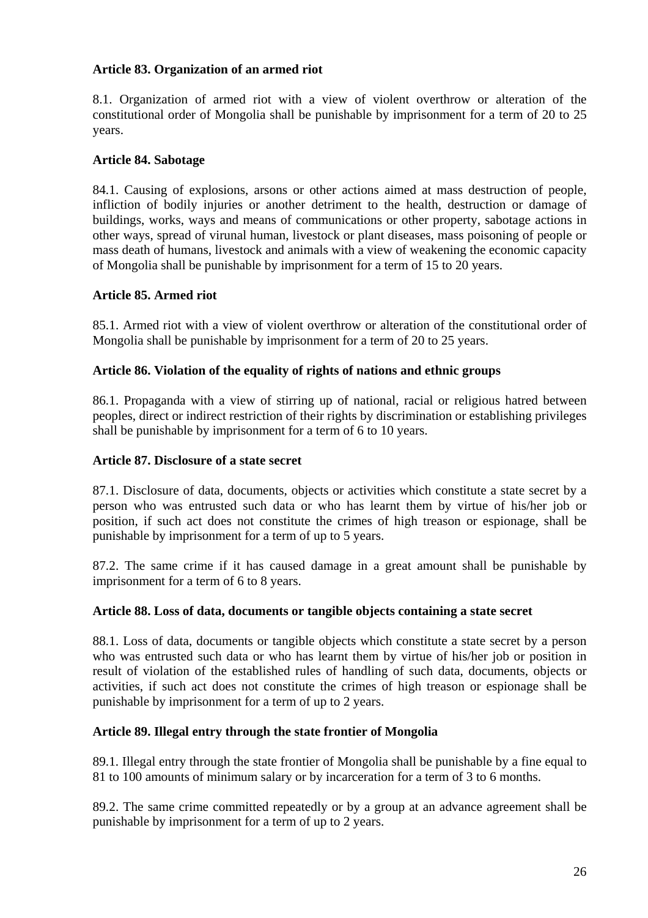### **Article 83. Organization of an armed riot**

8.1. Organization of armed riot with a view of violent overthrow or alteration of the constitutional order of Mongolia shall be punishable by imprisonment for a term of 20 to 25 years.

### **Article 84. Sabotage**

84.1. Causing of explosions, arsons or other actions aimed at mass destruction of people, infliction of bodily injuries or another detriment to the health, destruction or damage of buildings, works, ways and means of communications or other property, sabotage actions in other ways, spread of virunal human, livestock or plant diseases, mass poisoning of people or mass death of humans, livestock and animals with a view of weakening the economic capacity of Mongolia shall be punishable by imprisonment for a term of 15 to 20 years.

#### **Article 85. Armed riot**

85.1. Armed riot with a view of violent overthrow or alteration of the constitutional order of Mongolia shall be punishable by imprisonment for a term of 20 to 25 years.

#### **Article 86. Violation of the equality of rights of nations and ethnic groups**

86.1. Propaganda with a view of stirring up of national, racial or religious hatred between peoples, direct or indirect restriction of their rights by discrimination or establishing privileges shall be punishable by imprisonment for a term of 6 to 10 years.

#### **Article 87. Disclosure of a state secret**

87.1. Disclosure of data, documents, objects or activities which constitute a state secret by a person who was entrusted such data or who has learnt them by virtue of his/her job or position, if such act does not constitute the crimes of high treason or espionage, shall be punishable by imprisonment for a term of up to 5 years.

87.2. The same crime if it has caused damage in a great amount shall be punishable by imprisonment for a term of 6 to 8 years.

#### **Article 88. Loss of data, documents or tangible objects containing a state secret**

88.1. Loss of data, documents or tangible objects which constitute a state secret by a person who was entrusted such data or who has learnt them by virtue of his/her job or position in result of violation of the established rules of handling of such data, documents, objects or activities, if such act does not constitute the crimes of high treason or espionage shall be punishable by imprisonment for a term of up to 2 years.

#### **Article 89. Illegal entry through the state frontier of Mongolia**

89.1. Illegal entry through the state frontier of Mongolia shall be punishable by a fine equal to 81 to 100 amounts of minimum salary or by incarceration for a term of 3 to 6 months.

89.2. The same crime committed repeatedly or by a group at an advance agreement shall be punishable by imprisonment for a term of up to 2 years.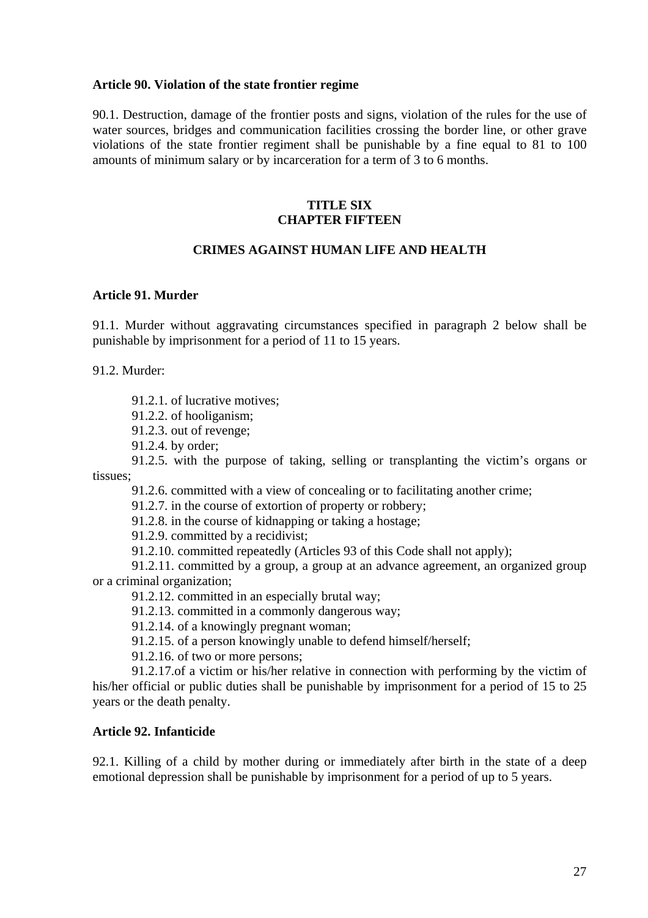#### **Article 90. Violation of the state frontier regime**

90.1. Destruction, damage of the frontier posts and signs, violation of the rules for the use of water sources, bridges and communication facilities crossing the border line, or other grave violations of the state frontier regiment shall be punishable by a fine equal to 81 to 100 amounts of minimum salary or by incarceration for a term of 3 to 6 months.

#### **TITLE SIX CHAPTER FIFTEEN**

# **CRIMES AGAINST HUMAN LIFE AND HEALTH**

#### **Article 91. Murder**

91.1. Murder without aggravating circumstances specified in paragraph 2 below shall be punishable by imprisonment for a period of 11 to 15 years.

91.2. Murder:

91.2.1. of lucrative motives;

91.2.2. of hooliganism;

91.2.3. out of revenge;

91.2.4. by order;

91.2.5. with the purpose of taking, selling or transplanting the victim's organs or tissues;

91.2.6. committed with a view of concealing or to facilitating another crime;

91.2.7. in the course of extortion of property or robbery;

91.2.8. in the course of kidnapping or taking a hostage;

91.2.9. committed by a recidivist;

91.2.10. committed repeatedly (Articles 93 of this Code shall not apply);

91.2.11. committed by a group, a group at an advance agreement, an organized group or a criminal organization;

91.2.12. committed in an especially brutal way;

91.2.13. committed in a commonly dangerous way;

91.2.14. of a knowingly pregnant woman;

91.2.15. of a person knowingly unable to defend himself/herself;

91.2.16. of two or more persons;

91.2.17.of a victim or his/her relative in connection with performing by the victim of his/her official or public duties shall be punishable by imprisonment for a period of 15 to 25 years or the death penalty.

#### **Article 92. Infanticide**

92.1. Killing of a child by mother during or immediately after birth in the state of a deep emotional depression shall be punishable by imprisonment for a period of up to 5 years.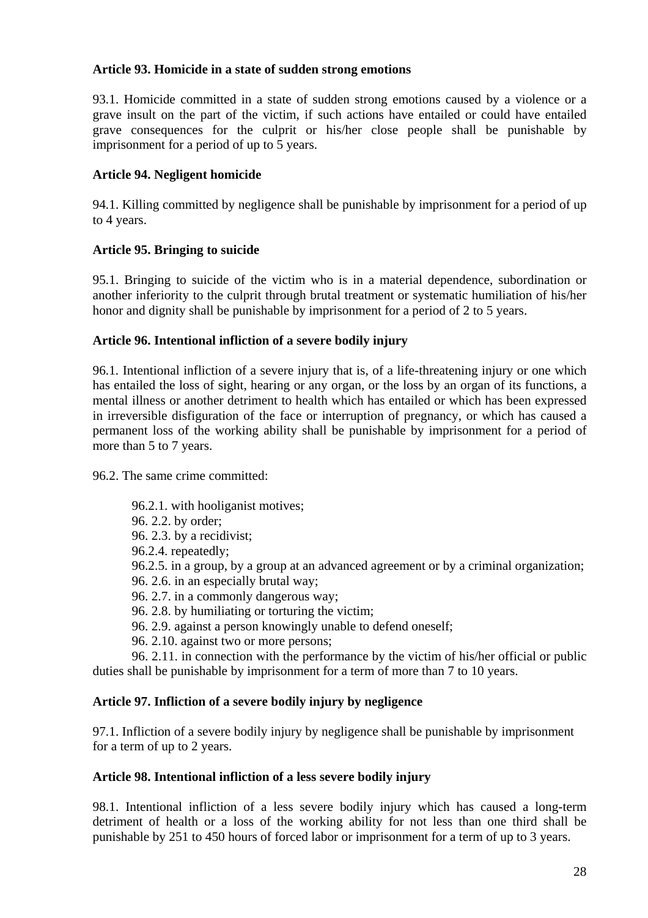### **Article 93. Homicide in a state of sudden strong emotions**

93.1. Homicide committed in a state of sudden strong emotions caused by a violence or a grave insult on the part of the victim, if such actions have entailed or could have entailed grave consequences for the culprit or his/her close people shall be punishable by imprisonment for a period of up to 5 years.

# **Article 94. Negligent homicide**

94.1. Killing committed by negligence shall be punishable by imprisonment for a period of up to 4 years.

# **Article 95. Bringing to suicide**

95.1. Bringing to suicide of the victim who is in a material dependence, subordination or another inferiority to the culprit through brutal treatment or systematic humiliation of his/her honor and dignity shall be punishable by imprisonment for a period of 2 to 5 years.

# **Article 96. Intentional infliction of a severe bodily injury**

96.1. Intentional infliction of a severe injury that is, of a life-threatening injury or one which has entailed the loss of sight, hearing or any organ, or the loss by an organ of its functions, a mental illness or another detriment to health which has entailed or which has been expressed in irreversible disfiguration of the face or interruption of pregnancy, or which has caused a permanent loss of the working ability shall be punishable by imprisonment for a period of more than 5 to 7 years.

96.2. The same crime committed:

96.2.1. with hooliganist motives; 96. 2.2. by order; 96. 2.3. by a recidivist; 96.2.4. repeatedly; 96.2.5. in a group, by a group at an advanced agreement or by a criminal organization; 96. 2.6. in an especially brutal way; 96. 2.7. in a commonly dangerous way; 96. 2.8. by humiliating or torturing the victim; 96. 2.9. against a person knowingly unable to defend oneself; 96. 2.10. against two or more persons;

96. 2.11. in connection with the performance by the victim of his/her official or public duties shall be punishable by imprisonment for a term of more than 7 to 10 years.

# **Article 97. Infliction of a severe bodily injury by negligence**

97.1. Infliction of a severe bodily injury by negligence shall be punishable by imprisonment for a term of up to 2 years.

#### **Article 98. Intentional infliction of a less severe bodily injury**

98.1. Intentional infliction of a less severe bodily injury which has caused a long-term detriment of health or a loss of the working ability for not less than one third shall be punishable by 251 to 450 hours of forced labor or imprisonment for a term of up to 3 years.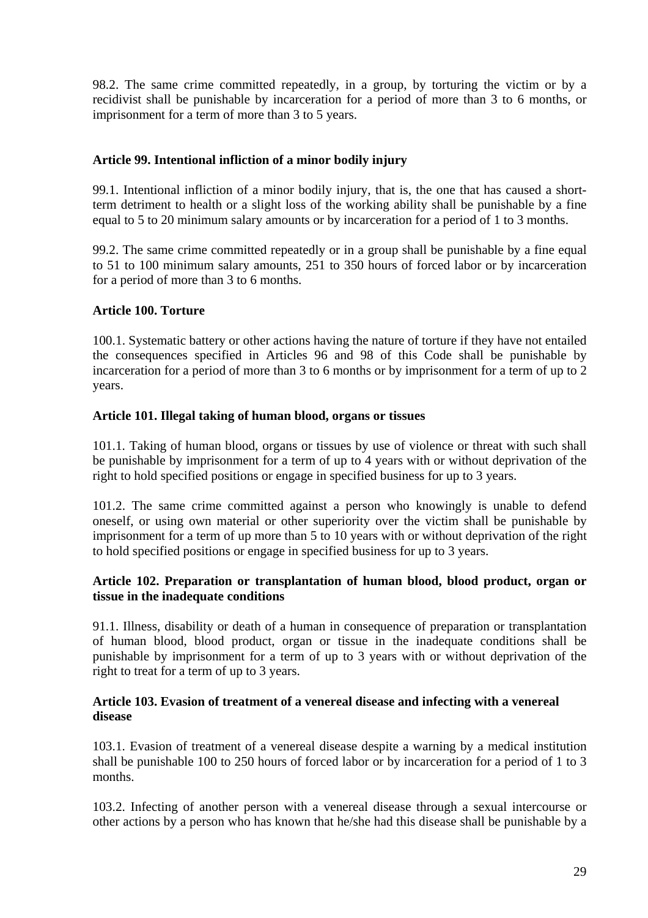98.2. The same crime committed repeatedly, in a group, by torturing the victim or by a recidivist shall be punishable by incarceration for a period of more than 3 to 6 months, or imprisonment for a term of more than 3 to 5 years.

# **Article 99. Intentional infliction of a minor bodily injury**

99.1. Intentional infliction of a minor bodily injury, that is, the one that has caused a shortterm detriment to health or a slight loss of the working ability shall be punishable by a fine equal to 5 to 20 minimum salary amounts or by incarceration for a period of 1 to 3 months.

99.2. The same crime committed repeatedly or in a group shall be punishable by a fine equal to 51 to 100 minimum salary amounts, 251 to 350 hours of forced labor or by incarceration for a period of more than 3 to 6 months.

#### **Article 100. Torture**

100.1. Systematic battery or other actions having the nature of torture if they have not entailed the consequences specified in Articles 96 and 98 of this Code shall be punishable by incarceration for a period of more than 3 to 6 months or by imprisonment for a term of up to 2 years.

#### **Article 101. Illegal taking of human blood, organs or tissues**

101.1. Taking of human blood, organs or tissues by use of violence or threat with such shall be punishable by imprisonment for a term of up to 4 years with or without deprivation of the right to hold specified positions or engage in specified business for up to 3 years.

101.2. The same crime committed against a person who knowingly is unable to defend oneself, or using own material or other superiority over the victim shall be punishable by imprisonment for a term of up more than 5 to 10 years with or without deprivation of the right to hold specified positions or engage in specified business for up to 3 years.

# **Article 102. Preparation or transplantation of human blood, blood product, organ or tissue in the inadequate conditions**

91.1. Illness, disability or death of a human in consequence of preparation or transplantation of human blood, blood product, organ or tissue in the inadequate conditions shall be punishable by imprisonment for a term of up to 3 years with or without deprivation of the right to treat for a term of up to 3 years.

#### **Article 103. Evasion of treatment of a venereal disease and infecting with a venereal disease**

103.1. Evasion of treatment of a venereal disease despite a warning by a medical institution shall be punishable 100 to 250 hours of forced labor or by incarceration for a period of 1 to 3 months.

103.2. Infecting of another person with a venereal disease through a sexual intercourse or other actions by a person who has known that he/she had this disease shall be punishable by a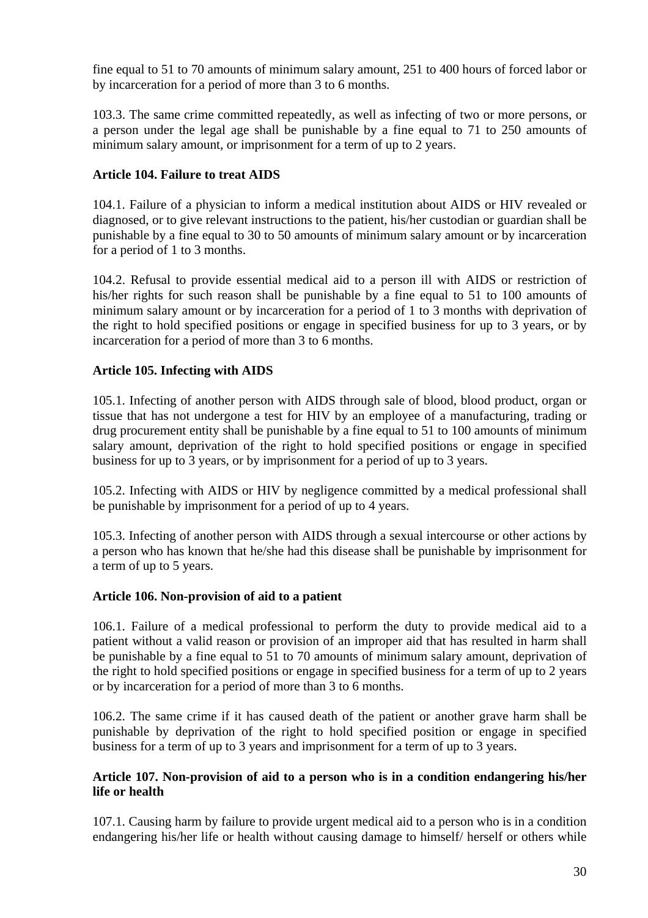fine equal to 51 to 70 amounts of minimum salary amount, 251 to 400 hours of forced labor or by incarceration for a period of more than 3 to 6 months.

103.3. The same crime committed repeatedly, as well as infecting of two or more persons, or a person under the legal age shall be punishable by a fine equal to 71 to 250 amounts of minimum salary amount, or imprisonment for a term of up to 2 years.

# **Article 104. Failure to treat AIDS**

104.1. Failure of a physician to inform a medical institution about AIDS or HIV revealed or diagnosed, or to give relevant instructions to the patient, his/her custodian or guardian shall be punishable by a fine equal to 30 to 50 amounts of minimum salary amount or by incarceration for a period of 1 to 3 months.

104.2. Refusal to provide essential medical aid to a person ill with AIDS or restriction of his/her rights for such reason shall be punishable by a fine equal to 51 to 100 amounts of minimum salary amount or by incarceration for a period of 1 to 3 months with deprivation of the right to hold specified positions or engage in specified business for up to 3 years, or by incarceration for a period of more than 3 to 6 months.

# **Article 105. Infecting with AIDS**

105.1. Infecting of another person with AIDS through sale of blood, blood product, organ or tissue that has not undergone a test for HIV by an employee of a manufacturing, trading or drug procurement entity shall be punishable by a fine equal to 51 to 100 amounts of minimum salary amount, deprivation of the right to hold specified positions or engage in specified business for up to 3 years, or by imprisonment for a period of up to 3 years.

105.2. Infecting with AIDS or HIV by negligence committed by a medical professional shall be punishable by imprisonment for a period of up to 4 years.

105.3. Infecting of another person with AIDS through a sexual intercourse or other actions by a person who has known that he/she had this disease shall be punishable by imprisonment for a term of up to 5 years.

# **Article 106. Non-provision of aid to a patient**

106.1. Failure of a medical professional to perform the duty to provide medical aid to a patient without a valid reason or provision of an improper aid that has resulted in harm shall be punishable by a fine equal to 51 to 70 amounts of minimum salary amount, deprivation of the right to hold specified positions or engage in specified business for a term of up to 2 years or by incarceration for a period of more than 3 to 6 months.

106.2. The same crime if it has caused death of the patient or another grave harm shall be punishable by deprivation of the right to hold specified position or engage in specified business for a term of up to 3 years and imprisonment for a term of up to 3 years.

# **Article 107. Non-provision of aid to a person who is in a condition endangering his/her life or health**

107.1. Causing harm by failure to provide urgent medical aid to a person who is in a condition endangering his/her life or health without causing damage to himself/ herself or others while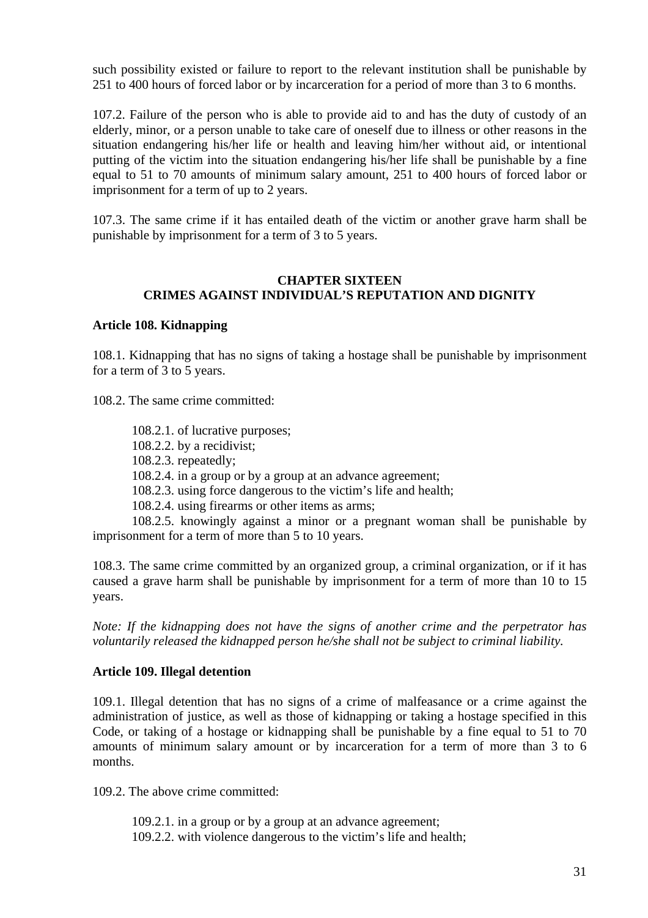such possibility existed or failure to report to the relevant institution shall be punishable by 251 to 400 hours of forced labor or by incarceration for a period of more than 3 to 6 months.

107.2. Failure of the person who is able to provide aid to and has the duty of custody of an elderly, minor, or a person unable to take care of oneself due to illness or other reasons in the situation endangering his/her life or health and leaving him/her without aid, or intentional putting of the victim into the situation endangering his/her life shall be punishable by a fine equal to 51 to 70 amounts of minimum salary amount, 251 to 400 hours of forced labor or imprisonment for a term of up to 2 years.

107.3. The same crime if it has entailed death of the victim or another grave harm shall be punishable by imprisonment for a term of 3 to 5 years.

### **CHAPTER SIXTEEN CRIMES AGAINST INDIVIDUAL'S REPUTATION AND DIGNITY**

#### **Article 108. Kidnapping**

108.1. Kidnapping that has no signs of taking a hostage shall be punishable by imprisonment for a term of 3 to 5 years.

108.2. The same crime committed:

108.2.1. of lucrative purposes; 108.2.2. by a recidivist; 108.2.3. repeatedly; 108.2.4. in a group or by a group at an advance agreement; 108.2.3. using force dangerous to the victim's life and health; 108.2.4. using firearms or other items as arms; 108.2.5. knowingly against a minor or a pregnant woman shall be punishable by

imprisonment for a term of more than 5 to 10 years.

108.3. The same crime committed by an organized group, a criminal organization, or if it has caused a grave harm shall be punishable by imprisonment for a term of more than 10 to 15 years.

*Note: If the kidnapping does not have the signs of another crime and the perpetrator has voluntarily released the kidnapped person he/she shall not be subject to criminal liability.* 

# **Article 109. Illegal detention**

109.1. Illegal detention that has no signs of a crime of malfeasance or a crime against the administration of justice, as well as those of kidnapping or taking a hostage specified in this Code, or taking of a hostage or kidnapping shall be punishable by a fine equal to 51 to 70 amounts of minimum salary amount or by incarceration for a term of more than 3 to 6 months.

109.2. The above crime committed:

- 109.2.1. in a group or by a group at an advance agreement;
- 109.2.2. with violence dangerous to the victim's life and health;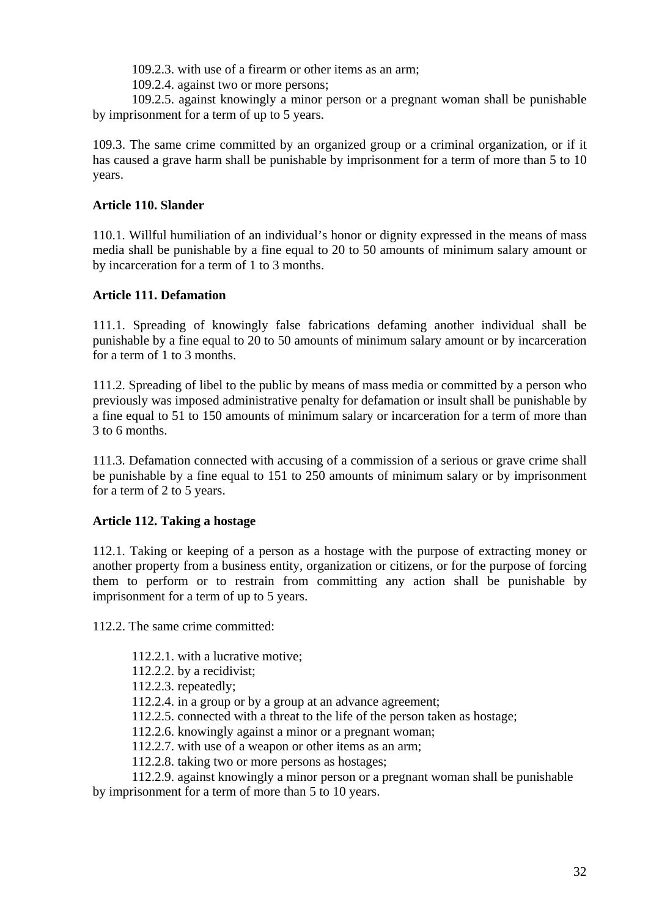109.2.3. with use of a firearm or other items as an arm;

109.2.4. against two or more persons;

109.2.5. against knowingly a minor person or a pregnant woman shall be punishable by imprisonment for a term of up to 5 years.

109.3. The same crime committed by an organized group or a criminal organization, or if it has caused a grave harm shall be punishable by imprisonment for a term of more than 5 to 10 years.

# **Article 110. Slander**

110.1. Willful humiliation of an individual's honor or dignity expressed in the means of mass media shall be punishable by a fine equal to 20 to 50 amounts of minimum salary amount or by incarceration for a term of 1 to 3 months.

# **Article 111. Defamation**

111.1. Spreading of knowingly false fabrications defaming another individual shall be punishable by a fine equal to 20 to 50 amounts of minimum salary amount or by incarceration for a term of 1 to 3 months.

111.2. Spreading of libel to the public by means of mass media or committed by a person who previously was imposed administrative penalty for defamation or insult shall be punishable by a fine equal to 51 to 150 amounts of minimum salary or incarceration for a term of more than 3 to 6 months.

111.3. Defamation connected with accusing of a commission of a serious or grave crime shall be punishable by a fine equal to 151 to 250 amounts of minimum salary or by imprisonment for a term of 2 to 5 years.

# **Article 112. Taking a hostage**

112.1. Taking or keeping of a person as a hostage with the purpose of extracting money or another property from a business entity, organization or citizens, or for the purpose of forcing them to perform or to restrain from committing any action shall be punishable by imprisonment for a term of up to 5 years.

112.2. The same crime committed:

- 112.2.1. with a lucrative motive;
- 112.2.2. by a recidivist;
- 112.2.3. repeatedly;
- 112.2.4. in a group or by a group at an advance agreement;
- 112.2.5. connected with a threat to the life of the person taken as hostage;
- 112.2.6. knowingly against a minor or a pregnant woman;
- 112.2.7. with use of a weapon or other items as an arm;
- 112.2.8. taking two or more persons as hostages;

112.2.9. against knowingly a minor person or a pregnant woman shall be punishable by imprisonment for a term of more than 5 to 10 years.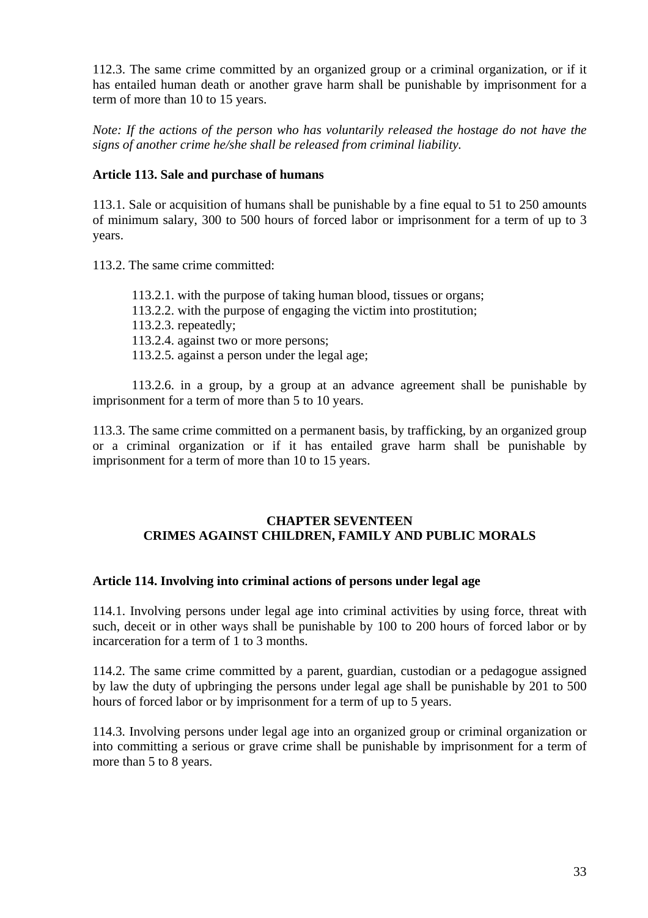112.3. The same crime committed by an organized group or a criminal organization, or if it has entailed human death or another grave harm shall be punishable by imprisonment for a term of more than 10 to 15 years.

*Note: If the actions of the person who has voluntarily released the hostage do not have the signs of another crime he/she shall be released from criminal liability.* 

# **Article 113. Sale and purchase of humans**

113.1. Sale or acquisition of humans shall be punishable by a fine equal to 51 to 250 amounts of minimum salary, 300 to 500 hours of forced labor or imprisonment for a term of up to 3 years.

113.2. The same crime committed:

113.2.1. with the purpose of taking human blood, tissues or organs; 113.2.2. with the purpose of engaging the victim into prostitution; 113.2.3. repeatedly; 113.2.4. against two or more persons; 113.2.5. against a person under the legal age;

113.2.6. in a group, by a group at an advance agreement shall be punishable by imprisonment for a term of more than 5 to 10 years.

113.3. The same crime committed on a permanent basis, by trafficking, by an organized group or a criminal organization or if it has entailed grave harm shall be punishable by imprisonment for a term of more than 10 to 15 years.

# **CHAPTER SEVENTEEN CRIMES AGAINST CHILDREN, FAMILY AND PUBLIC MORALS**

# **Article 114. Involving into criminal actions of persons under legal age**

114.1. Involving persons under legal age into criminal activities by using force, threat with such, deceit or in other ways shall be punishable by 100 to 200 hours of forced labor or by incarceration for a term of 1 to 3 months.

114.2. The same crime committed by a parent, guardian, custodian or a pedagogue assigned by law the duty of upbringing the persons under legal age shall be punishable by 201 to 500 hours of forced labor or by imprisonment for a term of up to 5 years.

114.3. Involving persons under legal age into an organized group or criminal organization or into committing a serious or grave crime shall be punishable by imprisonment for a term of more than 5 to 8 years.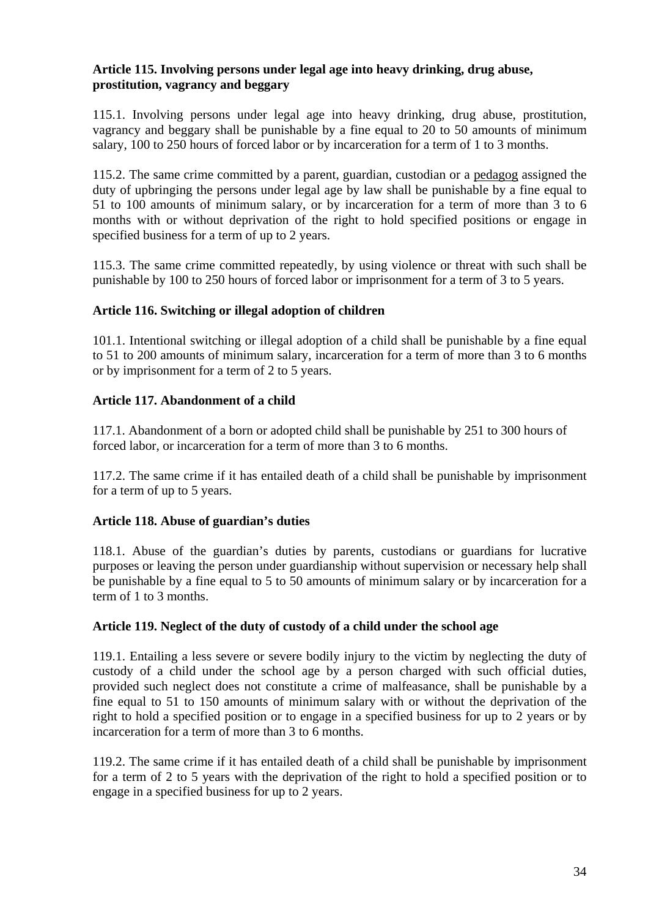# **Article 115. Involving persons under legal age into heavy drinking, drug abuse, prostitution, vagrancy and beggary**

115.1. Involving persons under legal age into heavy drinking, drug abuse, prostitution, vagrancy and beggary shall be punishable by a fine equal to 20 to 50 amounts of minimum salary, 100 to 250 hours of forced labor or by incarceration for a term of 1 to 3 months.

115.2. The same crime committed by a parent, guardian, custodian or a pedagog assigned the duty of upbringing the persons under legal age by law shall be punishable by a fine equal to 51 to 100 amounts of minimum salary, or by incarceration for a term of more than 3 to 6 months with or without deprivation of the right to hold specified positions or engage in specified business for a term of up to 2 years.

115.3. The same crime committed repeatedly, by using violence or threat with such shall be punishable by 100 to 250 hours of forced labor or imprisonment for a term of 3 to 5 years.

# **Article 116. Switching or illegal adoption of children**

101.1. Intentional switching or illegal adoption of a child shall be punishable by a fine equal to 51 to 200 amounts of minimum salary, incarceration for a term of more than 3 to 6 months or by imprisonment for a term of 2 to 5 years.

# **Article 117. Abandonment of a child**

117.1. Abandonment of a born or adopted child shall be punishable by 251 to 300 hours of forced labor, or incarceration for a term of more than 3 to 6 months.

117.2. The same crime if it has entailed death of a child shall be punishable by imprisonment for a term of up to 5 years.

# **Article 118. Abuse of guardian's duties**

118.1. Abuse of the guardian's duties by parents, custodians or guardians for lucrative purposes or leaving the person under guardianship without supervision or necessary help shall be punishable by a fine equal to 5 to 50 amounts of minimum salary or by incarceration for a term of 1 to 3 months.

# **Article 119. Neglect of the duty of custody of a child under the school age**

119.1. Entailing a less severe or severe bodily injury to the victim by neglecting the duty of custody of a child under the school age by a person charged with such official duties, provided such neglect does not constitute a crime of malfeasance, shall be punishable by a fine equal to 51 to 150 amounts of minimum salary with or without the deprivation of the right to hold a specified position or to engage in a specified business for up to 2 years or by incarceration for a term of more than 3 to 6 months.

119.2. The same crime if it has entailed death of a child shall be punishable by imprisonment for a term of 2 to 5 years with the deprivation of the right to hold a specified position or to engage in a specified business for up to 2 years.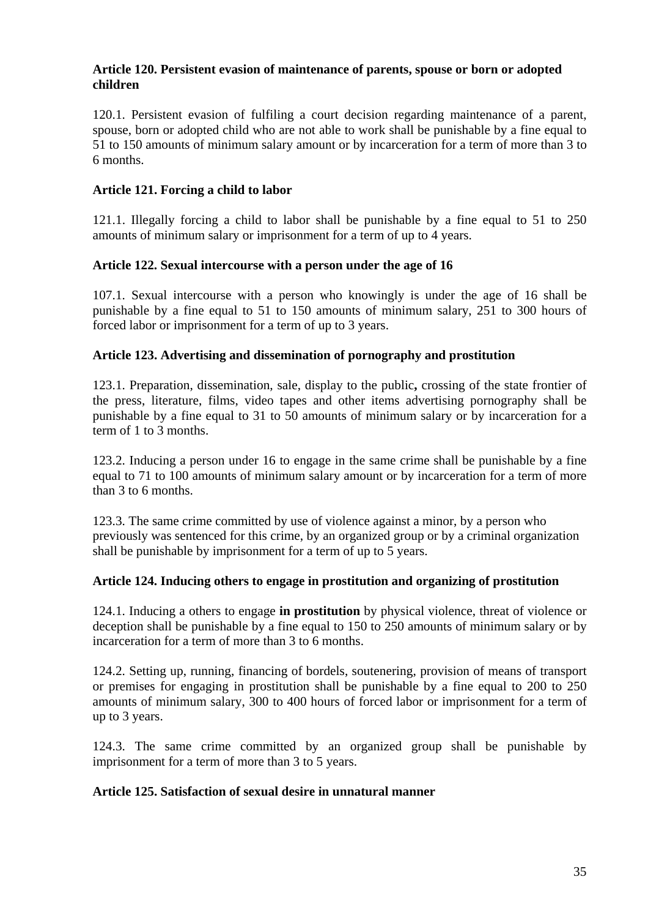#### **Article 120. Persistent evasion of maintenance of parents, spouse or born or adopted children**

120.1. Persistent evasion of fulfiling a court decision regarding maintenance of a parent, spouse, born or adopted child who are not able to work shall be punishable by a fine equal to 51 to 150 amounts of minimum salary amount or by incarceration for a term of more than 3 to 6 months.

# **Article 121. Forcing a child to labor**

121.1. Illegally forcing a child to labor shall be punishable by a fine equal to 51 to 250 amounts of minimum salary or imprisonment for a term of up to 4 years.

# **Article 122. Sexual intercourse with a person under the age of 16**

107.1. Sexual intercourse with a person who knowingly is under the age of 16 shall be punishable by a fine equal to 51 to 150 amounts of minimum salary, 251 to 300 hours of forced labor or imprisonment for a term of up to 3 years.

# **Article 123. Advertising and dissemination of pornography and prostitution**

123.1. Preparation, dissemination, sale, display to the public**,** crossing of the state frontier of the press, literature, films, video tapes and other items advertising pornography shall be punishable by a fine equal to 31 to 50 amounts of minimum salary or by incarceration for a term of 1 to 3 months.

123.2. Inducing a person under 16 to engage in the same crime shall be punishable by a fine equal to 71 to 100 amounts of minimum salary amount or by incarceration for a term of more than 3 to 6 months.

123.3. The same crime committed by use of violence against a minor, by a person who previously was sentenced for this crime, by an organized group or by a criminal organization shall be punishable by imprisonment for a term of up to 5 years.

# **Article 124. Inducing others to engage in prostitution and organizing of prostitution**

124.1. Inducing a others to engage **in prostitution** by physical violence, threat of violence or deception shall be punishable by a fine equal to 150 to 250 amounts of minimum salary or by incarceration for a term of more than 3 to 6 months.

124.2. Setting up, running, financing of bordels, soutenering, provision of means of transport or premises for engaging in prostitution shall be punishable by a fine equal to 200 to 250 amounts of minimum salary, 300 to 400 hours of forced labor or imprisonment for a term of up to 3 years.

124.3. The same crime committed by an organized group shall be punishable by imprisonment for a term of more than 3 to 5 years.

#### **Article 125. Satisfaction of sexual desire in unnatural manner**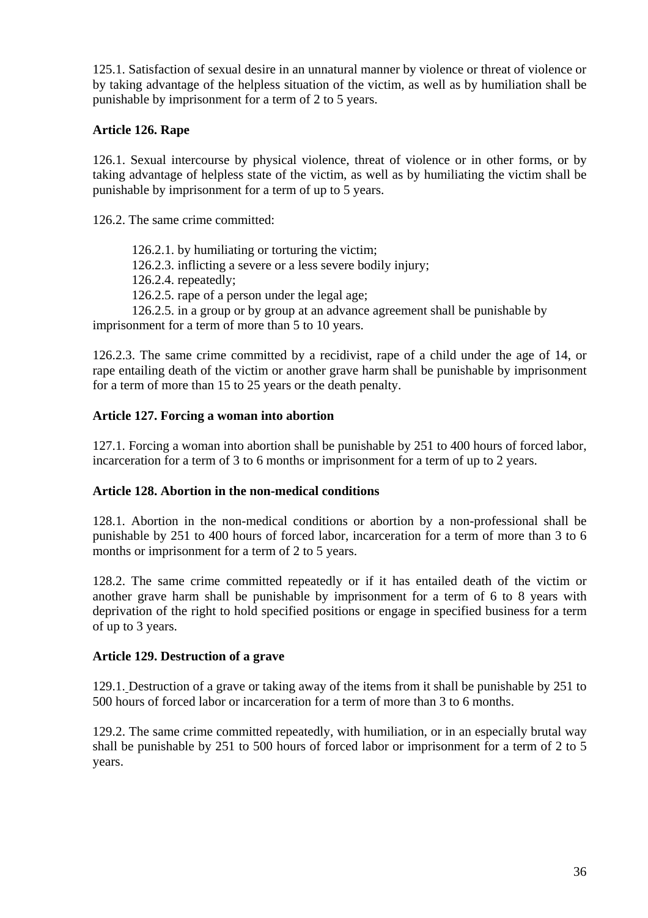125.1. Satisfaction of sexual desire in an unnatural manner by violence or threat of violence or by taking advantage of the helpless situation of the victim, as well as by humiliation shall be punishable by imprisonment for a term of 2 to 5 years.

# **Article 126. Rape**

126.1. Sexual intercourse by physical violence, threat of violence or in other forms, or by taking advantage of helpless state of the victim, as well as by humiliating the victim shall be punishable by imprisonment for a term of up to 5 years.

126.2. The same crime committed:

126.2.1. by humiliating or torturing the victim;

126.2.3. inflicting a severe or a less severe bodily injury;

126.2.4. repeatedly;

126.2.5. rape of a person under the legal age;

126.2.5. in a group or by group at an advance agreement shall be punishable by imprisonment for a term of more than 5 to 10 years.

126.2.3. The same crime committed by a recidivist, rape of a child under the age of 14, or rape entailing death of the victim or another grave harm shall be punishable by imprisonment for a term of more than 15 to 25 years or the death penalty.

# **Article 127. Forcing a woman into abortion**

127.1. Forcing a woman into abortion shall be punishable by 251 to 400 hours of forced labor, incarceration for a term of 3 to 6 months or imprisonment for a term of up to 2 years.

# **Article 128. Abortion in the non-medical conditions**

128.1. Abortion in the non-medical conditions or abortion by a non-professional shall be punishable by 251 to 400 hours of forced labor, incarceration for a term of more than 3 to 6 months or imprisonment for a term of 2 to 5 years.

128.2. The same crime committed repeatedly or if it has entailed death of the victim or another grave harm shall be punishable by imprisonment for a term of 6 to 8 years with deprivation of the right to hold specified positions or engage in specified business for a term of up to 3 years.

# **Article 129. Destruction of a grave**

129.1. Destruction of a grave or taking away of the items from it shall be punishable by 251 to 500 hours of forced labor or incarceration for a term of more than 3 to 6 months.

129.2. The same crime committed repeatedly, with humiliation, or in an especially brutal way shall be punishable by 251 to 500 hours of forced labor or imprisonment for a term of 2 to 5 years.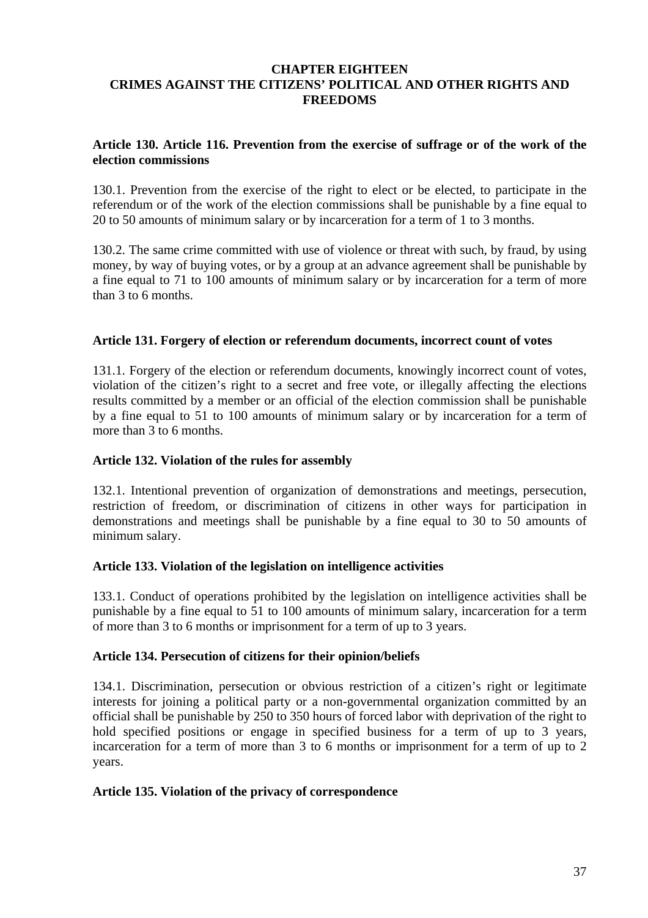#### **CHAPTER EIGHTEEN CRIMES AGAINST THE CITIZENS' POLITICAL AND OTHER RIGHTS AND FREEDOMS**

#### **Article 130. Article 116. Prevention from the exercise of suffrage or of the work of the election commissions**

130.1. Prevention from the exercise of the right to elect or be elected, to participate in the referendum or of the work of the election commissions shall be punishable by a fine equal to 20 to 50 amounts of minimum salary or by incarceration for a term of 1 to 3 months.

130.2. The same crime committed with use of violence or threat with such, by fraud, by using money, by way of buying votes, or by a group at an advance agreement shall be punishable by a fine equal to 71 to 100 amounts of minimum salary or by incarceration for a term of more than 3 to 6 months.

#### **Article 131. Forgery of election or referendum documents, incorrect count of votes**

131.1. Forgery of the election or referendum documents, knowingly incorrect count of votes, violation of the citizen's right to a secret and free vote, or illegally affecting the elections results committed by a member or an official of the election commission shall be punishable by a fine equal to 51 to 100 amounts of minimum salary or by incarceration for a term of more than 3 to 6 months.

#### **Article 132. Violation of the rules for assembly**

132.1. Intentional prevention of organization of demonstrations and meetings, persecution, restriction of freedom, or discrimination of citizens in other ways for participation in demonstrations and meetings shall be punishable by a fine equal to 30 to 50 amounts of minimum salary.

#### **Article 133. Violation of the legislation on intelligence activities**

133.1. Conduct of operations prohibited by the legislation on intelligence activities shall be punishable by a fine equal to 51 to 100 amounts of minimum salary, incarceration for a term of more than 3 to 6 months or imprisonment for a term of up to 3 years.

#### **Article 134. Persecution of citizens for their opinion/beliefs**

134.1. Discrimination, persecution or obvious restriction of a citizen's right or legitimate interests for joining a political party or a non-governmental organization committed by an official shall be punishable by 250 to 350 hours of forced labor with deprivation of the right to hold specified positions or engage in specified business for a term of up to 3 years, incarceration for a term of more than 3 to 6 months or imprisonment for a term of up to 2 years.

#### **Article 135. Violation of the privacy of correspondence**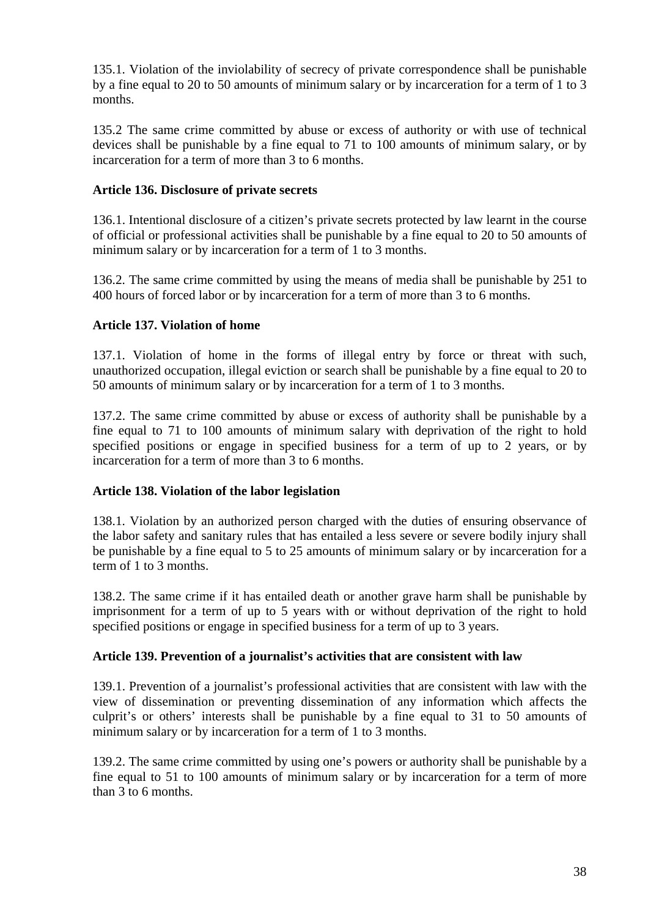135.1. Violation of the inviolability of secrecy of private correspondence shall be punishable by a fine equal to 20 to 50 amounts of minimum salary or by incarceration for a term of 1 to 3 months.

135.2 The same crime committed by abuse or excess of authority or with use of technical devices shall be punishable by a fine equal to 71 to 100 amounts of minimum salary, or by incarceration for a term of more than 3 to 6 months.

# **Article 136. Disclosure of private secrets**

136.1. Intentional disclosure of a citizen's private secrets protected by law learnt in the course of official or professional activities shall be punishable by a fine equal to 20 to 50 amounts of minimum salary or by incarceration for a term of 1 to 3 months.

136.2. The same crime committed by using the means of media shall be punishable by 251 to 400 hours of forced labor or by incarceration for a term of more than 3 to 6 months.

## **Article 137. Violation of home**

137.1. Violation of home in the forms of illegal entry by force or threat with such, unauthorized occupation, illegal eviction or search shall be punishable by a fine equal to 20 to 50 amounts of minimum salary or by incarceration for a term of 1 to 3 months.

137.2. The same crime committed by abuse or excess of authority shall be punishable by a fine equal to 71 to 100 amounts of minimum salary with deprivation of the right to hold specified positions or engage in specified business for a term of up to 2 years, or by incarceration for a term of more than 3 to 6 months.

## **Article 138. Violation of the labor legislation**

138.1. Violation by an authorized person charged with the duties of ensuring observance of the labor safety and sanitary rules that has entailed a less severe or severe bodily injury shall be punishable by a fine equal to 5 to 25 amounts of minimum salary or by incarceration for a term of 1 to 3 months.

138.2. The same crime if it has entailed death or another grave harm shall be punishable by imprisonment for a term of up to 5 years with or without deprivation of the right to hold specified positions or engage in specified business for a term of up to 3 years.

## **Article 139. Prevention of a journalist's activities that are consistent with law**

139.1. Prevention of a journalist's professional activities that are consistent with law with the view of dissemination or preventing dissemination of any information which affects the culprit's or others' interests shall be punishable by a fine equal to 31 to 50 amounts of minimum salary or by incarceration for a term of 1 to 3 months.

139.2. The same crime committed by using one's powers or authority shall be punishable by a fine equal to 51 to 100 amounts of minimum salary or by incarceration for a term of more than 3 to 6 months.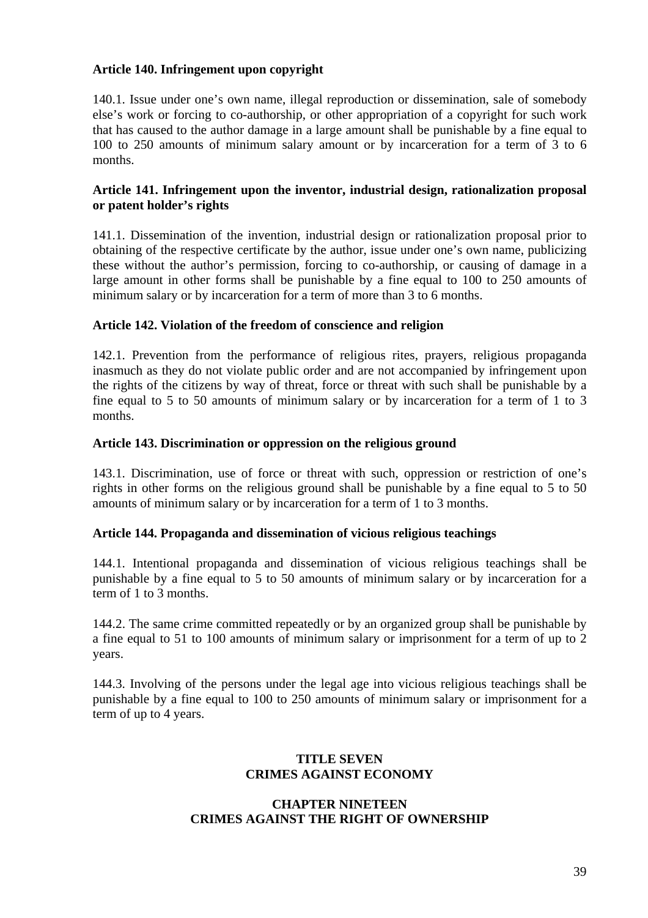#### **Article 140. Infringement upon copyright**

140.1. Issue under one's own name, illegal reproduction or dissemination, sale of somebody else's work or forcing to co-authorship, or other appropriation of a copyright for such work that has caused to the author damage in a large amount shall be punishable by a fine equal to 100 to 250 amounts of minimum salary amount or by incarceration for a term of 3 to 6 months.

#### **Article 141. Infringement upon the inventor, industrial design, rationalization proposal or patent holder's rights**

141.1. Dissemination of the invention, industrial design or rationalization proposal prior to obtaining of the respective certificate by the author, issue under one's own name, publicizing these without the author's permission, forcing to co-authorship, or causing of damage in a large amount in other forms shall be punishable by a fine equal to 100 to 250 amounts of minimum salary or by incarceration for a term of more than 3 to 6 months.

#### **Article 142. Violation of the freedom of conscience and religion**

142.1. Prevention from the performance of religious rites, prayers, religious propaganda inasmuch as they do not violate public order and are not accompanied by infringement upon the rights of the citizens by way of threat, force or threat with such shall be punishable by a fine equal to 5 to 50 amounts of minimum salary or by incarceration for a term of 1 to 3 months.

#### **Article 143. Discrimination or oppression on the religious ground**

143.1. Discrimination, use of force or threat with such, oppression or restriction of one's rights in other forms on the religious ground shall be punishable by a fine equal to 5 to 50 amounts of minimum salary or by incarceration for a term of 1 to 3 months.

#### **Article 144. Propaganda and dissemination of vicious religious teachings**

144.1. Intentional propaganda and dissemination of vicious religious teachings shall be punishable by a fine equal to 5 to 50 amounts of minimum salary or by incarceration for a term of 1 to 3 months.

144.2. The same crime committed repeatedly or by an organized group shall be punishable by a fine equal to 51 to 100 amounts of minimum salary or imprisonment for a term of up to 2 years.

144.3. Involving of the persons under the legal age into vicious religious teachings shall be punishable by a fine equal to 100 to 250 amounts of minimum salary or imprisonment for a term of up to 4 years.

#### **TITLE SEVEN CRIMES AGAINST ECONOMY**

#### **CHAPTER NINETEEN CRIMES AGAINST THE RIGHT OF OWNERSHIP**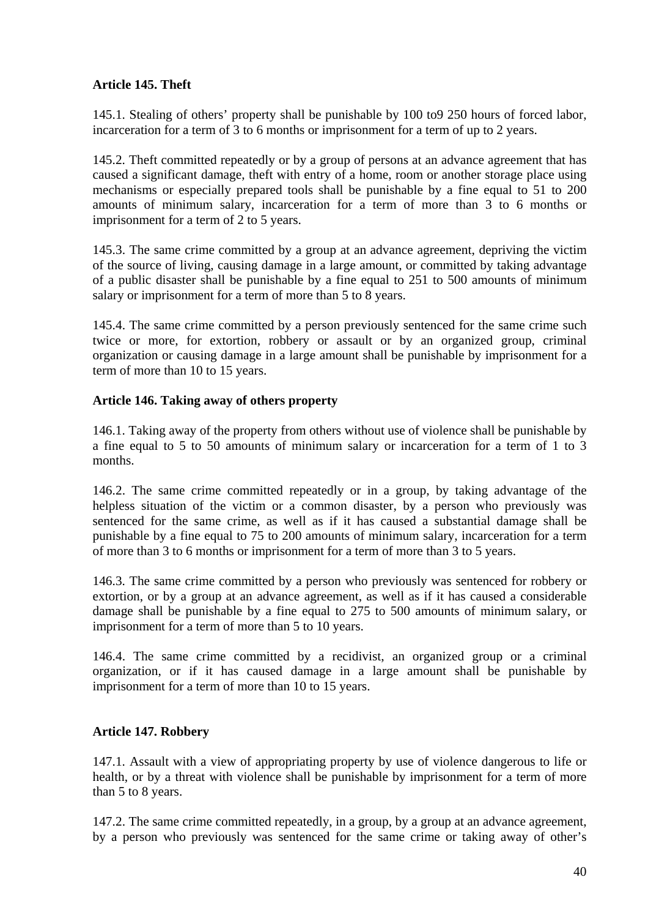# **Article 145. Theft**

145.1. Stealing of others' property shall be punishable by 100 to9 250 hours of forced labor, incarceration for a term of 3 to 6 months or imprisonment for a term of up to 2 years.

145.2. Theft committed repeatedly or by a group of persons at an advance agreement that has caused a significant damage, theft with entry of a home, room or another storage place using mechanisms or especially prepared tools shall be punishable by a fine equal to 51 to 200 amounts of minimum salary, incarceration for a term of more than 3 to 6 months or imprisonment for a term of 2 to 5 years.

145.3. The same crime committed by a group at an advance agreement, depriving the victim of the source of living, causing damage in a large amount, or committed by taking advantage of a public disaster shall be punishable by a fine equal to 251 to 500 amounts of minimum salary or imprisonment for a term of more than 5 to 8 years.

145.4. The same crime committed by a person previously sentenced for the same crime such twice or more, for extortion, robbery or assault or by an organized group, criminal organization or causing damage in a large amount shall be punishable by imprisonment for a term of more than 10 to 15 years.

## **Article 146. Taking away of others property**

146.1. Taking away of the property from others without use of violence shall be punishable by a fine equal to 5 to 50 amounts of minimum salary or incarceration for a term of 1 to 3 months.

146.2. The same crime committed repeatedly or in a group, by taking advantage of the helpless situation of the victim or a common disaster, by a person who previously was sentenced for the same crime, as well as if it has caused a substantial damage shall be punishable by a fine equal to 75 to 200 amounts of minimum salary, incarceration for a term of more than 3 to 6 months or imprisonment for a term of more than 3 to 5 years.

146.3. The same crime committed by a person who previously was sentenced for robbery or extortion, or by a group at an advance agreement, as well as if it has caused a considerable damage shall be punishable by a fine equal to 275 to 500 amounts of minimum salary, or imprisonment for a term of more than 5 to 10 years.

146.4. The same crime committed by a recidivist, an organized group or a criminal organization, or if it has caused damage in a large amount shall be punishable by imprisonment for a term of more than 10 to 15 years.

## **Article 147. Robbery**

147.1. Assault with a view of appropriating property by use of violence dangerous to life or health, or by a threat with violence shall be punishable by imprisonment for a term of more than 5 to 8 years.

147.2. The same crime committed repeatedly, in a group, by a group at an advance agreement, by a person who previously was sentenced for the same crime or taking away of other's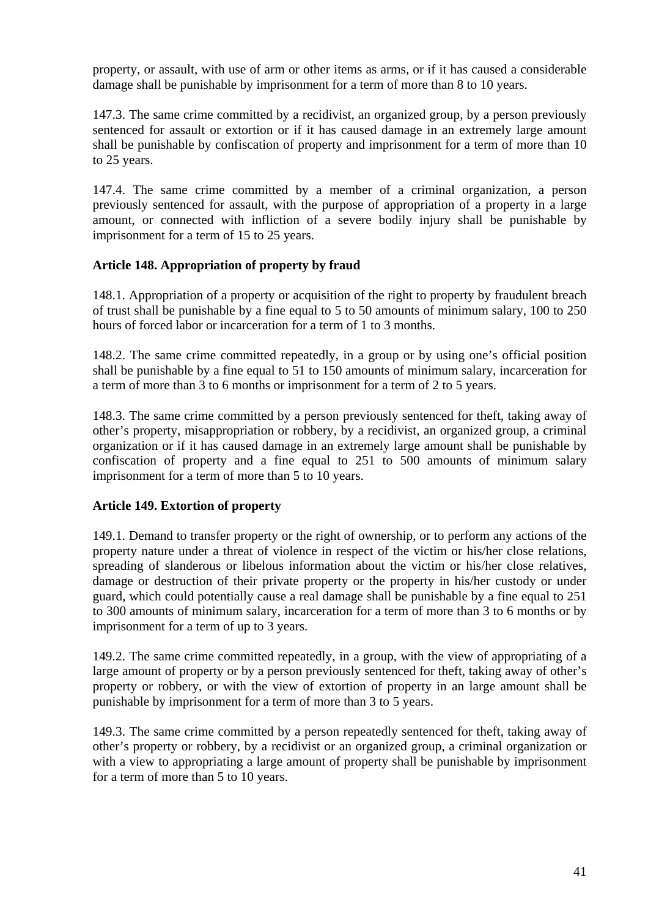property, or assault, with use of arm or other items as arms, or if it has caused a considerable damage shall be punishable by imprisonment for a term of more than 8 to 10 years.

147.3. The same crime committed by a recidivist, an organized group, by a person previously sentenced for assault or extortion or if it has caused damage in an extremely large amount shall be punishable by confiscation of property and imprisonment for a term of more than 10 to 25 years.

147.4. The same crime committed by a member of a criminal organization, a person previously sentenced for assault, with the purpose of appropriation of a property in a large amount, or connected with infliction of a severe bodily injury shall be punishable by imprisonment for a term of 15 to 25 years.

# **Article 148. Appropriation of property by fraud**

148.1. Appropriation of a property or acquisition of the right to property by fraudulent breach of trust shall be punishable by a fine equal to 5 to 50 amounts of minimum salary, 100 to 250 hours of forced labor or incarceration for a term of 1 to 3 months.

148.2. The same crime committed repeatedly, in a group or by using one's official position shall be punishable by a fine equal to 51 to 150 amounts of minimum salary, incarceration for a term of more than 3 to 6 months or imprisonment for a term of 2 to 5 years.

148.3. The same crime committed by a person previously sentenced for theft, taking away of other's property, misappropriation or robbery, by a recidivist, an organized group, a criminal organization or if it has caused damage in an extremely large amount shall be punishable by confiscation of property and a fine equal to 251 to 500 amounts of minimum salary imprisonment for a term of more than 5 to 10 years.

## **Article 149. Extortion of property**

149.1. Demand to transfer property or the right of ownership, or to perform any actions of the property nature under a threat of violence in respect of the victim or his/her close relations, spreading of slanderous or libelous information about the victim or his/her close relatives, damage or destruction of their private property or the property in his/her custody or under guard, which could potentially cause a real damage shall be punishable by a fine equal to 251 to 300 amounts of minimum salary, incarceration for a term of more than 3 to 6 months or by imprisonment for a term of up to 3 years.

149.2. The same crime committed repeatedly, in a group, with the view of appropriating of a large amount of property or by a person previously sentenced for theft, taking away of other's property or robbery, or with the view of extortion of property in an large amount shall be punishable by imprisonment for a term of more than 3 to 5 years.

149.3. The same crime committed by a person repeatedly sentenced for theft, taking away of other's property or robbery, by a recidivist or an organized group, a criminal organization or with a view to appropriating a large amount of property shall be punishable by imprisonment for a term of more than 5 to 10 years.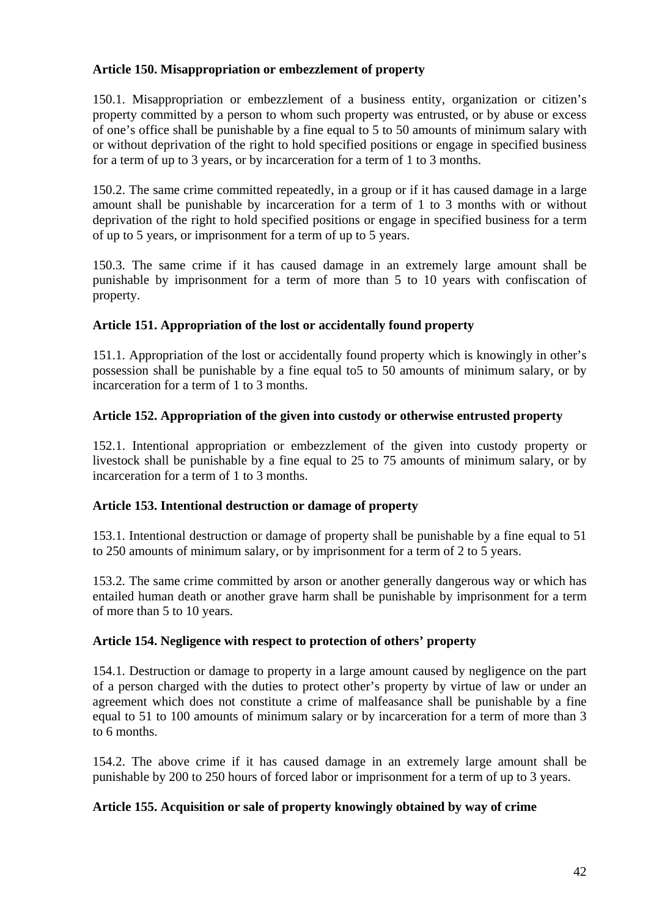## **Article 150. Misappropriation or embezzlement of property**

150.1. Misappropriation or embezzlement of a business entity, organization or citizen's property committed by a person to whom such property was entrusted, or by abuse or excess of one's office shall be punishable by a fine equal to 5 to 50 amounts of minimum salary with or without deprivation of the right to hold specified positions or engage in specified business for a term of up to 3 years, or by incarceration for a term of 1 to 3 months.

150.2. The same crime committed repeatedly, in a group or if it has caused damage in a large amount shall be punishable by incarceration for a term of 1 to 3 months with or without deprivation of the right to hold specified positions or engage in specified business for a term of up to 5 years, or imprisonment for a term of up to 5 years.

150.3. The same crime if it has caused damage in an extremely large amount shall be punishable by imprisonment for a term of more than 5 to 10 years with confiscation of property.

# **Article 151. Appropriation of the lost or accidentally found property**

151.1. Appropriation of the lost or accidentally found property which is knowingly in other's possession shall be punishable by a fine equal to5 to 50 amounts of minimum salary, or by incarceration for a term of 1 to 3 months.

# **Article 152. Appropriation of the given into custody or otherwise entrusted property**

152.1. Intentional appropriation or embezzlement of the given into custody property or livestock shall be punishable by a fine equal to 25 to 75 amounts of minimum salary, or by incarceration for a term of 1 to 3 months.

## **Article 153. Intentional destruction or damage of property**

153.1. Intentional destruction or damage of property shall be punishable by a fine equal to 51 to 250 amounts of minimum salary, or by imprisonment for a term of 2 to 5 years.

153.2. The same crime committed by arson or another generally dangerous way or which has entailed human death or another grave harm shall be punishable by imprisonment for a term of more than 5 to 10 years.

## **Article 154. Negligence with respect to protection of others' property**

154.1. Destruction or damage to property in a large amount caused by negligence on the part of a person charged with the duties to protect other's property by virtue of law or under an agreement which does not constitute a crime of malfeasance shall be punishable by a fine equal to 51 to 100 amounts of minimum salary or by incarceration for a term of more than 3 to 6 months.

154.2. The above crime if it has caused damage in an extremely large amount shall be punishable by 200 to 250 hours of forced labor or imprisonment for a term of up to 3 years.

## **Article 155. Acquisition or sale of property knowingly obtained by way of crime**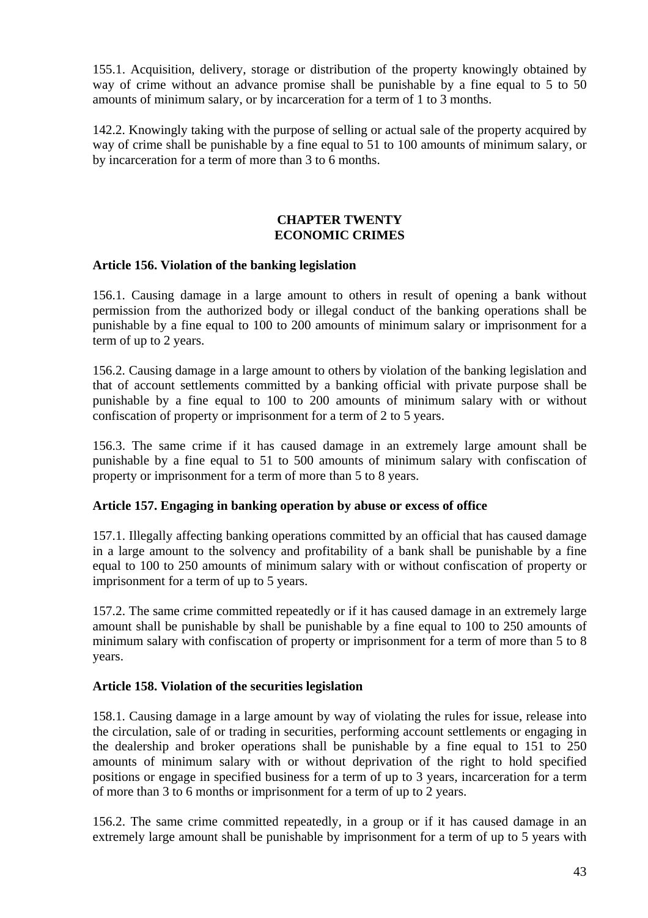155.1. Acquisition, delivery, storage or distribution of the property knowingly obtained by way of crime without an advance promise shall be punishable by a fine equal to 5 to 50 amounts of minimum salary, or by incarceration for a term of 1 to 3 months.

142.2. Knowingly taking with the purpose of selling or actual sale of the property acquired by way of crime shall be punishable by a fine equal to 51 to 100 amounts of minimum salary, or by incarceration for a term of more than 3 to 6 months.

#### **CHAPTER TWENTY ECONOMIC CRIMES**

#### **Article 156. Violation of the banking legislation**

156.1. Causing damage in a large amount to others in result of opening a bank without permission from the authorized body or illegal conduct of the banking operations shall be punishable by a fine equal to 100 to 200 amounts of minimum salary or imprisonment for a term of up to 2 years.

156.2. Causing damage in a large amount to others by violation of the banking legislation and that of account settlements committed by a banking official with private purpose shall be punishable by a fine equal to 100 to 200 amounts of minimum salary with or without confiscation of property or imprisonment for a term of 2 to 5 years.

156.3. The same crime if it has caused damage in an extremely large amount shall be punishable by a fine equal to 51 to 500 amounts of minimum salary with confiscation of property or imprisonment for a term of more than 5 to 8 years.

## **Article 157. Engaging in banking operation by abuse or excess of office**

157.1. Illegally affecting banking operations committed by an official that has caused damage in a large amount to the solvency and profitability of a bank shall be punishable by a fine equal to 100 to 250 amounts of minimum salary with or without confiscation of property or imprisonment for a term of up to 5 years.

157.2. The same crime committed repeatedly or if it has caused damage in an extremely large amount shall be punishable by shall be punishable by a fine equal to 100 to 250 amounts of minimum salary with confiscation of property or imprisonment for a term of more than 5 to 8 years.

#### **Article 158. Violation of the securities legislation**

158.1. Causing damage in a large amount by way of violating the rules for issue, release into the circulation, sale of or trading in securities, performing account settlements or engaging in the dealership and broker operations shall be punishable by a fine equal to 151 to 250 amounts of minimum salary with or without deprivation of the right to hold specified positions or engage in specified business for a term of up to 3 years, incarceration for a term of more than 3 to 6 months or imprisonment for a term of up to 2 years.

156.2. The same crime committed repeatedly, in a group or if it has caused damage in an extremely large amount shall be punishable by imprisonment for a term of up to 5 years with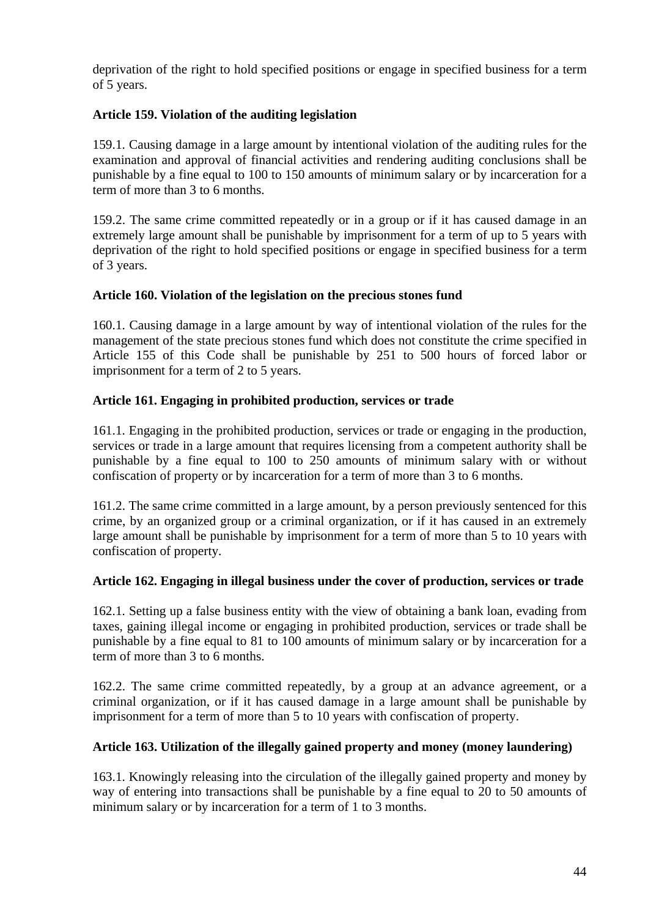deprivation of the right to hold specified positions or engage in specified business for a term of 5 years.

## **Article 159. Violation of the auditing legislation**

159.1. Causing damage in a large amount by intentional violation of the auditing rules for the examination and approval of financial activities and rendering auditing conclusions shall be punishable by a fine equal to 100 to 150 amounts of minimum salary or by incarceration for a term of more than 3 to 6 months.

159.2. The same crime committed repeatedly or in a group or if it has caused damage in an extremely large amount shall be punishable by imprisonment for a term of up to 5 years with deprivation of the right to hold specified positions or engage in specified business for a term of 3 years.

## **Article 160. Violation of the legislation on the precious stones fund**

160.1. Causing damage in a large amount by way of intentional violation of the rules for the management of the state precious stones fund which does not constitute the crime specified in Article 155 of this Code shall be punishable by 251 to 500 hours of forced labor or imprisonment for a term of 2 to 5 years.

#### **Article 161. Engaging in prohibited production, services or trade**

161.1. Engaging in the prohibited production, services or trade or engaging in the production, services or trade in a large amount that requires licensing from a competent authority shall be punishable by a fine equal to 100 to 250 amounts of minimum salary with or without confiscation of property or by incarceration for a term of more than 3 to 6 months.

161.2. The same crime committed in a large amount, by a person previously sentenced for this crime, by an organized group or a criminal organization, or if it has caused in an extremely large amount shall be punishable by imprisonment for a term of more than 5 to 10 years with confiscation of property.

#### **Article 162. Engaging in illegal business under the cover of production, services or trade**

162.1. Setting up a false business entity with the view of obtaining a bank loan, evading from taxes, gaining illegal income or engaging in prohibited production, services or trade shall be punishable by a fine equal to 81 to 100 amounts of minimum salary or by incarceration for a term of more than 3 to 6 months.

162.2. The same crime committed repeatedly, by a group at an advance agreement, or a criminal organization, or if it has caused damage in a large amount shall be punishable by imprisonment for a term of more than 5 to 10 years with confiscation of property.

#### **Article 163. Utilization of the illegally gained property and money (money laundering)**

163.1. Knowingly releasing into the circulation of the illegally gained property and money by way of entering into transactions shall be punishable by a fine equal to 20 to 50 amounts of minimum salary or by incarceration for a term of 1 to 3 months.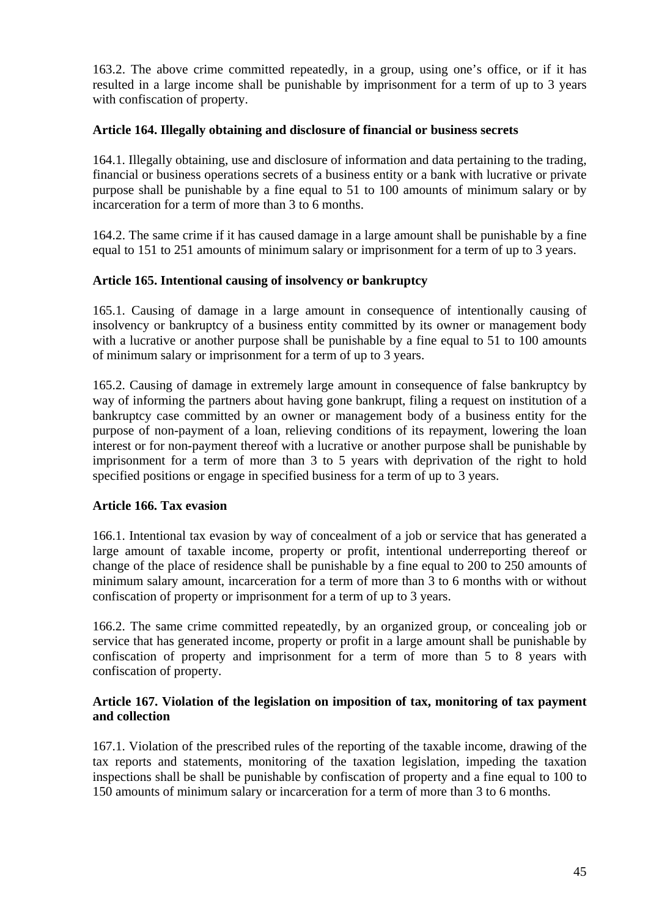163.2. The above crime committed repeatedly, in a group, using one's office, or if it has resulted in a large income shall be punishable by imprisonment for a term of up to 3 years with confiscation of property.

#### **Article 164. Illegally obtaining and disclosure of financial or business secrets**

164.1. Illegally obtaining, use and disclosure of information and data pertaining to the trading, financial or business operations secrets of a business entity or a bank with lucrative or private purpose shall be punishable by a fine equal to 51 to 100 amounts of minimum salary or by incarceration for a term of more than 3 to 6 months.

164.2. The same crime if it has caused damage in a large amount shall be punishable by a fine equal to 151 to 251 amounts of minimum salary or imprisonment for a term of up to 3 years.

## **Article 165. Intentional causing of insolvency or bankruptcy**

165.1. Causing of damage in a large amount in consequence of intentionally causing of insolvency or bankruptcy of a business entity committed by its owner or management body with a lucrative or another purpose shall be punishable by a fine equal to 51 to 100 amounts of minimum salary or imprisonment for a term of up to 3 years.

165.2. Causing of damage in extremely large amount in consequence of false bankruptcy by way of informing the partners about having gone bankrupt, filing a request on institution of a bankruptcy case committed by an owner or management body of a business entity for the purpose of non-payment of a loan, relieving conditions of its repayment, lowering the loan interest or for non-payment thereof with a lucrative or another purpose shall be punishable by imprisonment for a term of more than 3 to 5 years with deprivation of the right to hold specified positions or engage in specified business for a term of up to 3 years.

## **Article 166. Tax evasion**

166.1. Intentional tax evasion by way of concealment of a job or service that has generated a large amount of taxable income, property or profit, intentional underreporting thereof or change of the place of residence shall be punishable by a fine equal to 200 to 250 amounts of minimum salary amount, incarceration for a term of more than 3 to 6 months with or without confiscation of property or imprisonment for a term of up to 3 years.

166.2. The same crime committed repeatedly, by an organized group, or concealing job or service that has generated income, property or profit in a large amount shall be punishable by confiscation of property and imprisonment for a term of more than 5 to 8 years with confiscation of property.

#### **Article 167. Violation of the legislation on imposition of tax, monitoring of tax payment and collection**

167.1. Violation of the prescribed rules of the reporting of the taxable income, drawing of the tax reports and statements, monitoring of the taxation legislation, impeding the taxation inspections shall be shall be punishable by confiscation of property and a fine equal to 100 to 150 amounts of minimum salary or incarceration for a term of more than 3 to 6 months.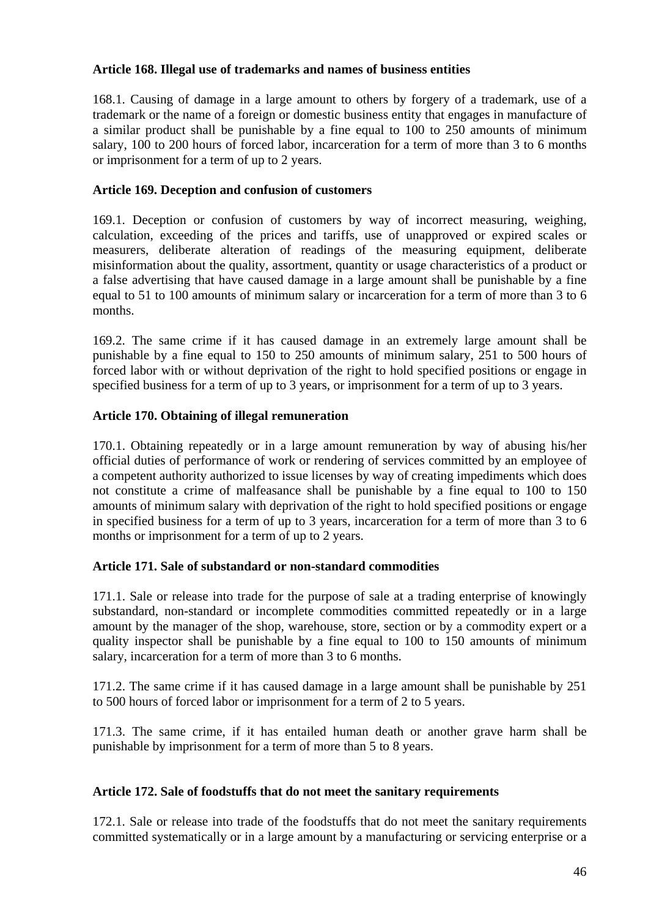### **Article 168. Illegal use of trademarks and names of business entities**

168.1. Causing of damage in a large amount to others by forgery of a trademark, use of a trademark or the name of a foreign or domestic business entity that engages in manufacture of a similar product shall be punishable by a fine equal to 100 to 250 amounts of minimum salary, 100 to 200 hours of forced labor, incarceration for a term of more than 3 to 6 months or imprisonment for a term of up to 2 years.

## **Article 169. Deception and confusion of customers**

169.1. Deception or confusion of customers by way of incorrect measuring, weighing, calculation, exceeding of the prices and tariffs, use of unapproved or expired scales or measurers, deliberate alteration of readings of the measuring equipment, deliberate misinformation about the quality, assortment, quantity or usage characteristics of a product or a false advertising that have caused damage in a large amount shall be punishable by a fine equal to 51 to 100 amounts of minimum salary or incarceration for a term of more than 3 to 6 months.

169.2. The same crime if it has caused damage in an extremely large amount shall be punishable by a fine equal to 150 to 250 amounts of minimum salary, 251 to 500 hours of forced labor with or without deprivation of the right to hold specified positions or engage in specified business for a term of up to 3 years, or imprisonment for a term of up to 3 years.

## **Article 170. Obtaining of illegal remuneration**

170.1. Obtaining repeatedly or in a large amount remuneration by way of abusing his/her official duties of performance of work or rendering of services committed by an employee of a competent authority authorized to issue licenses by way of creating impediments which does not constitute a crime of malfeasance shall be punishable by a fine equal to 100 to 150 amounts of minimum salary with deprivation of the right to hold specified positions or engage in specified business for a term of up to 3 years, incarceration for a term of more than 3 to 6 months or imprisonment for a term of up to 2 years.

## **Article 171. Sale of substandard or non-standard commodities**

171.1. Sale or release into trade for the purpose of sale at a trading enterprise of knowingly substandard, non-standard or incomplete commodities committed repeatedly or in a large amount by the manager of the shop, warehouse, store, section or by a commodity expert or a quality inspector shall be punishable by a fine equal to 100 to 150 amounts of minimum salary, incarceration for a term of more than 3 to 6 months.

171.2. The same crime if it has caused damage in a large amount shall be punishable by 251 to 500 hours of forced labor or imprisonment for a term of 2 to 5 years.

171.3. The same crime, if it has entailed human death or another grave harm shall be punishable by imprisonment for a term of more than 5 to 8 years.

#### **Article 172. Sale of foodstuffs that do not meet the sanitary requirements**

172.1. Sale or release into trade of the foodstuffs that do not meet the sanitary requirements committed systematically or in a large amount by a manufacturing or servicing enterprise or a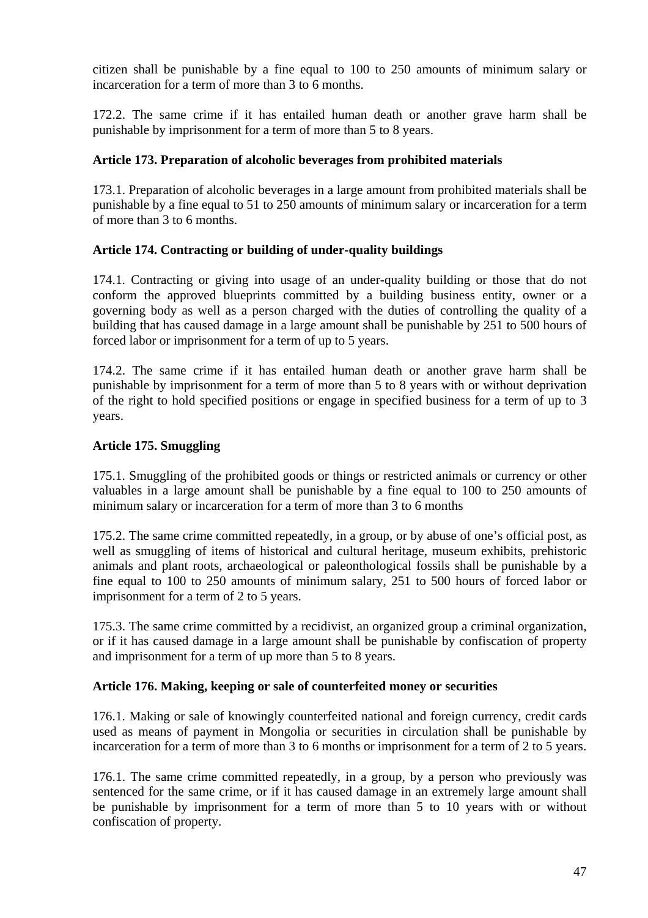citizen shall be punishable by a fine equal to 100 to 250 amounts of minimum salary or incarceration for a term of more than 3 to 6 months.

172.2. The same crime if it has entailed human death or another grave harm shall be punishable by imprisonment for a term of more than 5 to 8 years.

# **Article 173. Preparation of alcoholic beverages from prohibited materials**

173.1. Preparation of alcoholic beverages in a large amount from prohibited materials shall be punishable by a fine equal to 51 to 250 amounts of minimum salary or incarceration for a term of more than 3 to 6 months.

# **Article 174. Contracting or building of under-quality buildings**

174.1. Contracting or giving into usage of an under-quality building or those that do not conform the approved blueprints committed by a building business entity, owner or a governing body as well as a person charged with the duties of controlling the quality of a building that has caused damage in a large amount shall be punishable by 251 to 500 hours of forced labor or imprisonment for a term of up to 5 years.

174.2. The same crime if it has entailed human death or another grave harm shall be punishable by imprisonment for a term of more than 5 to 8 years with or without deprivation of the right to hold specified positions or engage in specified business for a term of up to 3 years.

# **Article 175. Smuggling**

175.1. Smuggling of the prohibited goods or things or restricted animals or currency or other valuables in a large amount shall be punishable by a fine equal to 100 to 250 amounts of minimum salary or incarceration for a term of more than 3 to 6 months

175.2. The same crime committed repeatedly, in a group, or by abuse of one's official post, as well as smuggling of items of historical and cultural heritage, museum exhibits, prehistoric animals and plant roots, archaeological or paleonthological fossils shall be punishable by a fine equal to 100 to 250 amounts of minimum salary, 251 to 500 hours of forced labor or imprisonment for a term of 2 to 5 years.

175.3. The same crime committed by a recidivist, an organized group a criminal organization, or if it has caused damage in a large amount shall be punishable by confiscation of property and imprisonment for a term of up more than 5 to 8 years.

## **Article 176. Making, keeping or sale of counterfeited money or securities**

176.1. Making or sale of knowingly counterfeited national and foreign currency, credit cards used as means of payment in Mongolia or securities in circulation shall be punishable by incarceration for a term of more than 3 to 6 months or imprisonment for a term of 2 to 5 years.

176.1. The same crime committed repeatedly, in a group, by a person who previously was sentenced for the same crime, or if it has caused damage in an extremely large amount shall be punishable by imprisonment for a term of more than 5 to 10 years with or without confiscation of property.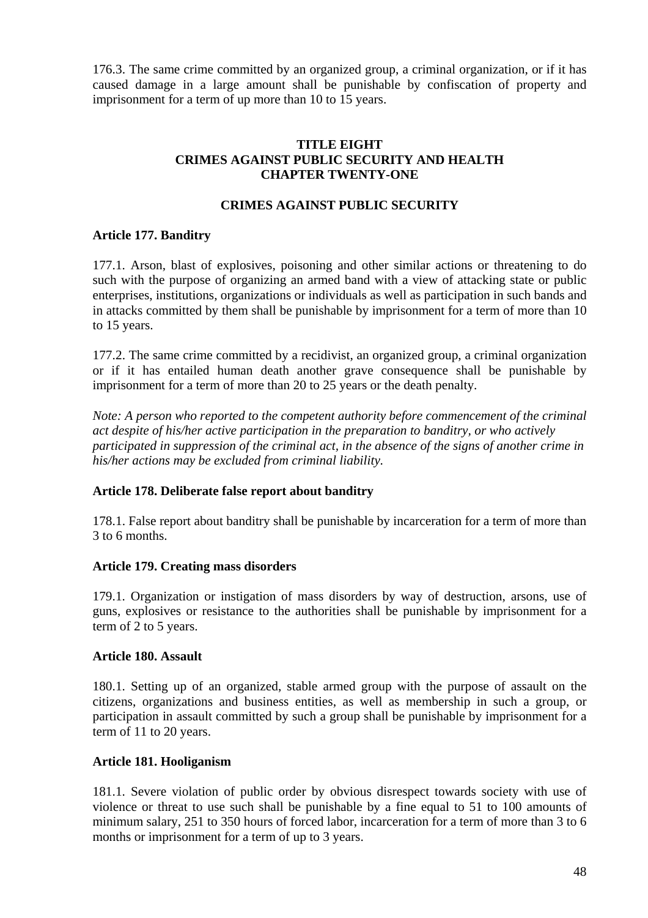176.3. The same crime committed by an organized group, a criminal organization, or if it has caused damage in a large amount shall be punishable by confiscation of property and imprisonment for a term of up more than 10 to 15 years.

#### **TITLE EIGHT CRIMES AGAINST PUBLIC SECURITY AND HEALTH CHAPTER TWENTY-ONE**

## **CRIMES AGAINST PUBLIC SECURITY**

#### **Article 177. Banditry**

177.1. Arson, blast of explosives, poisoning and other similar actions or threatening to do such with the purpose of organizing an armed band with a view of attacking state or public enterprises, institutions, organizations or individuals as well as participation in such bands and in attacks committed by them shall be punishable by imprisonment for a term of more than 10 to 15 years.

177.2. The same crime committed by a recidivist, an organized group, a criminal organization or if it has entailed human death another grave consequence shall be punishable by imprisonment for a term of more than 20 to 25 years or the death penalty.

*Note: A person who reported to the competent authority before commencement of the criminal act despite of his/her active participation in the preparation to banditry, or who actively participated in suppression of the criminal act, in the absence of the signs of another crime in his/her actions may be excluded from criminal liability.* 

## **Article 178. Deliberate false report about banditry**

178.1. False report about banditry shall be punishable by incarceration for a term of more than 3 to 6 months.

#### **Article 179. Creating mass disorders**

179.1. Organization or instigation of mass disorders by way of destruction, arsons, use of guns, explosives or resistance to the authorities shall be punishable by imprisonment for a term of 2 to 5 years.

## **Article 180. Assault**

180.1. Setting up of an organized, stable armed group with the purpose of assault on the citizens, organizations and business entities, as well as membership in such a group, or participation in assault committed by such a group shall be punishable by imprisonment for a term of 11 to 20 years.

#### **Article 181. Hooliganism**

181.1. Severe violation of public order by obvious disrespect towards society with use of violence or threat to use such shall be punishable by a fine equal to 51 to 100 amounts of minimum salary, 251 to 350 hours of forced labor, incarceration for a term of more than 3 to 6 months or imprisonment for a term of up to 3 years.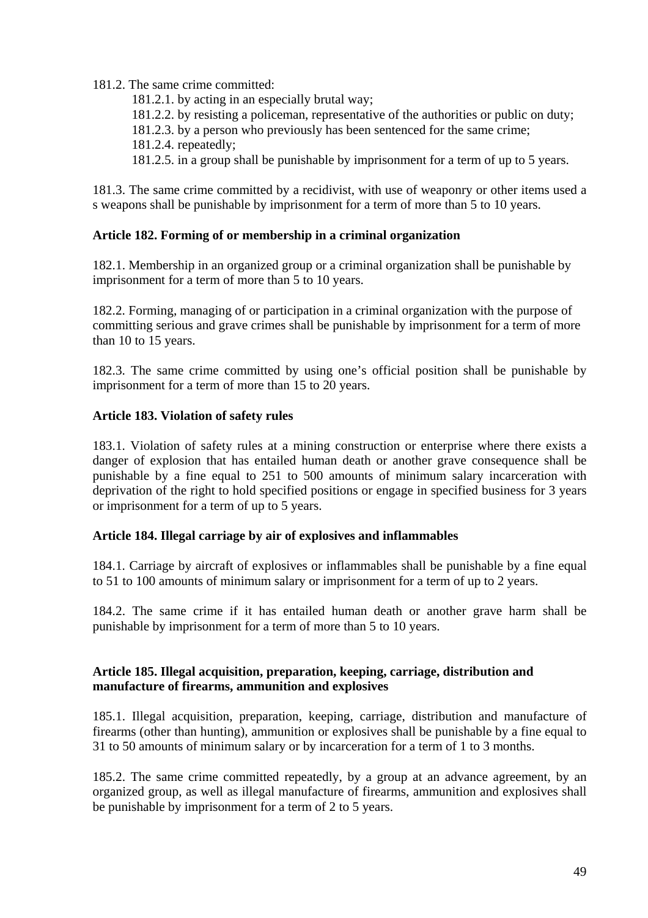181.2. The same crime committed:

181.2.1. by acting in an especially brutal way;

181.2.2. by resisting a policeman, representative of the authorities or public on duty;

181.2.3. by a person who previously has been sentenced for the same crime;

181.2.4. repeatedly;

181.2.5. in a group shall be punishable by imprisonment for a term of up to 5 years.

181.3. The same crime committed by a recidivist, with use of weaponry or other items used a s weapons shall be punishable by imprisonment for a term of more than 5 to 10 years.

## **Article 182. Forming of or membership in a criminal organization**

182.1. Membership in an organized group or a criminal organization shall be punishable by imprisonment for a term of more than 5 to 10 years.

182.2. Forming, managing of or participation in a criminal organization with the purpose of committing serious and grave crimes shall be punishable by imprisonment for a term of more than 10 to 15 years.

182.3. The same crime committed by using one's official position shall be punishable by imprisonment for a term of more than 15 to 20 years.

## **Article 183. Violation of safety rules**

183.1. Violation of safety rules at a mining construction or enterprise where there exists a danger of explosion that has entailed human death or another grave consequence shall be punishable by a fine equal to 251 to 500 amounts of minimum salary incarceration with deprivation of the right to hold specified positions or engage in specified business for 3 years or imprisonment for a term of up to 5 years.

## **Article 184. Illegal carriage by air of explosives and inflammables**

184.1. Carriage by aircraft of explosives or inflammables shall be punishable by a fine equal to 51 to 100 amounts of minimum salary or imprisonment for a term of up to 2 years.

184.2. The same crime if it has entailed human death or another grave harm shall be punishable by imprisonment for a term of more than 5 to 10 years.

#### **Article 185. Illegal acquisition, preparation, keeping, carriage, distribution and manufacture of firearms, ammunition and explosives**

185.1. Illegal acquisition, preparation, keeping, carriage, distribution and manufacture of firearms (other than hunting), ammunition or explosives shall be punishable by a fine equal to 31 to 50 amounts of minimum salary or by incarceration for a term of 1 to 3 months.

185.2. The same crime committed repeatedly, by a group at an advance agreement, by an organized group, as well as illegal manufacture of firearms, ammunition and explosives shall be punishable by imprisonment for a term of 2 to 5 years.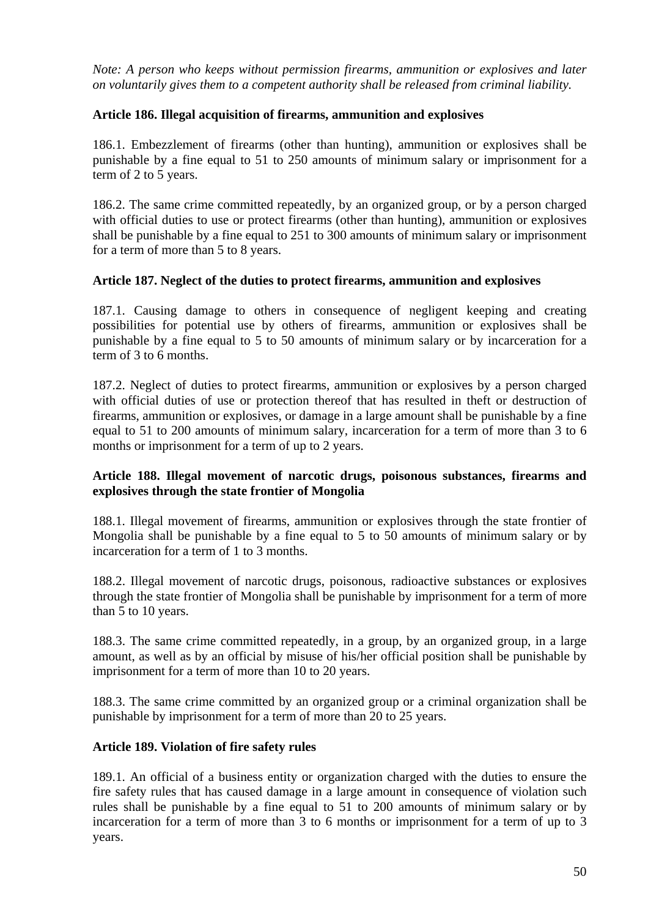*Note: A person who keeps without permission firearms, ammunition or explosives and later on voluntarily gives them to a competent authority shall be released from criminal liability.* 

# **Article 186. Illegal acquisition of firearms, ammunition and explosives**

186.1. Embezzlement of firearms (other than hunting), ammunition or explosives shall be punishable by a fine equal to 51 to 250 amounts of minimum salary or imprisonment for a term of 2 to 5 years.

186.2. The same crime committed repeatedly, by an organized group, or by a person charged with official duties to use or protect firearms (other than hunting), ammunition or explosives shall be punishable by a fine equal to 251 to 300 amounts of minimum salary or imprisonment for a term of more than 5 to 8 years.

## **Article 187. Neglect of the duties to protect firearms, ammunition and explosives**

187.1. Causing damage to others in consequence of negligent keeping and creating possibilities for potential use by others of firearms, ammunition or explosives shall be punishable by a fine equal to 5 to 50 amounts of minimum salary or by incarceration for a term of 3 to 6 months.

187.2. Neglect of duties to protect firearms, ammunition or explosives by a person charged with official duties of use or protection thereof that has resulted in theft or destruction of firearms, ammunition or explosives, or damage in a large amount shall be punishable by a fine equal to 51 to 200 amounts of minimum salary, incarceration for a term of more than 3 to 6 months or imprisonment for a term of up to 2 years.

## **Article 188. Illegal movement of narcotic drugs, poisonous substances, firearms and explosives through the state frontier of Mongolia**

188.1. Illegal movement of firearms, ammunition or explosives through the state frontier of Mongolia shall be punishable by a fine equal to 5 to 50 amounts of minimum salary or by incarceration for a term of 1 to 3 months.

188.2. Illegal movement of narcotic drugs, poisonous, radioactive substances or explosives through the state frontier of Mongolia shall be punishable by imprisonment for a term of more than 5 to 10 years.

188.3. The same crime committed repeatedly, in a group, by an organized group, in a large amount, as well as by an official by misuse of his/her official position shall be punishable by imprisonment for a term of more than 10 to 20 years.

188.3. The same crime committed by an organized group or a criminal organization shall be punishable by imprisonment for a term of more than 20 to 25 years.

## **Article 189. Violation of fire safety rules**

189.1. An official of a business entity or organization charged with the duties to ensure the fire safety rules that has caused damage in a large amount in consequence of violation such rules shall be punishable by a fine equal to 51 to 200 amounts of minimum salary or by incarceration for a term of more than 3 to 6 months or imprisonment for a term of up to 3 years.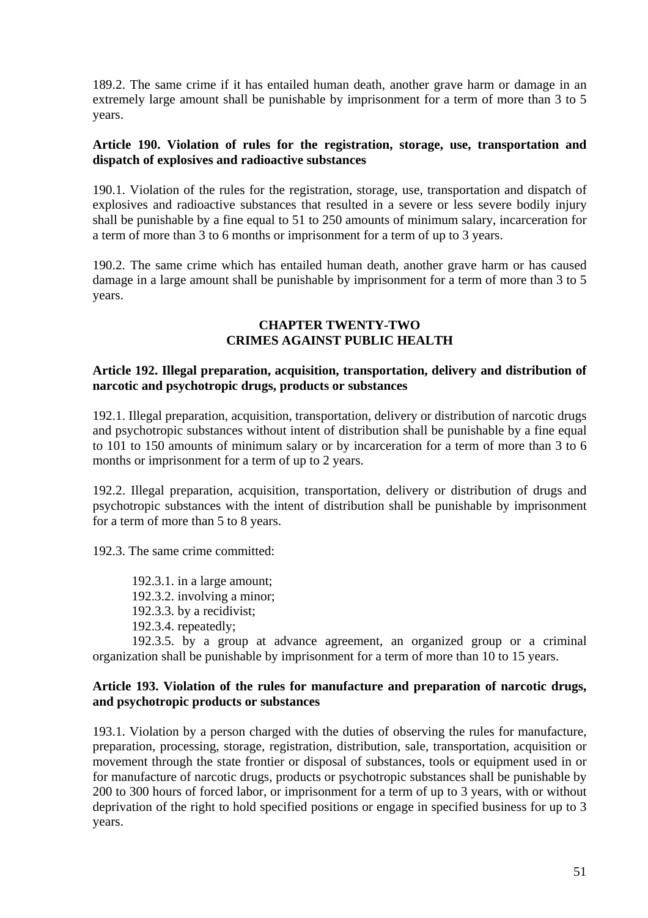189.2. The same crime if it has entailed human death, another grave harm or damage in an extremely large amount shall be punishable by imprisonment for a term of more than 3 to 5 years.

#### **Article 190. Violation of rules for the registration, storage, use, transportation and dispatch of explosives and radioactive substances**

190.1. Violation of the rules for the registration, storage, use, transportation and dispatch of explosives and radioactive substances that resulted in a severe or less severe bodily injury shall be punishable by a fine equal to 51 to 250 amounts of minimum salary, incarceration for a term of more than 3 to 6 months or imprisonment for a term of up to 3 years.

190.2. The same crime which has entailed human death, another grave harm or has caused damage in a large amount shall be punishable by imprisonment for a term of more than 3 to 5 years.

### **CHAPTER TWENTY-TWO CRIMES AGAINST PUBLIC HEALTH**

#### **Article 192. Illegal preparation, acquisition, transportation, delivery and distribution of narcotic and psychotropic drugs, products or substances**

192.1. Illegal preparation, acquisition, transportation, delivery or distribution of narcotic drugs and psychotropic substances without intent of distribution shall be punishable by a fine equal to 101 to 150 amounts of minimum salary or by incarceration for a term of more than 3 to 6 months or imprisonment for a term of up to 2 years.

192.2. Illegal preparation, acquisition, transportation, delivery or distribution of drugs and psychotropic substances with the intent of distribution shall be punishable by imprisonment for a term of more than 5 to 8 years.

192.3. The same crime committed:

192.3.1. in a large amount; 192.3.2. involving a minor; 192.3.3. by a recidivist; 192.3.4. repeatedly;

192.3.5. by a group at advance agreement, an organized group or a criminal organization shall be punishable by imprisonment for a term of more than 10 to 15 years.

#### **Article 193. Violation of the rules for manufacture and preparation of narcotic drugs, and psychotropic products or substances**

193.1. Violation by a person charged with the duties of observing the rules for manufacture, preparation, processing, storage, registration, distribution, sale, transportation, acquisition or movement through the state frontier or disposal of substances, tools or equipment used in or for manufacture of narcotic drugs, products or psychotropic substances shall be punishable by 200 to 300 hours of forced labor, or imprisonment for a term of up to 3 years, with or without deprivation of the right to hold specified positions or engage in specified business for up to 3 years.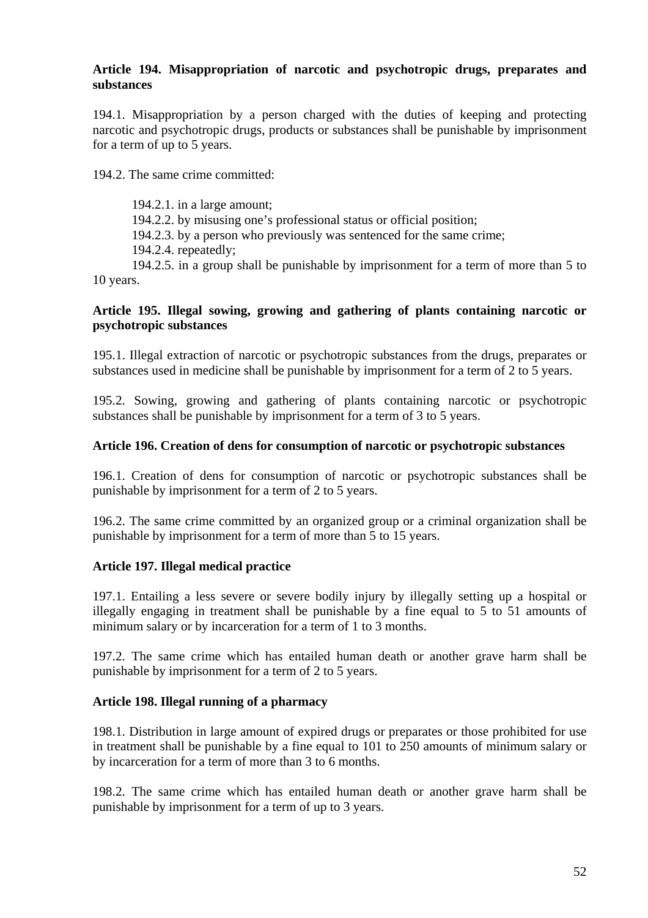#### **Article 194. Misappropriation of narcotic and psychotropic drugs, preparates and substances**

194.1. Misappropriation by a person charged with the duties of keeping and protecting narcotic and psychotropic drugs, products or substances shall be punishable by imprisonment for a term of up to 5 years.

194.2. The same crime committed:

194.2.1. in a large amount;

194.2.2. by misusing one's professional status or official position;

194.2.3. by a person who previously was sentenced for the same crime;

194.2.4. repeatedly;

194.2.5. in a group shall be punishable by imprisonment for a term of more than 5 to 10 years.

#### **Article 195. Illegal sowing, growing and gathering of plants containing narcotic or psychotropic substances**

195.1. Illegal extraction of narcotic or psychotropic substances from the drugs, preparates or substances used in medicine shall be punishable by imprisonment for a term of 2 to 5 years.

195.2. Sowing, growing and gathering of plants containing narcotic or psychotropic substances shall be punishable by imprisonment for a term of 3 to 5 years.

## **Article 196. Creation of dens for consumption of narcotic or psychotropic substances**

196.1. Creation of dens for consumption of narcotic or psychotropic substances shall be punishable by imprisonment for a term of 2 to 5 years.

196.2. The same crime committed by an organized group or a criminal organization shall be punishable by imprisonment for a term of more than 5 to 15 years.

## **Article 197. Illegal medical practice**

197.1. Entailing a less severe or severe bodily injury by illegally setting up a hospital or illegally engaging in treatment shall be punishable by a fine equal to 5 to 51 amounts of minimum salary or by incarceration for a term of 1 to 3 months.

197.2. The same crime which has entailed human death or another grave harm shall be punishable by imprisonment for a term of 2 to 5 years.

## **Article 198. Illegal running of a pharmacy**

198.1. Distribution in large amount of expired drugs or preparates or those prohibited for use in treatment shall be punishable by a fine equal to 101 to 250 amounts of minimum salary or by incarceration for a term of more than 3 to 6 months.

198.2. The same crime which has entailed human death or another grave harm shall be punishable by imprisonment for a term of up to 3 years.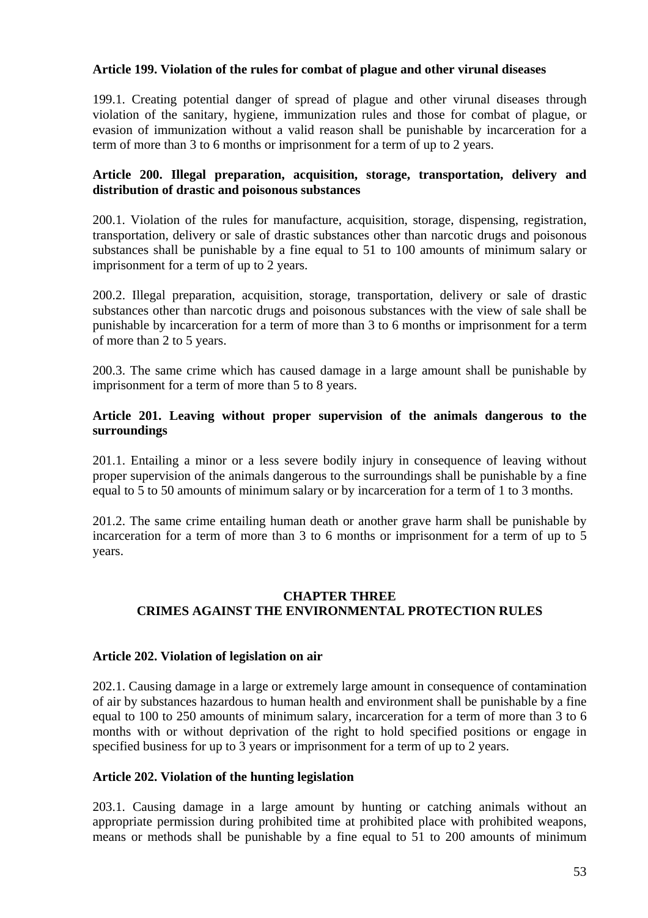#### **Article 199. Violation of the rules for combat of plague and other virunal diseases**

199.1. Creating potential danger of spread of plague and other virunal diseases through violation of the sanitary, hygiene, immunization rules and those for combat of plague, or evasion of immunization without a valid reason shall be punishable by incarceration for a term of more than 3 to 6 months or imprisonment for a term of up to 2 years.

## **Article 200. Illegal preparation, acquisition, storage, transportation, delivery and distribution of drastic and poisonous substances**

200.1. Violation of the rules for manufacture, acquisition, storage, dispensing, registration, transportation, delivery or sale of drastic substances other than narcotic drugs and poisonous substances shall be punishable by a fine equal to 51 to 100 amounts of minimum salary or imprisonment for a term of up to 2 years.

200.2. Illegal preparation, acquisition, storage, transportation, delivery or sale of drastic substances other than narcotic drugs and poisonous substances with the view of sale shall be punishable by incarceration for a term of more than 3 to 6 months or imprisonment for a term of more than 2 to 5 years.

200.3. The same crime which has caused damage in a large amount shall be punishable by imprisonment for a term of more than 5 to 8 years.

### **Article 201. Leaving without proper supervision of the animals dangerous to the surroundings**

201.1. Entailing a minor or a less severe bodily injury in consequence of leaving without proper supervision of the animals dangerous to the surroundings shall be punishable by a fine equal to 5 to 50 amounts of minimum salary or by incarceration for a term of 1 to 3 months.

201.2. The same crime entailing human death or another grave harm shall be punishable by incarceration for a term of more than 3 to 6 months or imprisonment for a term of up to 5 years.

## **CHAPTER THREE CRIMES AGAINST THE ENVIRONMENTAL PROTECTION RULES**

## **Article 202. Violation of legislation on air**

202.1. Causing damage in a large or extremely large amount in consequence of contamination of air by substances hazardous to human health and environment shall be punishable by a fine equal to 100 to 250 amounts of minimum salary, incarceration for a term of more than 3 to 6 months with or without deprivation of the right to hold specified positions or engage in specified business for up to 3 years or imprisonment for a term of up to 2 years.

#### **Article 202. Violation of the hunting legislation**

203.1. Causing damage in a large amount by hunting or catching animals without an appropriate permission during prohibited time at prohibited place with prohibited weapons, means or methods shall be punishable by a fine equal to 51 to 200 amounts of minimum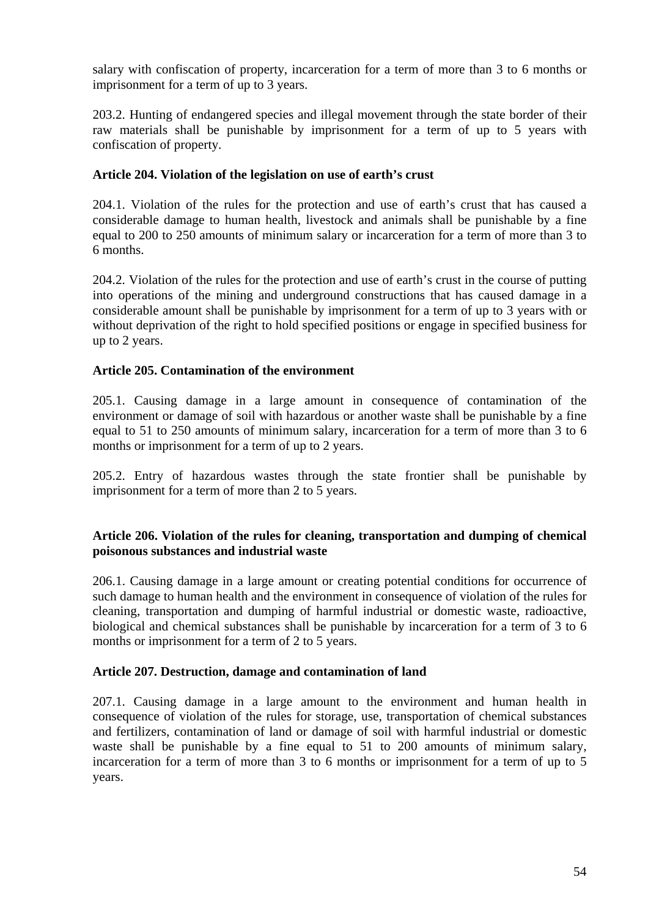salary with confiscation of property, incarceration for a term of more than 3 to 6 months or imprisonment for a term of up to 3 years.

203.2. Hunting of endangered species and illegal movement through the state border of their raw materials shall be punishable by imprisonment for a term of up to 5 years with confiscation of property.

### **Article 204. Violation of the legislation on use of earth's crust**

204.1. Violation of the rules for the protection and use of earth's crust that has caused a considerable damage to human health, livestock and animals shall be punishable by a fine equal to 200 to 250 amounts of minimum salary or incarceration for a term of more than 3 to 6 months.

204.2. Violation of the rules for the protection and use of earth's crust in the course of putting into operations of the mining and underground constructions that has caused damage in a considerable amount shall be punishable by imprisonment for a term of up to 3 years with or without deprivation of the right to hold specified positions or engage in specified business for up to 2 years.

## **Article 205. Contamination of the environment**

205.1. Causing damage in a large amount in consequence of contamination of the environment or damage of soil with hazardous or another waste shall be punishable by a fine equal to 51 to 250 amounts of minimum salary, incarceration for a term of more than 3 to 6 months or imprisonment for a term of up to 2 years.

205.2. Entry of hazardous wastes through the state frontier shall be punishable by imprisonment for a term of more than 2 to 5 years.

#### **Article 206. Violation of the rules for cleaning, transportation and dumping of chemical poisonous substances and industrial waste**

206.1. Causing damage in a large amount or creating potential conditions for occurrence of such damage to human health and the environment in consequence of violation of the rules for cleaning, transportation and dumping of harmful industrial or domestic waste, radioactive, biological and chemical substances shall be punishable by incarceration for a term of 3 to 6 months or imprisonment for a term of 2 to 5 years.

## **Article 207. Destruction, damage and contamination of land**

207.1. Causing damage in a large amount to the environment and human health in consequence of violation of the rules for storage, use, transportation of chemical substances and fertilizers, contamination of land or damage of soil with harmful industrial or domestic waste shall be punishable by a fine equal to 51 to 200 amounts of minimum salary, incarceration for a term of more than 3 to 6 months or imprisonment for a term of up to 5 years.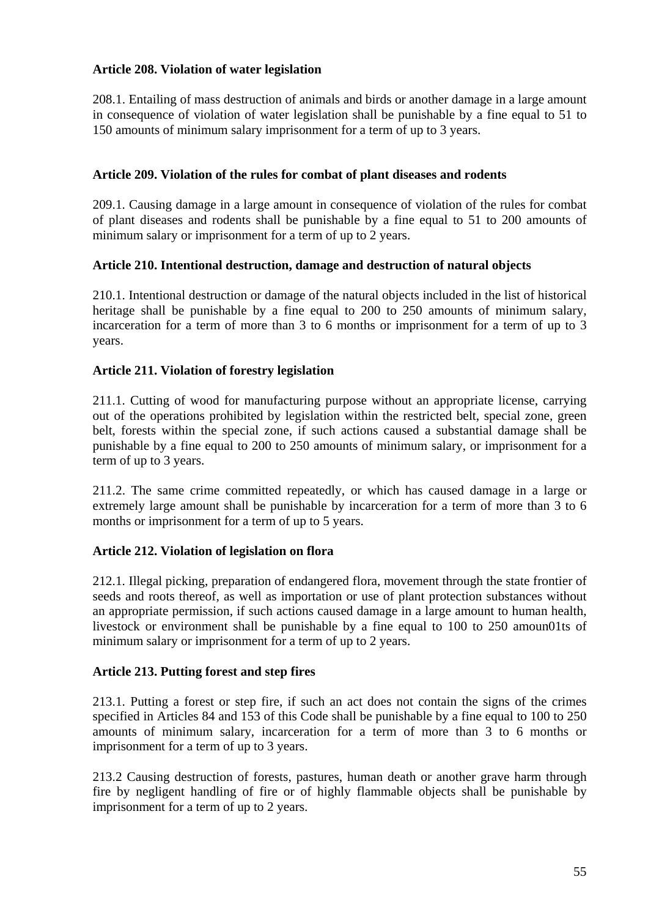## **Article 208. Violation of water legislation**

208.1. Entailing of mass destruction of animals and birds or another damage in a large amount in consequence of violation of water legislation shall be punishable by a fine equal to 51 to 150 amounts of minimum salary imprisonment for a term of up to 3 years.

### **Article 209. Violation of the rules for combat of plant diseases and rodents**

209.1. Causing damage in a large amount in consequence of violation of the rules for combat of plant diseases and rodents shall be punishable by a fine equal to 51 to 200 amounts of minimum salary or imprisonment for a term of up to 2 years.

## **Article 210. Intentional destruction, damage and destruction of natural objects**

210.1. Intentional destruction or damage of the natural objects included in the list of historical heritage shall be punishable by a fine equal to 200 to 250 amounts of minimum salary, incarceration for a term of more than 3 to 6 months or imprisonment for a term of up to 3 years.

#### **Article 211. Violation of forestry legislation**

211.1. Cutting of wood for manufacturing purpose without an appropriate license, carrying out of the operations prohibited by legislation within the restricted belt, special zone, green belt, forests within the special zone, if such actions caused a substantial damage shall be punishable by a fine equal to 200 to 250 amounts of minimum salary, or imprisonment for a term of up to 3 years.

211.2. The same crime committed repeatedly, or which has caused damage in a large or extremely large amount shall be punishable by incarceration for a term of more than 3 to 6 months or imprisonment for a term of up to 5 years.

## **Article 212. Violation of legislation on flora**

212.1. Illegal picking, preparation of endangered flora, movement through the state frontier of seeds and roots thereof, as well as importation or use of plant protection substances without an appropriate permission, if such actions caused damage in a large amount to human health, livestock or environment shall be punishable by a fine equal to 100 to 250 amoun01ts of minimum salary or imprisonment for a term of up to 2 years.

## **Article 213. Putting forest and step fires**

213.1. Putting a forest or step fire, if such an act does not contain the signs of the crimes specified in Articles 84 and 153 of this Code shall be punishable by a fine equal to 100 to 250 amounts of minimum salary, incarceration for a term of more than 3 to 6 months or imprisonment for a term of up to 3 years.

213.2 Causing destruction of forests, pastures, human death or another grave harm through fire by negligent handling of fire or of highly flammable objects shall be punishable by imprisonment for a term of up to 2 years.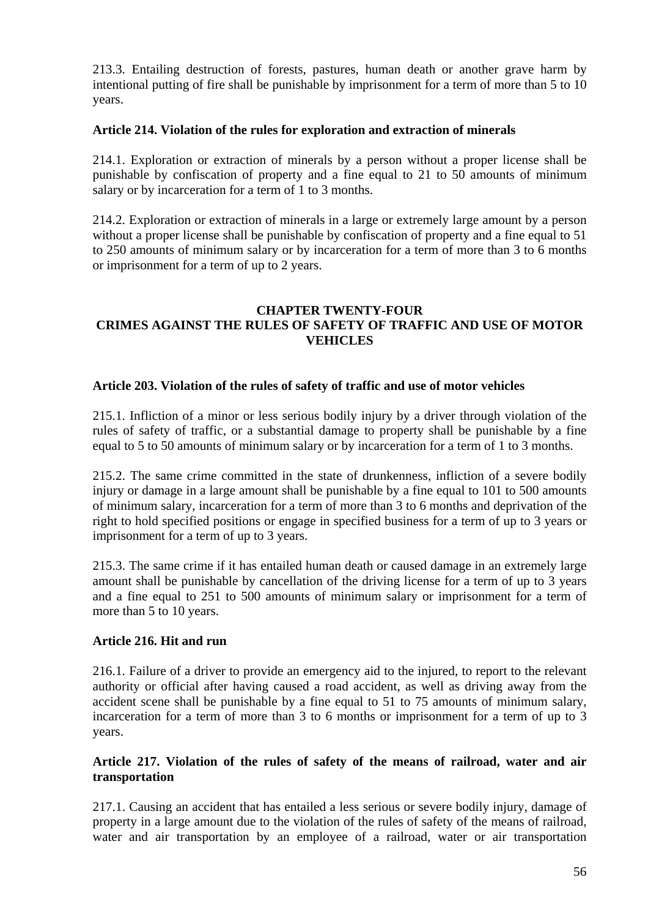213.3. Entailing destruction of forests, pastures, human death or another grave harm by intentional putting of fire shall be punishable by imprisonment for a term of more than 5 to 10 years.

#### **Article 214. Violation of the rules for exploration and extraction of minerals**

214.1. Exploration or extraction of minerals by a person without a proper license shall be punishable by confiscation of property and a fine equal to 21 to 50 amounts of minimum salary or by incarceration for a term of 1 to 3 months.

214.2. Exploration or extraction of minerals in a large or extremely large amount by a person without a proper license shall be punishable by confiscation of property and a fine equal to 51 to 250 amounts of minimum salary or by incarceration for a term of more than 3 to 6 months or imprisonment for a term of up to 2 years.

## **CHAPTER TWENTY-FOUR CRIMES AGAINST THE RULES OF SAFETY OF TRAFFIC AND USE OF MOTOR VEHICLES**

#### **Article 203. Violation of the rules of safety of traffic and use of motor vehicles**

215.1. Infliction of a minor or less serious bodily injury by a driver through violation of the rules of safety of traffic, or a substantial damage to property shall be punishable by a fine equal to 5 to 50 amounts of minimum salary or by incarceration for a term of 1 to 3 months.

215.2. The same crime committed in the state of drunkenness, infliction of a severe bodily injury or damage in a large amount shall be punishable by a fine equal to 101 to 500 amounts of minimum salary, incarceration for a term of more than 3 to 6 months and deprivation of the right to hold specified positions or engage in specified business for a term of up to 3 years or imprisonment for a term of up to 3 years.

215.3. The same crime if it has entailed human death or caused damage in an extremely large amount shall be punishable by cancellation of the driving license for a term of up to 3 years and a fine equal to 251 to 500 amounts of minimum salary or imprisonment for a term of more than 5 to 10 years.

#### **Article 216. Hit and run**

216.1. Failure of a driver to provide an emergency aid to the injured, to report to the relevant authority or official after having caused a road accident, as well as driving away from the accident scene shall be punishable by a fine equal to 51 to 75 amounts of minimum salary, incarceration for a term of more than 3 to 6 months or imprisonment for a term of up to 3 years.

#### **Article 217. Violation of the rules of safety of the means of railroad, water and air transportation**

217.1. Causing an accident that has entailed a less serious or severe bodily injury, damage of property in a large amount due to the violation of the rules of safety of the means of railroad, water and air transportation by an employee of a railroad, water or air transportation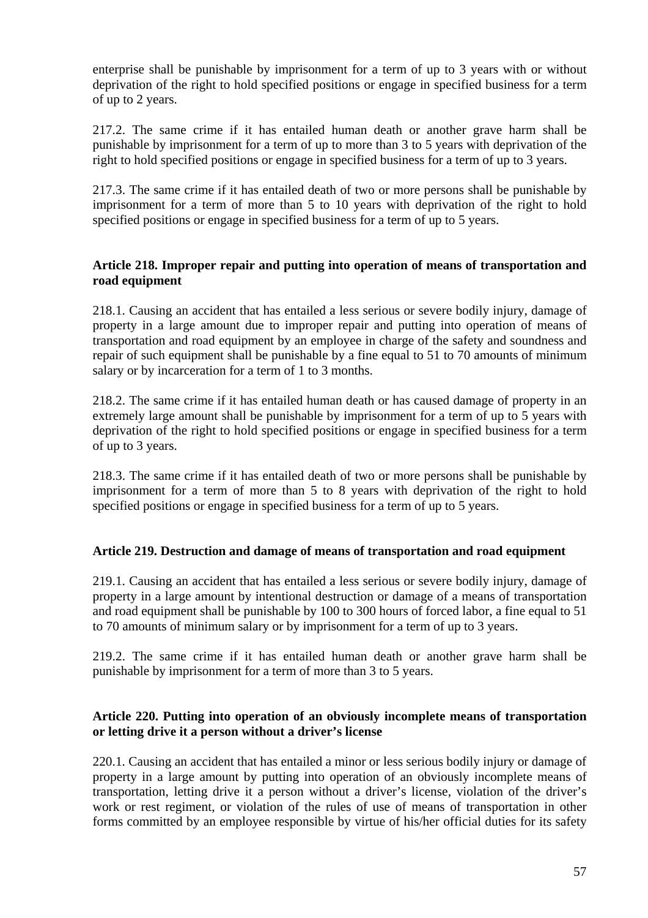enterprise shall be punishable by imprisonment for a term of up to 3 years with or without deprivation of the right to hold specified positions or engage in specified business for a term of up to 2 years.

217.2. The same crime if it has entailed human death or another grave harm shall be punishable by imprisonment for a term of up to more than 3 to 5 years with deprivation of the right to hold specified positions or engage in specified business for a term of up to 3 years.

217.3. The same crime if it has entailed death of two or more persons shall be punishable by imprisonment for a term of more than 5 to 10 years with deprivation of the right to hold specified positions or engage in specified business for a term of up to 5 years.

## **Article 218. Improper repair and putting into operation of means of transportation and road equipment**

218.1. Causing an accident that has entailed a less serious or severe bodily injury, damage of property in a large amount due to improper repair and putting into operation of means of transportation and road equipment by an employee in charge of the safety and soundness and repair of such equipment shall be punishable by a fine equal to 51 to 70 amounts of minimum salary or by incarceration for a term of 1 to 3 months.

218.2. The same crime if it has entailed human death or has caused damage of property in an extremely large amount shall be punishable by imprisonment for a term of up to 5 years with deprivation of the right to hold specified positions or engage in specified business for a term of up to 3 years.

218.3. The same crime if it has entailed death of two or more persons shall be punishable by imprisonment for a term of more than 5 to 8 years with deprivation of the right to hold specified positions or engage in specified business for a term of up to 5 years.

## **Article 219. Destruction and damage of means of transportation and road equipment**

219.1. Causing an accident that has entailed a less serious or severe bodily injury, damage of property in a large amount by intentional destruction or damage of a means of transportation and road equipment shall be punishable by 100 to 300 hours of forced labor, a fine equal to 51 to 70 amounts of minimum salary or by imprisonment for a term of up to 3 years.

219.2. The same crime if it has entailed human death or another grave harm shall be punishable by imprisonment for a term of more than 3 to 5 years.

#### **Article 220. Putting into operation of an obviously incomplete means of transportation or letting drive it a person without a driver's license**

220.1. Causing an accident that has entailed a minor or less serious bodily injury or damage of property in a large amount by putting into operation of an obviously incomplete means of transportation, letting drive it a person without a driver's license, violation of the driver's work or rest regiment, or violation of the rules of use of means of transportation in other forms committed by an employee responsible by virtue of his/her official duties for its safety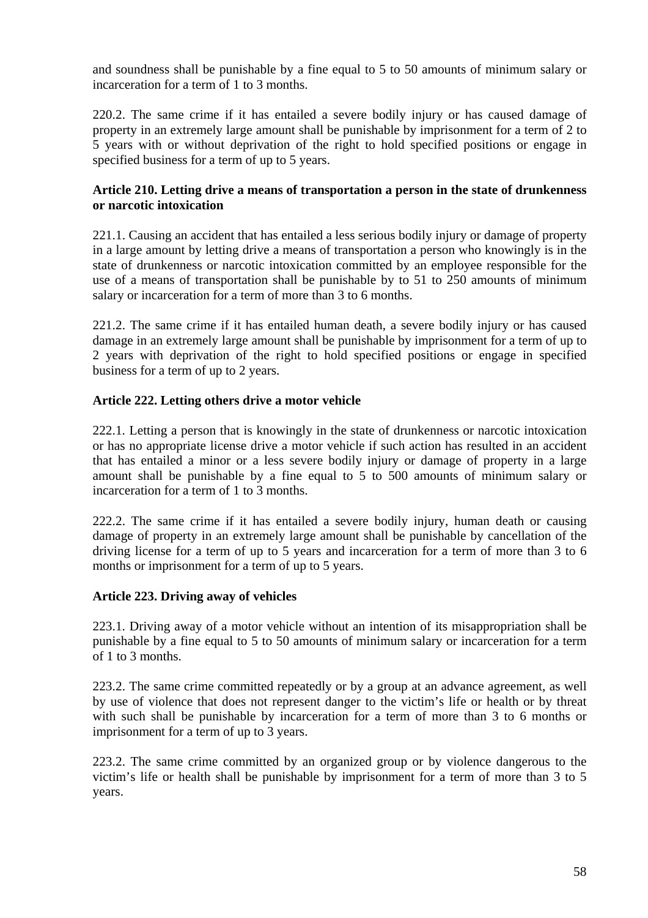and soundness shall be punishable by a fine equal to 5 to 50 amounts of minimum salary or incarceration for a term of 1 to 3 months.

220.2. The same crime if it has entailed a severe bodily injury or has caused damage of property in an extremely large amount shall be punishable by imprisonment for a term of 2 to 5 years with or without deprivation of the right to hold specified positions or engage in specified business for a term of up to 5 years.

### **Article 210. Letting drive a means of transportation a person in the state of drunkenness or narcotic intoxication**

221.1. Causing an accident that has entailed a less serious bodily injury or damage of property in a large amount by letting drive a means of transportation a person who knowingly is in the state of drunkenness or narcotic intoxication committed by an employee responsible for the use of a means of transportation shall be punishable by to 51 to 250 amounts of minimum salary or incarceration for a term of more than 3 to 6 months.

221.2. The same crime if it has entailed human death, a severe bodily injury or has caused damage in an extremely large amount shall be punishable by imprisonment for a term of up to 2 years with deprivation of the right to hold specified positions or engage in specified business for a term of up to 2 years.

# **Article 222. Letting others drive a motor vehicle**

222.1. Letting a person that is knowingly in the state of drunkenness or narcotic intoxication or has no appropriate license drive a motor vehicle if such action has resulted in an accident that has entailed a minor or a less severe bodily injury or damage of property in a large amount shall be punishable by a fine equal to 5 to 500 amounts of minimum salary or incarceration for a term of 1 to 3 months.

222.2. The same crime if it has entailed a severe bodily injury, human death or causing damage of property in an extremely large amount shall be punishable by cancellation of the driving license for a term of up to 5 years and incarceration for a term of more than 3 to 6 months or imprisonment for a term of up to 5 years.

## **Article 223. Driving away of vehicles**

223.1. Driving away of a motor vehicle without an intention of its misappropriation shall be punishable by a fine equal to 5 to 50 amounts of minimum salary or incarceration for a term of 1 to 3 months.

223.2. The same crime committed repeatedly or by a group at an advance agreement, as well by use of violence that does not represent danger to the victim's life or health or by threat with such shall be punishable by incarceration for a term of more than 3 to 6 months or imprisonment for a term of up to 3 years.

223.2. The same crime committed by an organized group or by violence dangerous to the victim's life or health shall be punishable by imprisonment for a term of more than 3 to 5 years.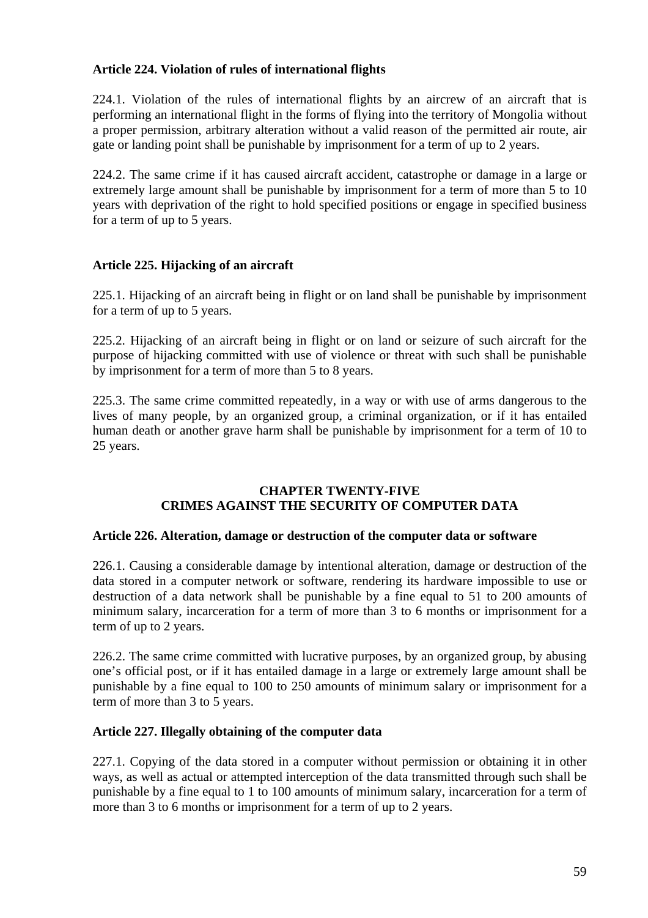### **Article 224. Violation of rules of international flights**

224.1. Violation of the rules of international flights by an aircrew of an aircraft that is performing an international flight in the forms of flying into the territory of Mongolia without a proper permission, arbitrary alteration without a valid reason of the permitted air route, air gate or landing point shall be punishable by imprisonment for a term of up to 2 years.

224.2. The same crime if it has caused aircraft accident, catastrophe or damage in a large or extremely large amount shall be punishable by imprisonment for a term of more than 5 to 10 years with deprivation of the right to hold specified positions or engage in specified business for a term of up to 5 years.

# **Article 225. Hijacking of an aircraft**

225.1. Hijacking of an aircraft being in flight or on land shall be punishable by imprisonment for a term of up to 5 years.

225.2. Hijacking of an aircraft being in flight or on land or seizure of such aircraft for the purpose of hijacking committed with use of violence or threat with such shall be punishable by imprisonment for a term of more than 5 to 8 years.

225.3. The same crime committed repeatedly, in a way or with use of arms dangerous to the lives of many people, by an organized group, a criminal organization, or if it has entailed human death or another grave harm shall be punishable by imprisonment for a term of 10 to 25 years.

#### **CHAPTER TWENTY-FIVE CRIMES AGAINST THE SECURITY OF COMPUTER DATA**

#### **Article 226. Alteration, damage or destruction of the computer data or software**

226.1. Causing a considerable damage by intentional alteration, damage or destruction of the data stored in a computer network or software, rendering its hardware impossible to use or destruction of a data network shall be punishable by a fine equal to 51 to 200 amounts of minimum salary, incarceration for a term of more than 3 to 6 months or imprisonment for a term of up to 2 years.

226.2. The same crime committed with lucrative purposes, by an organized group, by abusing one's official post, or if it has entailed damage in a large or extremely large amount shall be punishable by a fine equal to 100 to 250 amounts of minimum salary or imprisonment for a term of more than 3 to 5 years.

#### **Article 227. Illegally obtaining of the computer data**

227.1. Copying of the data stored in a computer without permission or obtaining it in other ways, as well as actual or attempted interception of the data transmitted through such shall be punishable by a fine equal to 1 to 100 amounts of minimum salary, incarceration for a term of more than 3 to 6 months or imprisonment for a term of up to 2 years.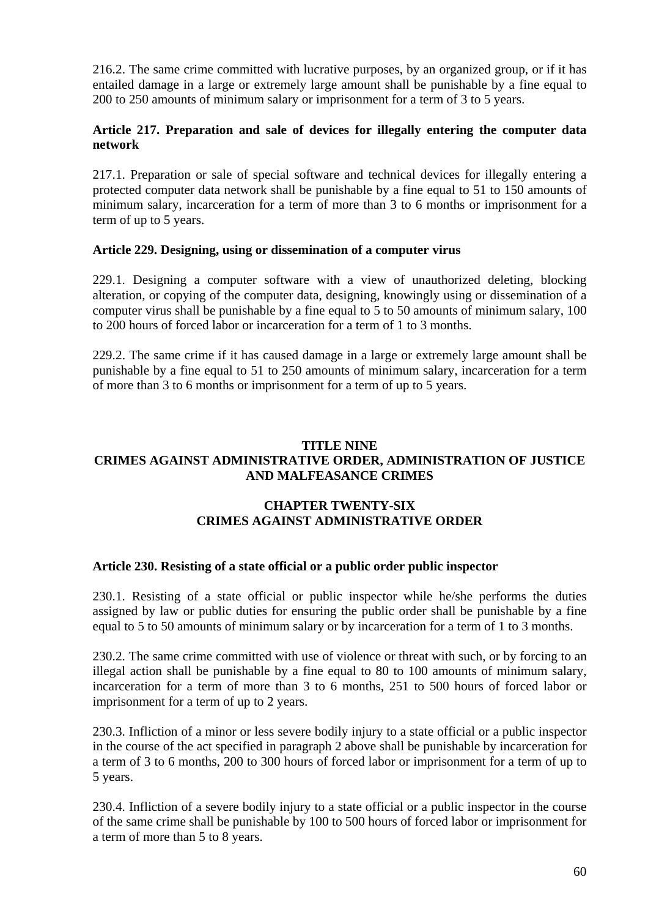216.2. The same crime committed with lucrative purposes, by an organized group, or if it has entailed damage in a large or extremely large amount shall be punishable by a fine equal to 200 to 250 amounts of minimum salary or imprisonment for a term of 3 to 5 years.

## **Article 217. Preparation and sale of devices for illegally entering the computer data network**

217.1. Preparation or sale of special software and technical devices for illegally entering a protected computer data network shall be punishable by a fine equal to 51 to 150 amounts of minimum salary, incarceration for a term of more than 3 to 6 months or imprisonment for a term of up to 5 years.

#### **Article 229. Designing, using or dissemination of a computer virus**

229.1. Designing a computer software with a view of unauthorized deleting, blocking alteration, or copying of the computer data, designing, knowingly using or dissemination of a computer virus shall be punishable by a fine equal to 5 to 50 amounts of minimum salary, 100 to 200 hours of forced labor or incarceration for a term of 1 to 3 months.

229.2. The same crime if it has caused damage in a large or extremely large amount shall be punishable by a fine equal to 51 to 250 amounts of minimum salary, incarceration for a term of more than 3 to 6 months or imprisonment for a term of up to 5 years.

#### **TITLE NINE CRIMES AGAINST ADMINISTRATIVE ORDER, ADMINISTRATION OF JUSTICE AND MALFEASANCE CRIMES**

# **CHAPTER TWENTY-SIX CRIMES AGAINST ADMINISTRATIVE ORDER**

#### **Article 230. Resisting of a state official or a public order public inspector**

230.1. Resisting of a state official or public inspector while he/she performs the duties assigned by law or public duties for ensuring the public order shall be punishable by a fine equal to 5 to 50 amounts of minimum salary or by incarceration for a term of 1 to 3 months.

230.2. The same crime committed with use of violence or threat with such, or by forcing to an illegal action shall be punishable by a fine equal to 80 to 100 amounts of minimum salary, incarceration for a term of more than 3 to 6 months, 251 to 500 hours of forced labor or imprisonment for a term of up to 2 years.

230.3. Infliction of a minor or less severe bodily injury to a state official or a public inspector in the course of the act specified in paragraph 2 above shall be punishable by incarceration for a term of 3 to 6 months, 200 to 300 hours of forced labor or imprisonment for a term of up to 5 years.

230.4. Infliction of a severe bodily injury to a state official or a public inspector in the course of the same crime shall be punishable by 100 to 500 hours of forced labor or imprisonment for a term of more than 5 to 8 years.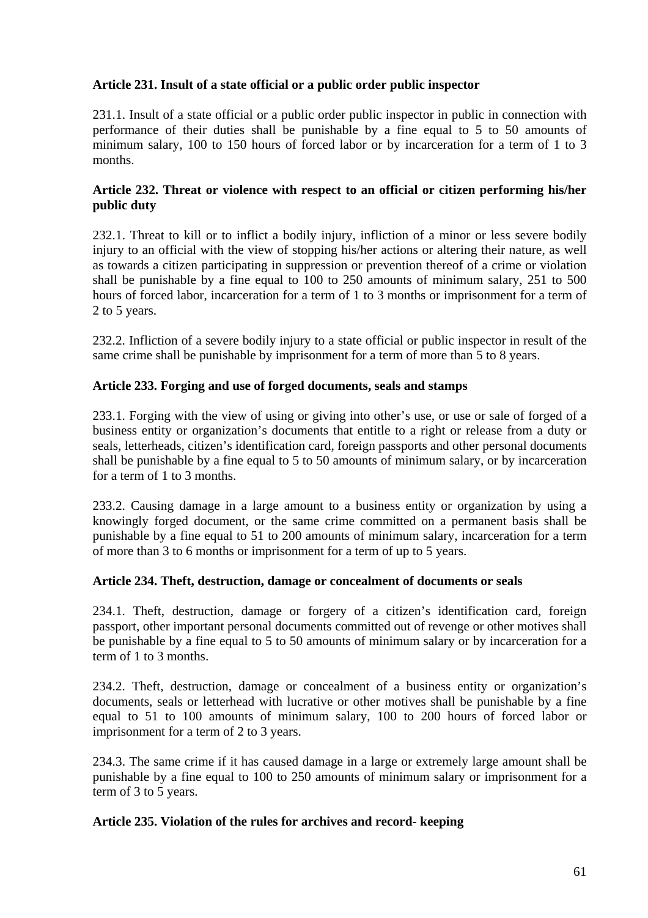# **Article 231. Insult of a state official or a public order public inspector**

231.1. Insult of a state official or a public order public inspector in public in connection with performance of their duties shall be punishable by a fine equal to 5 to 50 amounts of minimum salary, 100 to 150 hours of forced labor or by incarceration for a term of 1 to 3 months.

### **Article 232. Threat or violence with respect to an official or citizen performing his/her public duty**

232.1. Threat to kill or to inflict a bodily injury, infliction of a minor or less severe bodily injury to an official with the view of stopping his/her actions or altering their nature, as well as towards a citizen participating in suppression or prevention thereof of a crime or violation shall be punishable by a fine equal to 100 to 250 amounts of minimum salary, 251 to 500 hours of forced labor, incarceration for a term of 1 to 3 months or imprisonment for a term of 2 to 5 years.

232.2. Infliction of a severe bodily injury to a state official or public inspector in result of the same crime shall be punishable by imprisonment for a term of more than 5 to 8 years.

#### **Article 233. Forging and use of forged documents, seals and stamps**

233.1. Forging with the view of using or giving into other's use, or use or sale of forged of a business entity or organization's documents that entitle to a right or release from a duty or seals, letterheads, citizen's identification card, foreign passports and other personal documents shall be punishable by a fine equal to 5 to 50 amounts of minimum salary, or by incarceration for a term of 1 to 3 months.

233.2. Causing damage in a large amount to a business entity or organization by using a knowingly forged document, or the same crime committed on a permanent basis shall be punishable by a fine equal to 51 to 200 amounts of minimum salary, incarceration for a term of more than 3 to 6 months or imprisonment for a term of up to 5 years.

#### **Article 234. Theft, destruction, damage or concealment of documents or seals**

234.1. Theft, destruction, damage or forgery of a citizen's identification card, foreign passport, other important personal documents committed out of revenge or other motives shall be punishable by a fine equal to 5 to 50 amounts of minimum salary or by incarceration for a term of 1 to 3 months.

234.2. Theft, destruction, damage or concealment of a business entity or organization's documents, seals or letterhead with lucrative or other motives shall be punishable by a fine equal to 51 to 100 amounts of minimum salary, 100 to 200 hours of forced labor or imprisonment for a term of 2 to 3 years.

234.3. The same crime if it has caused damage in a large or extremely large amount shall be punishable by a fine equal to 100 to 250 amounts of minimum salary or imprisonment for a term of 3 to 5 years.

#### **Article 235. Violation of the rules for archives and record- keeping**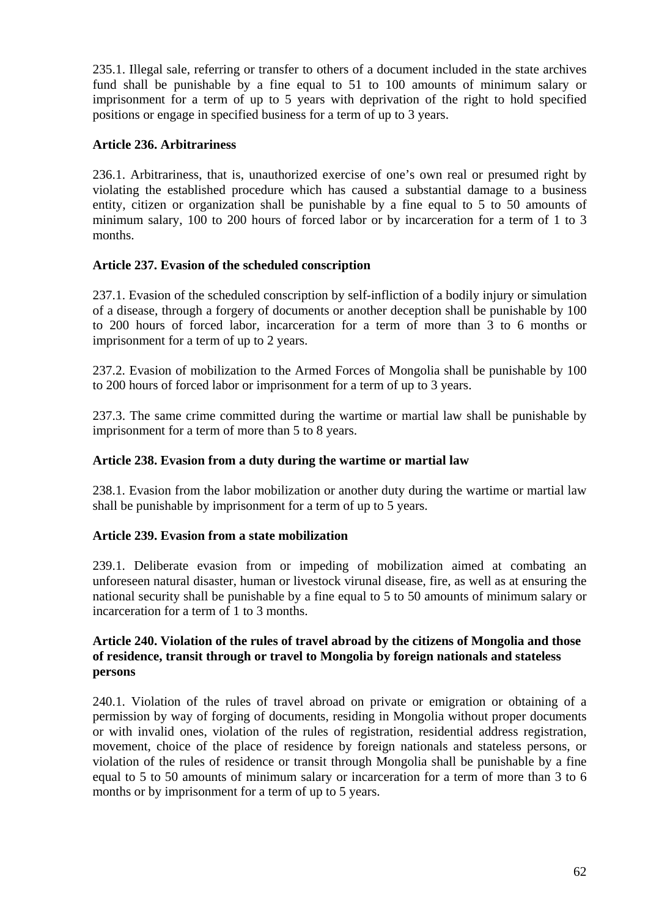235.1. Illegal sale, referring or transfer to others of a document included in the state archives fund shall be punishable by a fine equal to 51 to 100 amounts of minimum salary or imprisonment for a term of up to 5 years with deprivation of the right to hold specified positions or engage in specified business for a term of up to 3 years.

## **Article 236. Arbitrariness**

236.1. Arbitrariness, that is, unauthorized exercise of one's own real or presumed right by violating the established procedure which has caused a substantial damage to a business entity, citizen or organization shall be punishable by a fine equal to 5 to 50 amounts of minimum salary, 100 to 200 hours of forced labor or by incarceration for a term of 1 to 3 months.

## **Article 237. Evasion of the scheduled conscription**

237.1. Evasion of the scheduled conscription by self-infliction of a bodily injury or simulation of a disease, through a forgery of documents or another deception shall be punishable by 100 to 200 hours of forced labor, incarceration for a term of more than 3 to 6 months or imprisonment for a term of up to 2 years.

237.2. Evasion of mobilization to the Armed Forces of Mongolia shall be punishable by 100 to 200 hours of forced labor or imprisonment for a term of up to 3 years.

237.3. The same crime committed during the wartime or martial law shall be punishable by imprisonment for a term of more than 5 to 8 years.

#### **Article 238. Evasion from a duty during the wartime or martial law**

238.1. Evasion from the labor mobilization or another duty during the wartime or martial law shall be punishable by imprisonment for a term of up to 5 years.

#### **Article 239. Evasion from a state mobilization**

239.1. Deliberate evasion from or impeding of mobilization aimed at combating an unforeseen natural disaster, human or livestock virunal disease, fire, as well as at ensuring the national security shall be punishable by a fine equal to 5 to 50 amounts of minimum salary or incarceration for a term of 1 to 3 months.

#### **Article 240. Violation of the rules of travel abroad by the citizens of Mongolia and those of residence, transit through or travel to Mongolia by foreign nationals and stateless persons**

240.1. Violation of the rules of travel abroad on private or emigration or obtaining of a permission by way of forging of documents, residing in Mongolia without proper documents or with invalid ones, violation of the rules of registration, residential address registration, movement, choice of the place of residence by foreign nationals and stateless persons, or violation of the rules of residence or transit through Mongolia shall be punishable by a fine equal to 5 to 50 amounts of minimum salary or incarceration for a term of more than 3 to 6 months or by imprisonment for a term of up to 5 years.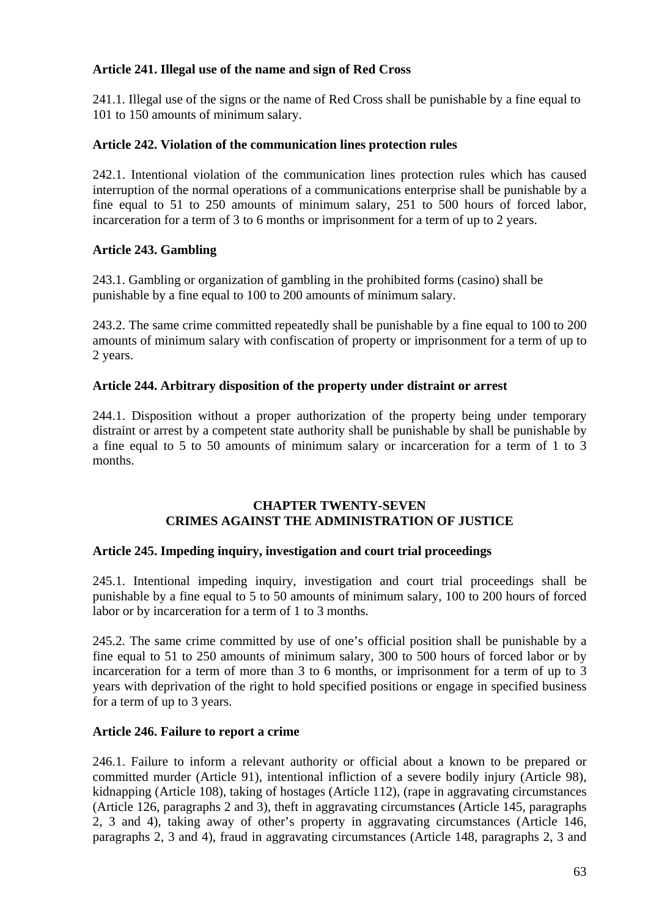## **Article 241. Illegal use of the name and sign of Red Cross**

241.1. Illegal use of the signs or the name of Red Cross shall be punishable by a fine equal to 101 to 150 amounts of minimum salary.

## **Article 242. Violation of the communication lines protection rules**

242.1. Intentional violation of the communication lines protection rules which has caused interruption of the normal operations of a communications enterprise shall be punishable by a fine equal to 51 to 250 amounts of minimum salary, 251 to 500 hours of forced labor, incarceration for a term of 3 to 6 months or imprisonment for a term of up to 2 years.

# **Article 243. Gambling**

243.1. Gambling or organization of gambling in the prohibited forms (casino) shall be punishable by a fine equal to 100 to 200 amounts of minimum salary.

243.2. The same crime committed repeatedly shall be punishable by a fine equal to 100 to 200 amounts of minimum salary with confiscation of property or imprisonment for a term of up to 2 years.

## **Article 244. Arbitrary disposition of the property under distraint or arrest**

244.1. Disposition without a proper authorization of the property being under temporary distraint or arrest by a competent state authority shall be punishable by shall be punishable by a fine equal to 5 to 50 amounts of minimum salary or incarceration for a term of 1 to 3 months.

## **CHAPTER TWENTY-SEVEN CRIMES AGAINST THE ADMINISTRATION OF JUSTICE**

## **Article 245. Impeding inquiry, investigation and court trial proceedings**

245.1. Intentional impeding inquiry, investigation and court trial proceedings shall be punishable by a fine equal to 5 to 50 amounts of minimum salary, 100 to 200 hours of forced labor or by incarceration for a term of 1 to 3 months.

245.2. The same crime committed by use of one's official position shall be punishable by a fine equal to 51 to 250 amounts of minimum salary, 300 to 500 hours of forced labor or by incarceration for a term of more than 3 to 6 months, or imprisonment for a term of up to 3 years with deprivation of the right to hold specified positions or engage in specified business for a term of up to 3 years.

## **Article 246. Failure to report a crime**

246.1. Failure to inform a relevant authority or official about a known to be prepared or committed murder (Article 91), intentional infliction of a severe bodily injury (Article 98), kidnapping (Article 108), taking of hostages (Article 112), (rape in aggravating circumstances (Article 126, paragraphs 2 and 3), theft in aggravating circumstances (Article 145, paragraphs 2, 3 and 4), taking away of other's property in aggravating circumstances (Article 146, paragraphs 2, 3 and 4), fraud in aggravating circumstances (Article 148, paragraphs 2, 3 and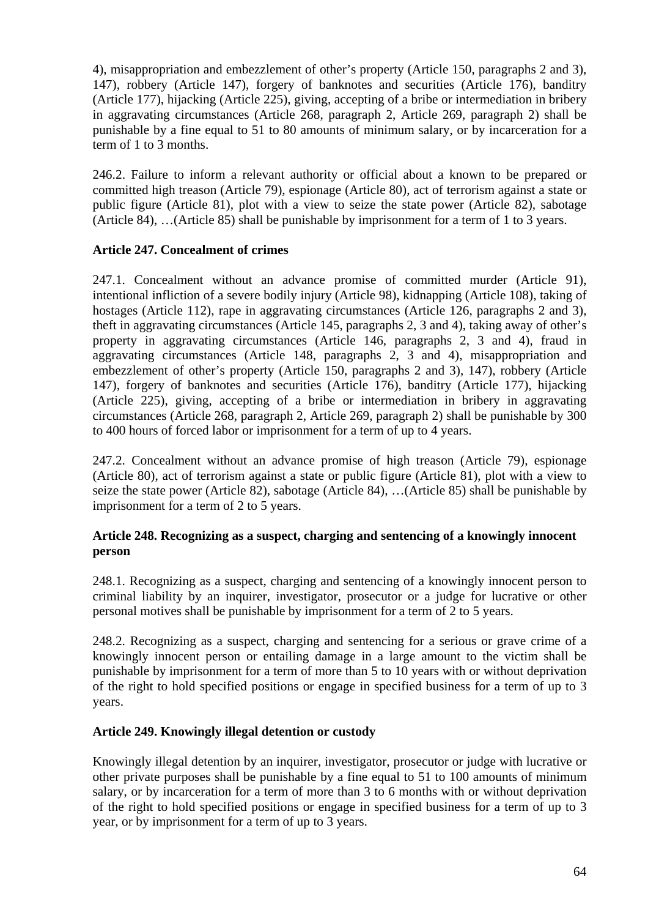4), misappropriation and embezzlement of other's property (Article 150, paragraphs 2 and 3), 147), robbery (Article 147), forgery of banknotes and securities (Article 176), banditry (Article 177), hijacking (Article 225), giving, accepting of a bribe or intermediation in bribery in aggravating circumstances (Article 268, paragraph 2, Article 269, paragraph 2) shall be punishable by a fine equal to 51 to 80 amounts of minimum salary, or by incarceration for a term of 1 to 3 months.

246.2. Failure to inform a relevant authority or official about a known to be prepared or committed high treason (Article 79), espionage (Article 80), act of terrorism against a state or public figure (Article 81), plot with a view to seize the state power (Article 82), sabotage (Article 84), …(Article 85) shall be punishable by imprisonment for a term of 1 to 3 years.

# **Article 247. Concealment of crimes**

247.1. Concealment without an advance promise of committed murder (Article 91), intentional infliction of a severe bodily injury (Article 98), kidnapping (Article 108), taking of hostages (Article 112), rape in aggravating circumstances (Article 126, paragraphs 2 and 3), theft in aggravating circumstances (Article 145, paragraphs 2, 3 and 4), taking away of other's property in aggravating circumstances (Article 146, paragraphs 2, 3 and 4), fraud in aggravating circumstances (Article 148, paragraphs 2, 3 and 4), misappropriation and embezzlement of other's property (Article 150, paragraphs 2 and 3), 147), robbery (Article 147), forgery of banknotes and securities (Article 176), banditry (Article 177), hijacking (Article 225), giving, accepting of a bribe or intermediation in bribery in aggravating circumstances (Article 268, paragraph 2, Article 269, paragraph 2) shall be punishable by 300 to 400 hours of forced labor or imprisonment for a term of up to 4 years.

247.2. Concealment without an advance promise of high treason (Article 79), espionage (Article 80), act of terrorism against a state or public figure (Article 81), plot with a view to seize the state power (Article 82), sabotage (Article 84), …(Article 85) shall be punishable by imprisonment for a term of 2 to 5 years.

## **Article 248. Recognizing as a suspect, charging and sentencing of a knowingly innocent person**

248.1. Recognizing as a suspect, charging and sentencing of a knowingly innocent person to criminal liability by an inquirer, investigator, prosecutor or a judge for lucrative or other personal motives shall be punishable by imprisonment for a term of 2 to 5 years.

248.2. Recognizing as a suspect, charging and sentencing for a serious or grave crime of a knowingly innocent person or entailing damage in a large amount to the victim shall be punishable by imprisonment for a term of more than 5 to 10 years with or without deprivation of the right to hold specified positions or engage in specified business for a term of up to 3 years.

## **Article 249. Knowingly illegal detention or custody**

Knowingly illegal detention by an inquirer, investigator, prosecutor or judge with lucrative or other private purposes shall be punishable by a fine equal to 51 to 100 amounts of minimum salary, or by incarceration for a term of more than 3 to 6 months with or without deprivation of the right to hold specified positions or engage in specified business for a term of up to 3 year, or by imprisonment for a term of up to 3 years.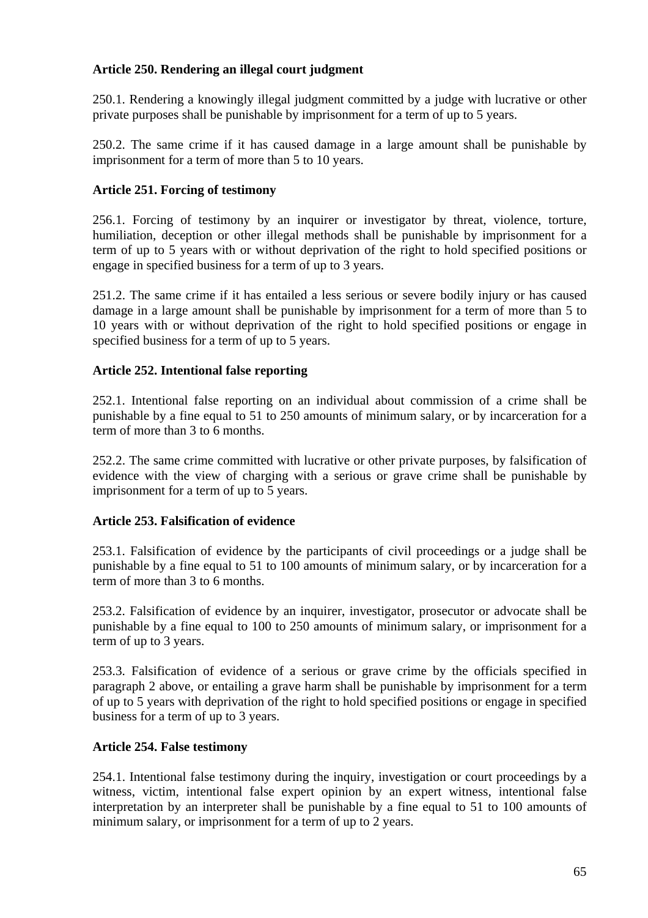# **Article 250. Rendering an illegal court judgment**

250.1. Rendering a knowingly illegal judgment committed by a judge with lucrative or other private purposes shall be punishable by imprisonment for a term of up to 5 years.

250.2. The same crime if it has caused damage in a large amount shall be punishable by imprisonment for a term of more than 5 to 10 years.

# **Article 251. Forcing of testimony**

256.1. Forcing of testimony by an inquirer or investigator by threat, violence, torture, humiliation, deception or other illegal methods shall be punishable by imprisonment for a term of up to 5 years with or without deprivation of the right to hold specified positions or engage in specified business for a term of up to 3 years.

251.2. The same crime if it has entailed a less serious or severe bodily injury or has caused damage in a large amount shall be punishable by imprisonment for a term of more than 5 to 10 years with or without deprivation of the right to hold specified positions or engage in specified business for a term of up to 5 years.

# **Article 252. Intentional false reporting**

252.1. Intentional false reporting on an individual about commission of a crime shall be punishable by a fine equal to 51 to 250 amounts of minimum salary, or by incarceration for a term of more than 3 to 6 months.

252.2. The same crime committed with lucrative or other private purposes, by falsification of evidence with the view of charging with a serious or grave crime shall be punishable by imprisonment for a term of up to 5 years.

## **Article 253. Falsification of evidence**

253.1. Falsification of evidence by the participants of civil proceedings or a judge shall be punishable by a fine equal to 51 to 100 amounts of minimum salary, or by incarceration for a term of more than 3 to 6 months.

253.2. Falsification of evidence by an inquirer, investigator, prosecutor or advocate shall be punishable by a fine equal to 100 to 250 amounts of minimum salary, or imprisonment for a term of up to 3 years.

253.3. Falsification of evidence of a serious or grave crime by the officials specified in paragraph 2 above, or entailing a grave harm shall be punishable by imprisonment for a term of up to 5 years with deprivation of the right to hold specified positions or engage in specified business for a term of up to 3 years.

## **Article 254. False testimony**

254.1. Intentional false testimony during the inquiry, investigation or court proceedings by a witness, victim, intentional false expert opinion by an expert witness, intentional false interpretation by an interpreter shall be punishable by a fine equal to 51 to 100 amounts of minimum salary, or imprisonment for a term of up to 2 years.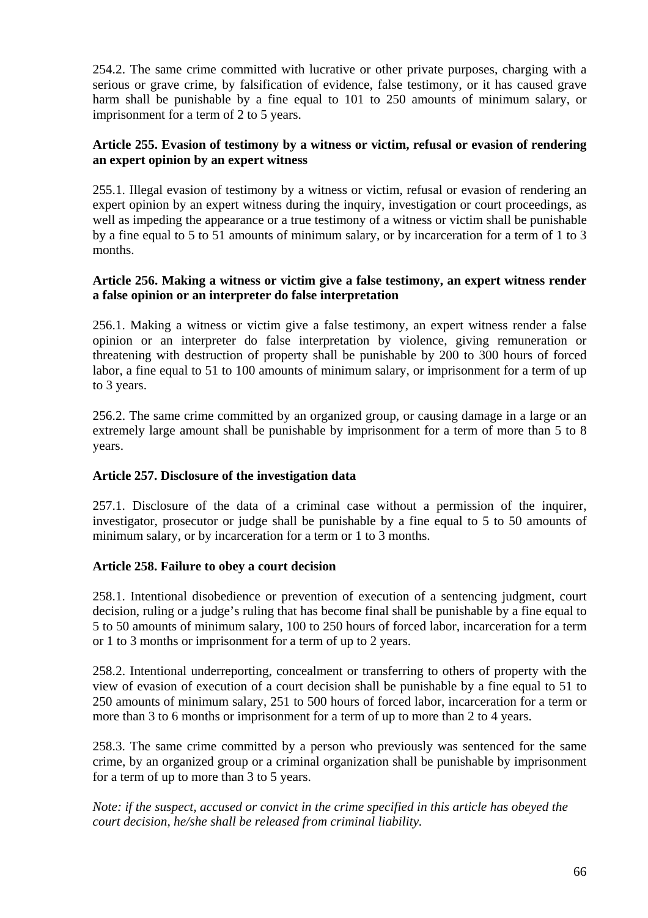254.2. The same crime committed with lucrative or other private purposes, charging with a serious or grave crime, by falsification of evidence, false testimony, or it has caused grave harm shall be punishable by a fine equal to 101 to 250 amounts of minimum salary, or imprisonment for a term of 2 to 5 years.

### **Article 255. Evasion of testimony by a witness or victim, refusal or evasion of rendering an expert opinion by an expert witness**

255.1. Illegal evasion of testimony by a witness or victim, refusal or evasion of rendering an expert opinion by an expert witness during the inquiry, investigation or court proceedings, as well as impeding the appearance or a true testimony of a witness or victim shall be punishable by a fine equal to 5 to 51 amounts of minimum salary, or by incarceration for a term of 1 to 3 months.

### **Article 256. Making a witness or victim give a false testimony, an expert witness render a false opinion or an interpreter do false interpretation**

256.1. Making a witness or victim give a false testimony, an expert witness render a false opinion or an interpreter do false interpretation by violence, giving remuneration or threatening with destruction of property shall be punishable by 200 to 300 hours of forced labor, a fine equal to 51 to 100 amounts of minimum salary, or imprisonment for a term of up to 3 years.

256.2. The same crime committed by an organized group, or causing damage in a large or an extremely large amount shall be punishable by imprisonment for a term of more than 5 to 8 years.

## **Article 257. Disclosure of the investigation data**

257.1. Disclosure of the data of a criminal case without a permission of the inquirer, investigator, prosecutor or judge shall be punishable by a fine equal to 5 to 50 amounts of minimum salary, or by incarceration for a term or 1 to 3 months.

## **Article 258. Failure to obey a court decision**

258.1. Intentional disobedience or prevention of execution of a sentencing judgment, court decision, ruling or a judge's ruling that has become final shall be punishable by a fine equal to 5 to 50 amounts of minimum salary, 100 to 250 hours of forced labor, incarceration for a term or 1 to 3 months or imprisonment for a term of up to 2 years.

258.2. Intentional underreporting, concealment or transferring to others of property with the view of evasion of execution of a court decision shall be punishable by a fine equal to 51 to 250 amounts of minimum salary, 251 to 500 hours of forced labor, incarceration for a term or more than 3 to 6 months or imprisonment for a term of up to more than 2 to 4 years.

258.3. The same crime committed by a person who previously was sentenced for the same crime, by an organized group or a criminal organization shall be punishable by imprisonment for a term of up to more than 3 to 5 years.

*Note: if the suspect, accused or convict in the crime specified in this article has obeyed the court decision, he/she shall be released from criminal liability.*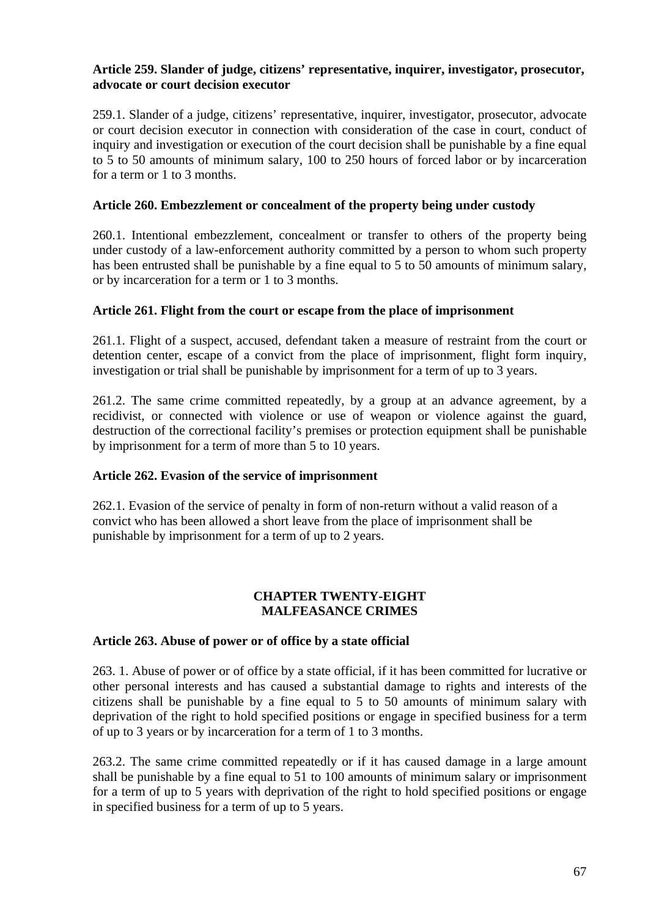#### **Article 259. Slander of judge, citizens' representative, inquirer, investigator, prosecutor, advocate or court decision executor**

259.1. Slander of a judge, citizens' representative, inquirer, investigator, prosecutor, advocate or court decision executor in connection with consideration of the case in court, conduct of inquiry and investigation or execution of the court decision shall be punishable by a fine equal to 5 to 50 amounts of minimum salary, 100 to 250 hours of forced labor or by incarceration for a term or 1 to 3 months.

### **Article 260. Embezzlement or concealment of the property being under custody**

260.1. Intentional embezzlement, concealment or transfer to others of the property being under custody of a law-enforcement authority committed by a person to whom such property has been entrusted shall be punishable by a fine equal to 5 to 50 amounts of minimum salary, or by incarceration for a term or 1 to 3 months.

#### **Article 261. Flight from the court or escape from the place of imprisonment**

261.1. Flight of a suspect, accused, defendant taken a measure of restraint from the court or detention center, escape of a convict from the place of imprisonment, flight form inquiry, investigation or trial shall be punishable by imprisonment for a term of up to 3 years.

261.2. The same crime committed repeatedly, by a group at an advance agreement, by a recidivist, or connected with violence or use of weapon or violence against the guard, destruction of the correctional facility's premises or protection equipment shall be punishable by imprisonment for a term of more than 5 to 10 years.

## **Article 262. Evasion of the service of imprisonment**

262.1. Evasion of the service of penalty in form of non-return without a valid reason of a convict who has been allowed a short leave from the place of imprisonment shall be punishable by imprisonment for a term of up to 2 years.

#### **CHAPTER TWENTY-EIGHT MALFEASANCE CRIMES**

#### **Article 263. Abuse of power or of office by a state official**

263. 1. Abuse of power or of office by a state official, if it has been committed for lucrative or other personal interests and has caused a substantial damage to rights and interests of the citizens shall be punishable by a fine equal to 5 to 50 amounts of minimum salary with deprivation of the right to hold specified positions or engage in specified business for a term of up to 3 years or by incarceration for a term of 1 to 3 months.

263.2. The same crime committed repeatedly or if it has caused damage in a large amount shall be punishable by a fine equal to 51 to 100 amounts of minimum salary or imprisonment for a term of up to 5 years with deprivation of the right to hold specified positions or engage in specified business for a term of up to 5 years.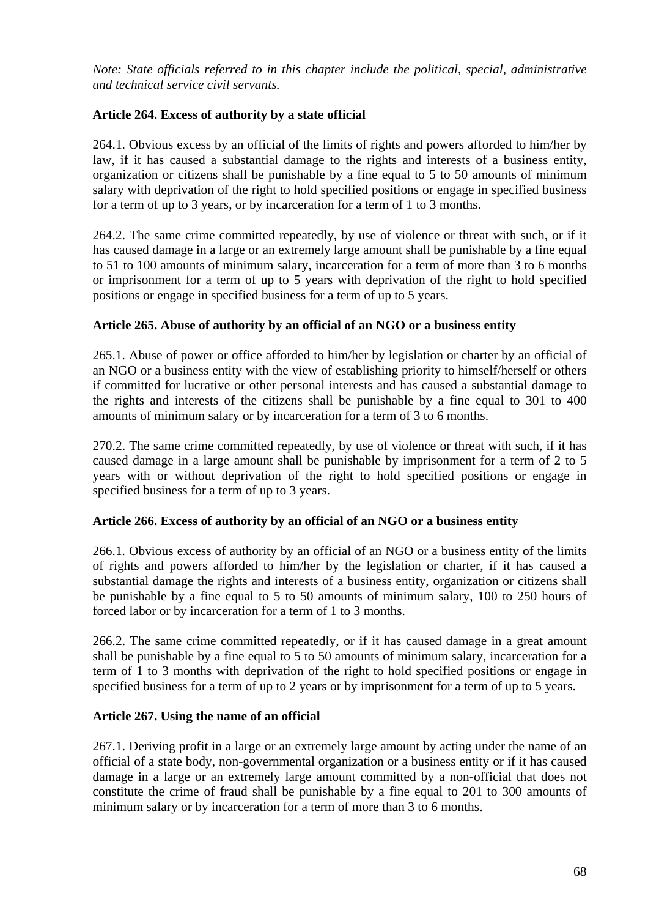*Note: State officials referred to in this chapter include the political, special, administrative and technical service civil servants.* 

# **Article 264. Excess of authority by a state official**

264.1. Obvious excess by an official of the limits of rights and powers afforded to him/her by law, if it has caused a substantial damage to the rights and interests of a business entity, organization or citizens shall be punishable by a fine equal to 5 to 50 amounts of minimum salary with deprivation of the right to hold specified positions or engage in specified business for a term of up to 3 years, or by incarceration for a term of 1 to 3 months.

264.2. The same crime committed repeatedly, by use of violence or threat with such, or if it has caused damage in a large or an extremely large amount shall be punishable by a fine equal to 51 to 100 amounts of minimum salary, incarceration for a term of more than 3 to 6 months or imprisonment for a term of up to 5 years with deprivation of the right to hold specified positions or engage in specified business for a term of up to 5 years.

## **Article 265. Abuse of authority by an official of an NGO or a business entity**

265.1. Abuse of power or office afforded to him/her by legislation or charter by an official of an NGO or a business entity with the view of establishing priority to himself/herself or others if committed for lucrative or other personal interests and has caused a substantial damage to the rights and interests of the citizens shall be punishable by a fine equal to 301 to 400 amounts of minimum salary or by incarceration for a term of 3 to 6 months.

270.2. The same crime committed repeatedly, by use of violence or threat with such, if it has caused damage in a large amount shall be punishable by imprisonment for a term of 2 to 5 years with or without deprivation of the right to hold specified positions or engage in specified business for a term of up to 3 years.

## **Article 266. Excess of authority by an official of an NGO or a business entity**

266.1. Obvious excess of authority by an official of an NGO or a business entity of the limits of rights and powers afforded to him/her by the legislation or charter, if it has caused a substantial damage the rights and interests of a business entity, organization or citizens shall be punishable by a fine equal to 5 to 50 amounts of minimum salary, 100 to 250 hours of forced labor or by incarceration for a term of 1 to 3 months.

266.2. The same crime committed repeatedly, or if it has caused damage in a great amount shall be punishable by a fine equal to 5 to 50 amounts of minimum salary, incarceration for a term of 1 to 3 months with deprivation of the right to hold specified positions or engage in specified business for a term of up to 2 years or by imprisonment for a term of up to 5 years.

## **Article 267. Using the name of an official**

267.1. Deriving profit in a large or an extremely large amount by acting under the name of an official of a state body, non-governmental organization or a business entity or if it has caused damage in a large or an extremely large amount committed by a non-official that does not constitute the crime of fraud shall be punishable by a fine equal to 201 to 300 amounts of minimum salary or by incarceration for a term of more than 3 to 6 months.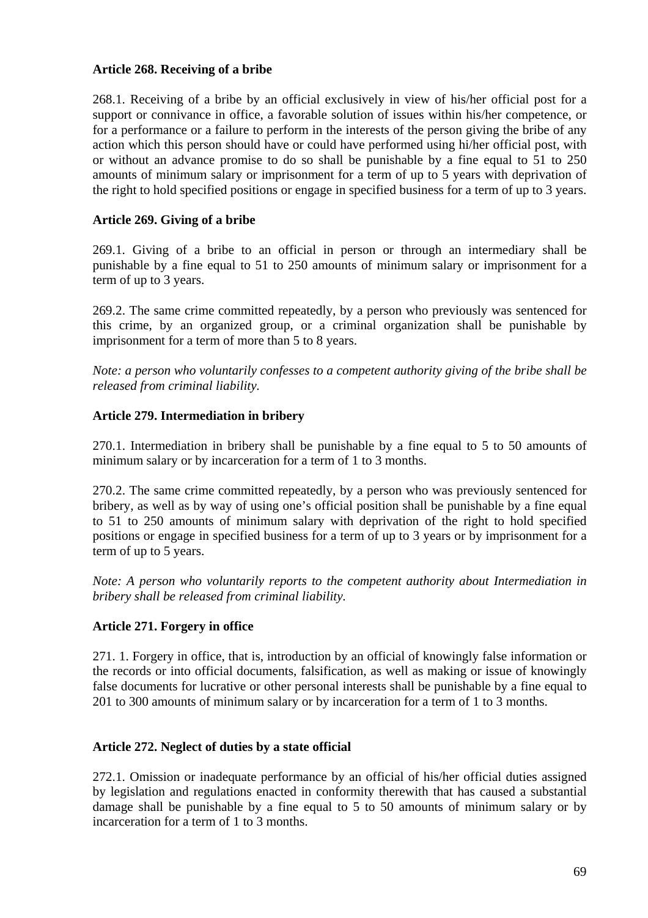### **Article 268. Receiving of a bribe**

268.1. Receiving of a bribe by an official exclusively in view of his/her official post for a support or connivance in office, a favorable solution of issues within his/her competence, or for a performance or a failure to perform in the interests of the person giving the bribe of any action which this person should have or could have performed using hi/her official post, with or without an advance promise to do so shall be punishable by a fine equal to 51 to 250 amounts of minimum salary or imprisonment for a term of up to 5 years with deprivation of the right to hold specified positions or engage in specified business for a term of up to 3 years.

### **Article 269. Giving of a bribe**

269.1. Giving of a bribe to an official in person or through an intermediary shall be punishable by a fine equal to 51 to 250 amounts of minimum salary or imprisonment for a term of up to 3 years.

269.2. The same crime committed repeatedly, by a person who previously was sentenced for this crime, by an organized group, or a criminal organization shall be punishable by imprisonment for a term of more than 5 to 8 years.

*Note: a person who voluntarily confesses to a competent authority giving of the bribe shall be released from criminal liability.* 

#### **Article 279. Intermediation in bribery**

270.1. Intermediation in bribery shall be punishable by a fine equal to 5 to 50 amounts of minimum salary or by incarceration for a term of 1 to 3 months.

270.2. The same crime committed repeatedly, by a person who was previously sentenced for bribery, as well as by way of using one's official position shall be punishable by a fine equal to 51 to 250 amounts of minimum salary with deprivation of the right to hold specified positions or engage in specified business for a term of up to 3 years or by imprisonment for a term of up to 5 years.

*Note: A person who voluntarily reports to the competent authority about Intermediation in bribery shall be released from criminal liability.* 

#### **Article 271. Forgery in office**

271. 1. Forgery in office, that is, introduction by an official of knowingly false information or the records or into official documents, falsification, as well as making or issue of knowingly false documents for lucrative or other personal interests shall be punishable by a fine equal to 201 to 300 amounts of minimum salary or by incarceration for a term of 1 to 3 months.

#### **Article 272. Neglect of duties by a state official**

272.1. Omission or inadequate performance by an official of his/her official duties assigned by legislation and regulations enacted in conformity therewith that has caused a substantial damage shall be punishable by a fine equal to 5 to 50 amounts of minimum salary or by incarceration for a term of 1 to 3 months.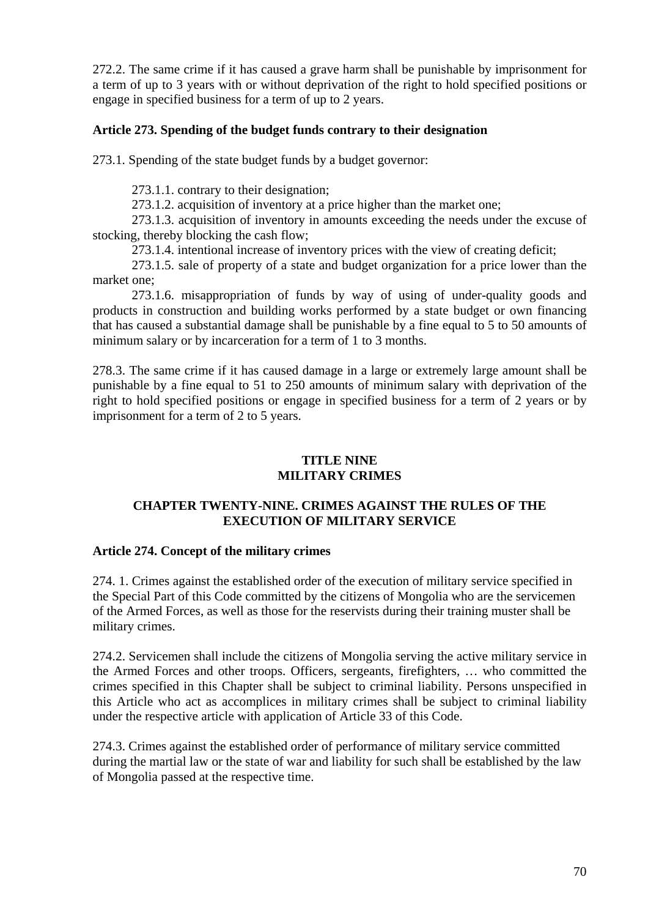272.2. The same crime if it has caused a grave harm shall be punishable by imprisonment for a term of up to 3 years with or without deprivation of the right to hold specified positions or engage in specified business for a term of up to 2 years.

### **Article 273. Spending of the budget funds contrary to their designation**

273.1. Spending of the state budget funds by a budget governor:

273.1.1. contrary to their designation;

273.1.2. acquisition of inventory at a price higher than the market one;

273.1.3. acquisition of inventory in amounts exceeding the needs under the excuse of stocking, thereby blocking the cash flow;

273.1.4. intentional increase of inventory prices with the view of creating deficit;

273.1.5. sale of property of a state and budget organization for a price lower than the market one;

273.1.6. misappropriation of funds by way of using of under-quality goods and products in construction and building works performed by a state budget or own financing that has caused a substantial damage shall be punishable by a fine equal to 5 to 50 amounts of minimum salary or by incarceration for a term of 1 to 3 months.

278.3. The same crime if it has caused damage in a large or extremely large amount shall be punishable by a fine equal to 51 to 250 amounts of minimum salary with deprivation of the right to hold specified positions or engage in specified business for a term of 2 years or by imprisonment for a term of 2 to 5 years.

## **TITLE NINE MILITARY CRIMES**

# **CHAPTER TWENTY-NINE. CRIMES AGAINST THE RULES OF THE EXECUTION OF MILITARY SERVICE**

## **Article 274. Concept of the military crimes**

274. 1. Crimes against the established order of the execution of military service specified in the Special Part of this Code committed by the citizens of Mongolia who are the servicemen of the Armed Forces, as well as those for the reservists during their training muster shall be military crimes.

274.2. Servicemen shall include the citizens of Mongolia serving the active military service in the Armed Forces and other troops. Officers, sergeants, firefighters, … who committed the crimes specified in this Chapter shall be subject to criminal liability. Persons unspecified in this Article who act as accomplices in military crimes shall be subject to criminal liability under the respective article with application of Article 33 of this Code.

274.3. Crimes against the established order of performance of military service committed during the martial law or the state of war and liability for such shall be established by the law of Mongolia passed at the respective time.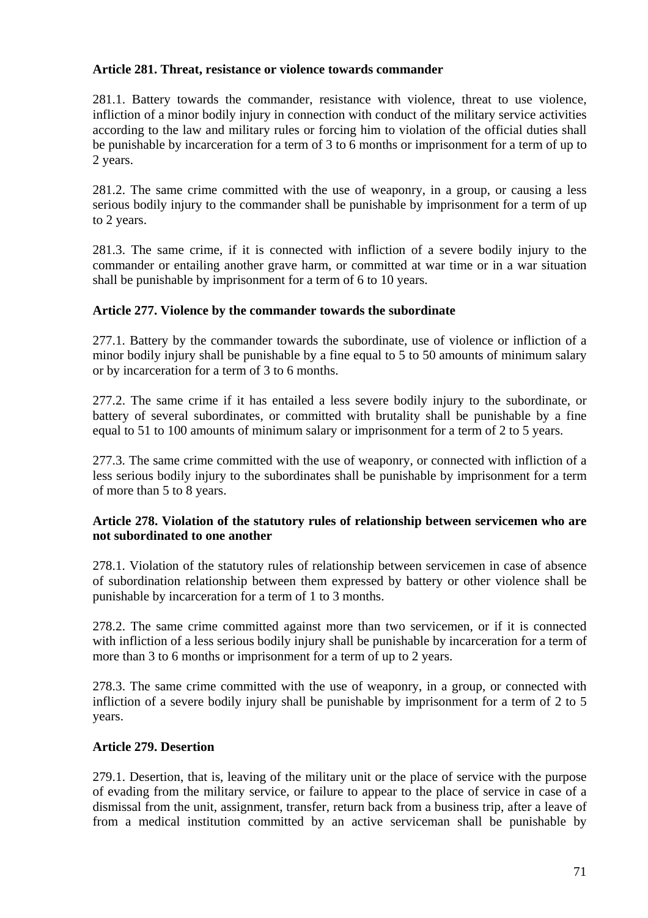### **Article 281. Threat, resistance or violence towards commander**

281.1. Battery towards the commander, resistance with violence, threat to use violence, infliction of a minor bodily injury in connection with conduct of the military service activities according to the law and military rules or forcing him to violation of the official duties shall be punishable by incarceration for a term of 3 to 6 months or imprisonment for a term of up to 2 years.

281.2. The same crime committed with the use of weaponry, in a group, or causing a less serious bodily injury to the commander shall be punishable by imprisonment for a term of up to 2 years.

281.3. The same crime, if it is connected with infliction of a severe bodily injury to the commander or entailing another grave harm, or committed at war time or in a war situation shall be punishable by imprisonment for a term of 6 to 10 years.

#### **Article 277. Violence by the commander towards the subordinate**

277.1. Battery by the commander towards the subordinate, use of violence or infliction of a minor bodily injury shall be punishable by a fine equal to 5 to 50 amounts of minimum salary or by incarceration for a term of 3 to 6 months.

277.2. The same crime if it has entailed a less severe bodily injury to the subordinate, or battery of several subordinates, or committed with brutality shall be punishable by a fine equal to 51 to 100 amounts of minimum salary or imprisonment for a term of 2 to 5 years.

277.3. The same crime committed with the use of weaponry, or connected with infliction of a less serious bodily injury to the subordinates shall be punishable by imprisonment for a term of more than 5 to 8 years.

#### **Article 278. Violation of the statutory rules of relationship between servicemen who are not subordinated to one another**

278.1. Violation of the statutory rules of relationship between servicemen in case of absence of subordination relationship between them expressed by battery or other violence shall be punishable by incarceration for a term of 1 to 3 months.

278.2. The same crime committed against more than two servicemen, or if it is connected with infliction of a less serious bodily injury shall be punishable by incarceration for a term of more than 3 to 6 months or imprisonment for a term of up to 2 years.

278.3. The same crime committed with the use of weaponry, in a group, or connected with infliction of a severe bodily injury shall be punishable by imprisonment for a term of 2 to 5 years.

#### **Article 279. Desertion**

279.1. Desertion, that is, leaving of the military unit or the place of service with the purpose of evading from the military service, or failure to appear to the place of service in case of a dismissal from the unit, assignment, transfer, return back from a business trip, after a leave of from a medical institution committed by an active serviceman shall be punishable by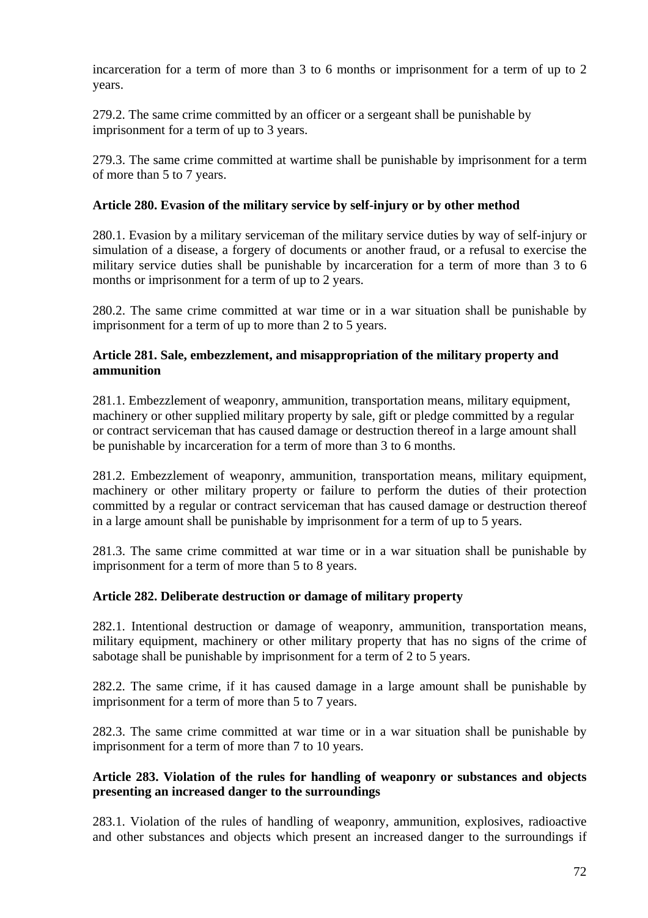incarceration for a term of more than 3 to 6 months or imprisonment for a term of up to 2 years.

279.2. The same crime committed by an officer or a sergeant shall be punishable by imprisonment for a term of up to 3 years.

279.3. The same crime committed at wartime shall be punishable by imprisonment for a term of more than 5 to 7 years.

## **Article 280. Evasion of the military service by self-injury or by other method**

280.1. Evasion by a military serviceman of the military service duties by way of self-injury or simulation of a disease, a forgery of documents or another fraud, or a refusal to exercise the military service duties shall be punishable by incarceration for a term of more than 3 to 6 months or imprisonment for a term of up to 2 years.

280.2. The same crime committed at war time or in a war situation shall be punishable by imprisonment for a term of up to more than 2 to 5 years.

# **Article 281. Sale, embezzlement, and misappropriation of the military property and ammunition**

281.1. Embezzlement of weaponry, ammunition, transportation means, military equipment, machinery or other supplied military property by sale, gift or pledge committed by a regular or contract serviceman that has caused damage or destruction thereof in a large amount shall be punishable by incarceration for a term of more than 3 to 6 months.

281.2. Embezzlement of weaponry, ammunition, transportation means, military equipment, machinery or other military property or failure to perform the duties of their protection committed by a regular or contract serviceman that has caused damage or destruction thereof in a large amount shall be punishable by imprisonment for a term of up to 5 years.

281.3. The same crime committed at war time or in a war situation shall be punishable by imprisonment for a term of more than 5 to 8 years.

## **Article 282. Deliberate destruction or damage of military property**

282.1. Intentional destruction or damage of weaponry, ammunition, transportation means, military equipment, machinery or other military property that has no signs of the crime of sabotage shall be punishable by imprisonment for a term of 2 to 5 years.

282.2. The same crime, if it has caused damage in a large amount shall be punishable by imprisonment for a term of more than 5 to 7 years.

282.3. The same crime committed at war time or in a war situation shall be punishable by imprisonment for a term of more than 7 to 10 years.

# **Article 283. Violation of the rules for handling of weaponry or substances and objects presenting an increased danger to the surroundings**

283.1. Violation of the rules of handling of weaponry, ammunition, explosives, radioactive and other substances and objects which present an increased danger to the surroundings if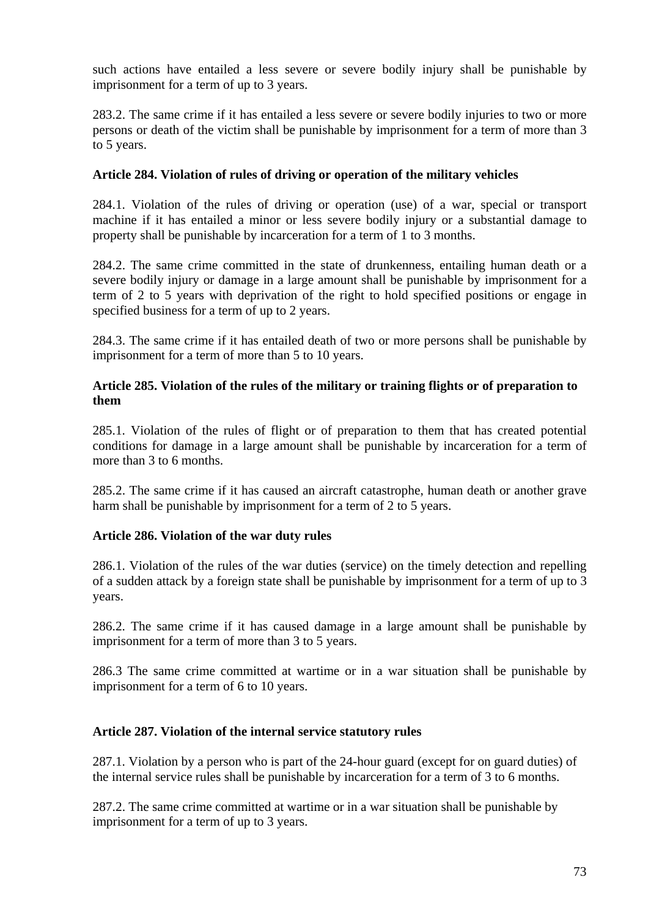such actions have entailed a less severe or severe bodily injury shall be punishable by imprisonment for a term of up to 3 years.

283.2. The same crime if it has entailed a less severe or severe bodily injuries to two or more persons or death of the victim shall be punishable by imprisonment for a term of more than 3 to 5 years.

# **Article 284. Violation of rules of driving or operation of the military vehicles**

284.1. Violation of the rules of driving or operation (use) of a war, special or transport machine if it has entailed a minor or less severe bodily injury or a substantial damage to property shall be punishable by incarceration for a term of 1 to 3 months.

284.2. The same crime committed in the state of drunkenness, entailing human death or a severe bodily injury or damage in a large amount shall be punishable by imprisonment for a term of 2 to 5 years with deprivation of the right to hold specified positions or engage in specified business for a term of up to 2 years.

284.3. The same crime if it has entailed death of two or more persons shall be punishable by imprisonment for a term of more than 5 to 10 years.

### **Article 285. Violation of the rules of the military or training flights or of preparation to them**

285.1. Violation of the rules of flight or of preparation to them that has created potential conditions for damage in a large amount shall be punishable by incarceration for a term of more than 3 to 6 months.

285.2. The same crime if it has caused an aircraft catastrophe, human death or another grave harm shall be punishable by imprisonment for a term of 2 to 5 years.

### **Article 286. Violation of the war duty rules**

286.1. Violation of the rules of the war duties (service) on the timely detection and repelling of a sudden attack by a foreign state shall be punishable by imprisonment for a term of up to 3 years.

286.2. The same crime if it has caused damage in a large amount shall be punishable by imprisonment for a term of more than 3 to 5 years.

286.3 The same crime committed at wartime or in a war situation shall be punishable by imprisonment for a term of 6 to 10 years.

### **Article 287. Violation of the internal service statutory rules**

287.1. Violation by a person who is part of the 24-hour guard (except for on guard duties) of the internal service rules shall be punishable by incarceration for a term of 3 to 6 months.

287.2. The same crime committed at wartime or in a war situation shall be punishable by imprisonment for a term of up to 3 years.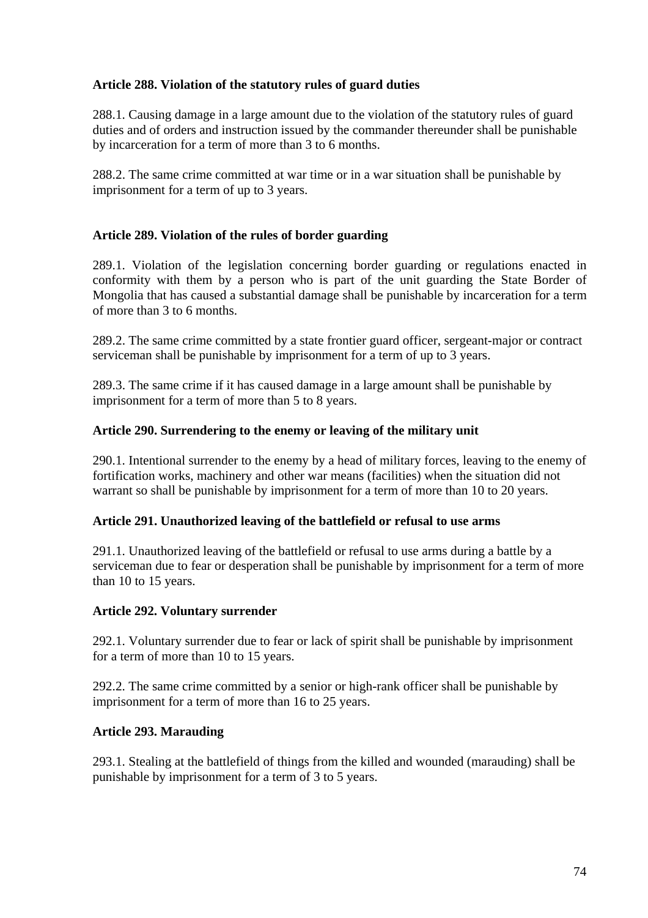# **Article 288. Violation of the statutory rules of guard duties**

288.1. Causing damage in a large amount due to the violation of the statutory rules of guard duties and of orders and instruction issued by the commander thereunder shall be punishable by incarceration for a term of more than 3 to 6 months.

288.2. The same crime committed at war time or in a war situation shall be punishable by imprisonment for a term of up to 3 years.

# **Article 289. Violation of the rules of border guarding**

289.1. Violation of the legislation concerning border guarding or regulations enacted in conformity with them by a person who is part of the unit guarding the State Border of Mongolia that has caused a substantial damage shall be punishable by incarceration for a term of more than 3 to 6 months.

289.2. The same crime committed by a state frontier guard officer, sergeant-major or contract serviceman shall be punishable by imprisonment for a term of up to 3 years.

289.3. The same crime if it has caused damage in a large amount shall be punishable by imprisonment for a term of more than 5 to 8 years.

# **Article 290. Surrendering to the enemy or leaving of the military unit**

290.1. Intentional surrender to the enemy by a head of military forces, leaving to the enemy of fortification works, machinery and other war means (facilities) when the situation did not warrant so shall be punishable by imprisonment for a term of more than 10 to 20 years.

# **Article 291. Unauthorized leaving of the battlefield or refusal to use arms**

291.1. Unauthorized leaving of the battlefield or refusal to use arms during a battle by a serviceman due to fear or desperation shall be punishable by imprisonment for a term of more than 10 to 15 years.

# **Article 292. Voluntary surrender**

292.1. Voluntary surrender due to fear or lack of spirit shall be punishable by imprisonment for a term of more than 10 to 15 years.

292.2. The same crime committed by a senior or high-rank officer shall be punishable by imprisonment for a term of more than 16 to 25 years.

### **Article 293. Marauding**

293.1. Stealing at the battlefield of things from the killed and wounded (marauding) shall be punishable by imprisonment for a term of 3 to 5 years.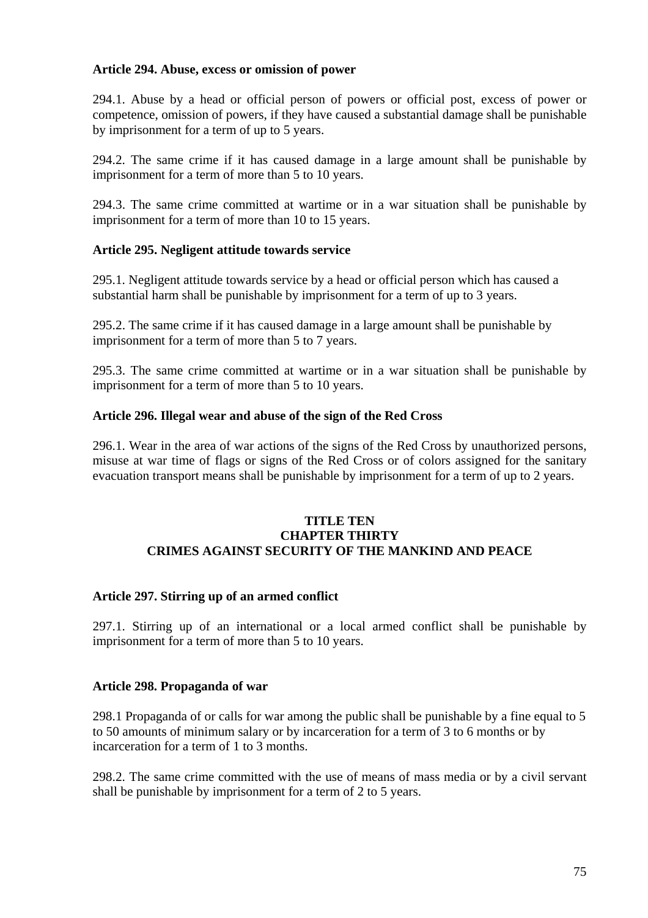### **Article 294. Abuse, excess or omission of power**

294.1. Abuse by a head or official person of powers or official post, excess of power or competence, omission of powers, if they have caused a substantial damage shall be punishable by imprisonment for a term of up to 5 years.

294.2. The same crime if it has caused damage in a large amount shall be punishable by imprisonment for a term of more than 5 to 10 years.

294.3. The same crime committed at wartime or in a war situation shall be punishable by imprisonment for a term of more than 10 to 15 years.

# **Article 295. Negligent attitude towards service**

295.1. Negligent attitude towards service by a head or official person which has caused a substantial harm shall be punishable by imprisonment for a term of up to 3 years.

295.2. The same crime if it has caused damage in a large amount shall be punishable by imprisonment for a term of more than 5 to 7 years.

295.3. The same crime committed at wartime or in a war situation shall be punishable by imprisonment for a term of more than 5 to 10 years.

# **Article 296. Illegal wear and abuse of the sign of the Red Cross**

296.1. Wear in the area of war actions of the signs of the Red Cross by unauthorized persons, misuse at war time of flags or signs of the Red Cross or of colors assigned for the sanitary evacuation transport means shall be punishable by imprisonment for a term of up to 2 years.

### **TITLE TEN CHAPTER THIRTY CRIMES AGAINST SECURITY OF THE MANKIND AND PEACE**

# **Article 297. Stirring up of an armed conflict**

297.1. Stirring up of an international or a local armed conflict shall be punishable by imprisonment for a term of more than 5 to 10 years.

### **Article 298. Propaganda of war**

298.1 Propaganda of or calls for war among the public shall be punishable by a fine equal to 5 to 50 amounts of minimum salary or by incarceration for a term of 3 to 6 months or by incarceration for a term of 1 to 3 months.

298.2. The same crime committed with the use of means of mass media or by a civil servant shall be punishable by imprisonment for a term of 2 to 5 years.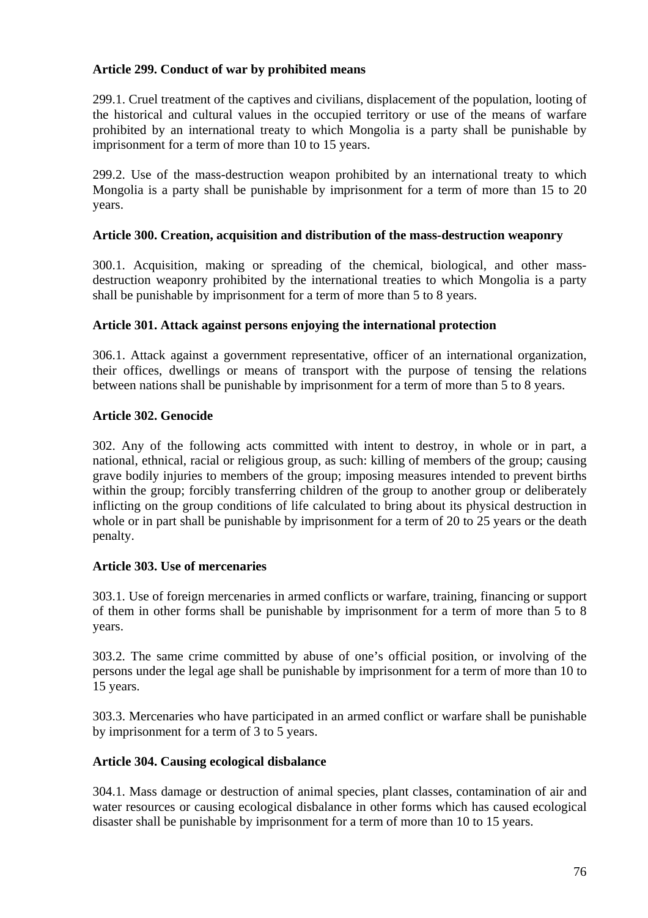# **Article 299. Conduct of war by prohibited means**

299.1. Cruel treatment of the captives and civilians, displacement of the population, looting of the historical and cultural values in the occupied territory or use of the means of warfare prohibited by an international treaty to which Mongolia is a party shall be punishable by imprisonment for a term of more than 10 to 15 years.

299.2. Use of the mass-destruction weapon prohibited by an international treaty to which Mongolia is a party shall be punishable by imprisonment for a term of more than 15 to 20 years.

### **Article 300. Creation, acquisition and distribution of the mass-destruction weaponry**

300.1. Acquisition, making or spreading of the chemical, biological, and other massdestruction weaponry prohibited by the international treaties to which Mongolia is a party shall be punishable by imprisonment for a term of more than 5 to 8 years.

### **Article 301. Attack against persons enjoying the international protection**

306.1. Attack against a government representative, officer of an international organization, their offices, dwellings or means of transport with the purpose of tensing the relations between nations shall be punishable by imprisonment for a term of more than 5 to 8 years.

# **Article 302. Genocide**

302. Any of the following acts committed with intent to destroy, in whole or in part, a national, ethnical, racial or religious group, as such: killing of members of the group; causing grave bodily injuries to members of the group; imposing measures intended to prevent births within the group; forcibly transferring children of the group to another group or deliberately inflicting on the group conditions of life calculated to bring about its physical destruction in whole or in part shall be punishable by imprisonment for a term of 20 to 25 years or the death penalty.

### **Article 303. Use of mercenaries**

303.1. Use of foreign mercenaries in armed conflicts or warfare, training, financing or support of them in other forms shall be punishable by imprisonment for a term of more than 5 to 8 years.

303.2. The same crime committed by abuse of one's official position, or involving of the persons under the legal age shall be punishable by imprisonment for a term of more than 10 to 15 years.

303.3. Mercenaries who have participated in an armed conflict or warfare shall be punishable by imprisonment for a term of 3 to 5 years.

### **Article 304. Causing ecological disbalance**

304.1. Mass damage or destruction of animal species, plant classes, contamination of air and water resources or causing ecological disbalance in other forms which has caused ecological disaster shall be punishable by imprisonment for a term of more than 10 to 15 years.